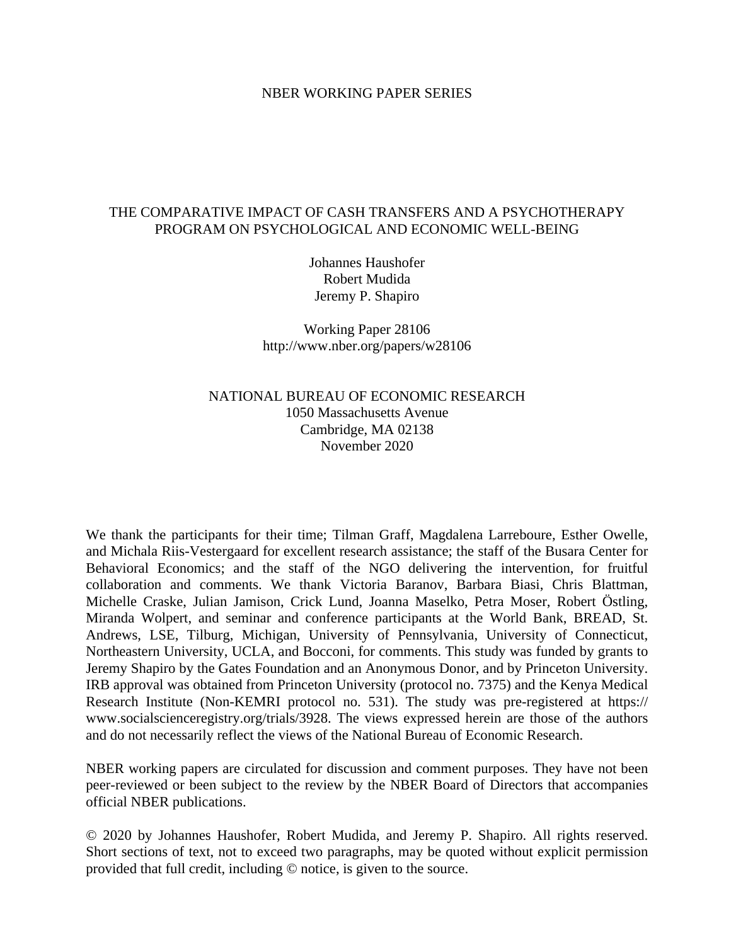### NBER WORKING PAPER SERIES

## THE COMPARATIVE IMPACT OF CASH TRANSFERS AND A PSYCHOTHERAPY PROGRAM ON PSYCHOLOGICAL AND ECONOMIC WELL-BEING

Johannes Haushofer Robert Mudida Jeremy P. Shapiro

Working Paper 28106 http://www.nber.org/papers/w28106

## NATIONAL BUREAU OF ECONOMIC RESEARCH 1050 Massachusetts Avenue Cambridge, MA 02138 November 2020

We thank the participants for their time; Tilman Graff, Magdalena Larreboure, Esther Owelle, and Michala Riis-Vestergaard for excellent research assistance; the staff of the Busara Center for Behavioral Economics; and the staff of the NGO delivering the intervention, for fruitful collaboration and comments. We thank Victoria Baranov, Barbara Biasi, Chris Blattman, Michelle Craske, Julian Jamison, Crick Lund, Joanna Maselko, Petra Moser, Robert Östling, Miranda Wolpert, and seminar and conference participants at the World Bank, BREAD, St. Andrews, LSE, Tilburg, Michigan, University of Pennsylvania, University of Connecticut, Northeastern University, UCLA, and Bocconi, for comments. This study was funded by grants to Jeremy Shapiro by the Gates Foundation and an Anonymous Donor, and by Princeton University. IRB approval was obtained from Princeton University (protocol no. 7375) and the Kenya Medical Research Institute (Non-KEMRI protocol no. 531). The study was pre-registered at https:// www.socialscienceregistry.org/trials/3928. The views expressed herein are those of the authors and do not necessarily reflect the views of the National Bureau of Economic Research.

NBER working papers are circulated for discussion and comment purposes. They have not been peer-reviewed or been subject to the review by the NBER Board of Directors that accompanies official NBER publications.

© 2020 by Johannes Haushofer, Robert Mudida, and Jeremy P. Shapiro. All rights reserved. Short sections of text, not to exceed two paragraphs, may be quoted without explicit permission provided that full credit, including © notice, is given to the source.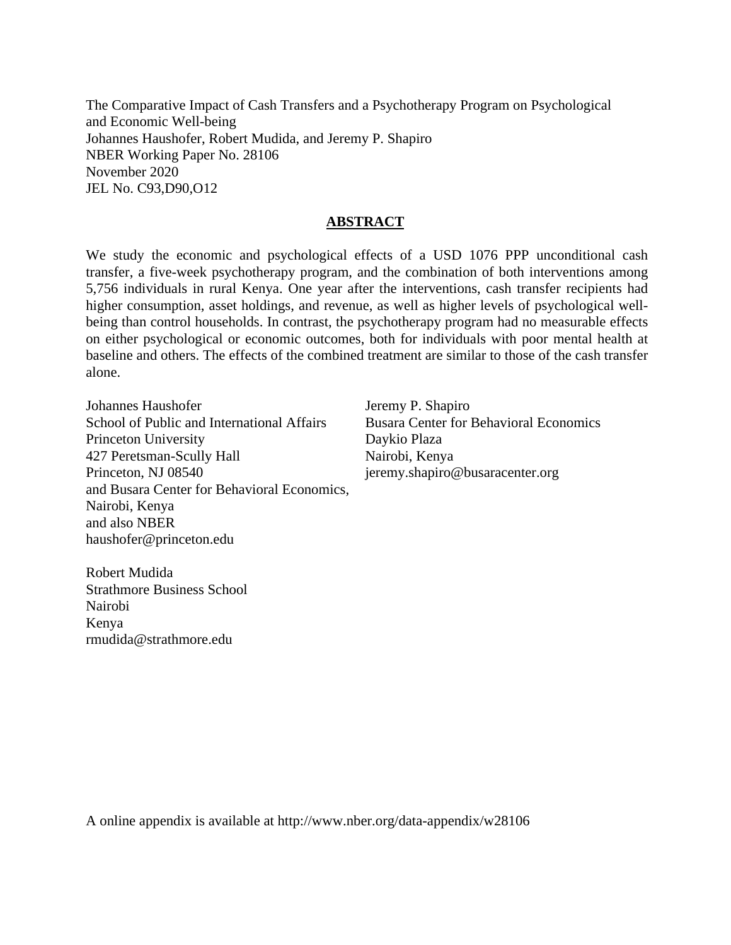The Comparative Impact of Cash Transfers and a Psychotherapy Program on Psychological and Economic Well-being Johannes Haushofer, Robert Mudida, and Jeremy P. Shapiro NBER Working Paper No. 28106 November 2020 JEL No. C93,D90,O12

### **ABSTRACT**

We study the economic and psychological effects of a USD 1076 PPP unconditional cash transfer, a five-week psychotherapy program, and the combination of both interventions among 5,756 individuals in rural Kenya. One year after the interventions, cash transfer recipients had higher consumption, asset holdings, and revenue, as well as higher levels of psychological wellbeing than control households. In contrast, the psychotherapy program had no measurable effects on either psychological or economic outcomes, both for individuals with poor mental health at baseline and others. The effects of the combined treatment are similar to those of the cash transfer alone.

Johannes Haushofer School of Public and International Affairs Princeton University 427 Peretsman-Scully Hall Princeton, NJ 08540 and Busara Center for Behavioral Economics, Nairobi, Kenya and also NBER haushofer@princeton.edu

Jeremy P. Shapiro Busara Center for Behavioral Economics Daykio Plaza Nairobi, Kenya jeremy.shapiro@busaracenter.org

Robert Mudida Strathmore Business School Nairobi Kenya rmudida@strathmore.edu

A online appendix is available at http://www.nber.org/data-appendix/w28106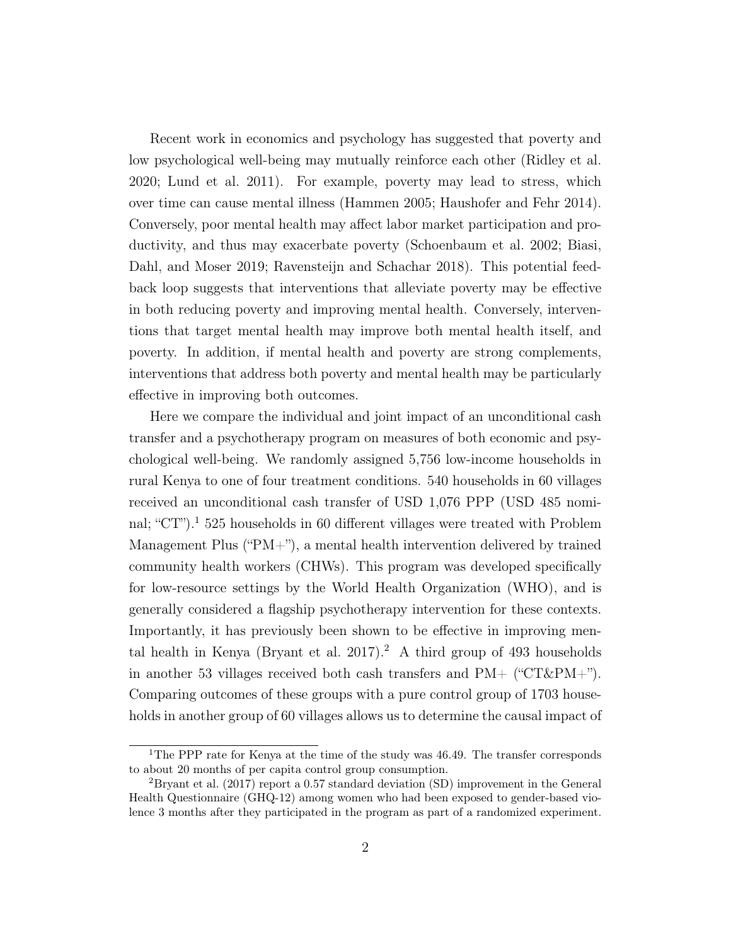Recent work in economics and psychology has suggested that poverty and low psychological well-being may mutually reinforce each other [\(Ridley et al.](#page-43-0) [2020;](#page-43-0) [Lund et al. 2011\)](#page-43-1). For example, poverty may lead to stress, which over time can cause mental illness [\(Hammen 2005;](#page-43-2) [Haushofer and Fehr 2014\)](#page-43-3). Conversely, poor mental health may affect labor market participation and productivity, and thus may exacerbate poverty [\(Schoenbaum et al. 2002;](#page-43-4) [Biasi,](#page-42-0) [Dahl, and Moser 2019;](#page-42-0) [Ravensteijn and Schachar 2018\)](#page-43-5). This potential feedback loop suggests that interventions that alleviate poverty may be effective in both reducing poverty and improving mental health. Conversely, interventions that target mental health may improve both mental health itself, and poverty. In addition, if mental health and poverty are strong complements, interventions that address both poverty and mental health may be particularly effective in improving both outcomes.

Here we compare the individual and joint impact of an unconditional cash transfer and a psychotherapy program on measures of both economic and psychological well-being. We randomly assigned 5,756 low-income households in rural Kenya to one of four treatment conditions. 540 households in 60 villages received an unconditional cash transfer of USD 1,076 PPP (USD 485 nominal; " $CT$ ").<sup>[1](#page--1-0)</sup> 525 households in 60 different villages were treated with Problem Management Plus ("PM+"), a mental health intervention delivered by trained community health workers (CHWs). This program was developed specifically for low-resource settings by the World Health Organization (WHO), and is generally considered a flagship psychotherapy intervention for these contexts. Importantly, it has previously been shown to be effective in improving men-tal health in Kenya [\(Bryant et al. 2017\)](#page-42-1).<sup>[2](#page--1-0)</sup> A third group of 493 households in another 53 villages received both cash transfers and  $PM+$  (" $CT\&PM+$ "). Comparing outcomes of these groups with a pure control group of 1703 households in another group of 60 villages allows us to determine the causal impact of

<sup>&</sup>lt;sup>1</sup>The PPP rate for Kenya at the time of the study was 46.49. The transfer corresponds to about 20 months of per capita control group consumption.

<sup>&</sup>lt;sup>2</sup>[Bryant et al. \(2017\)](#page-42-1) report a 0.57 standard deviation (SD) improvement in the General Health Questionnaire (GHQ-12) among women who had been exposed to gender-based violence 3 months after they participated in the program as part of a randomized experiment.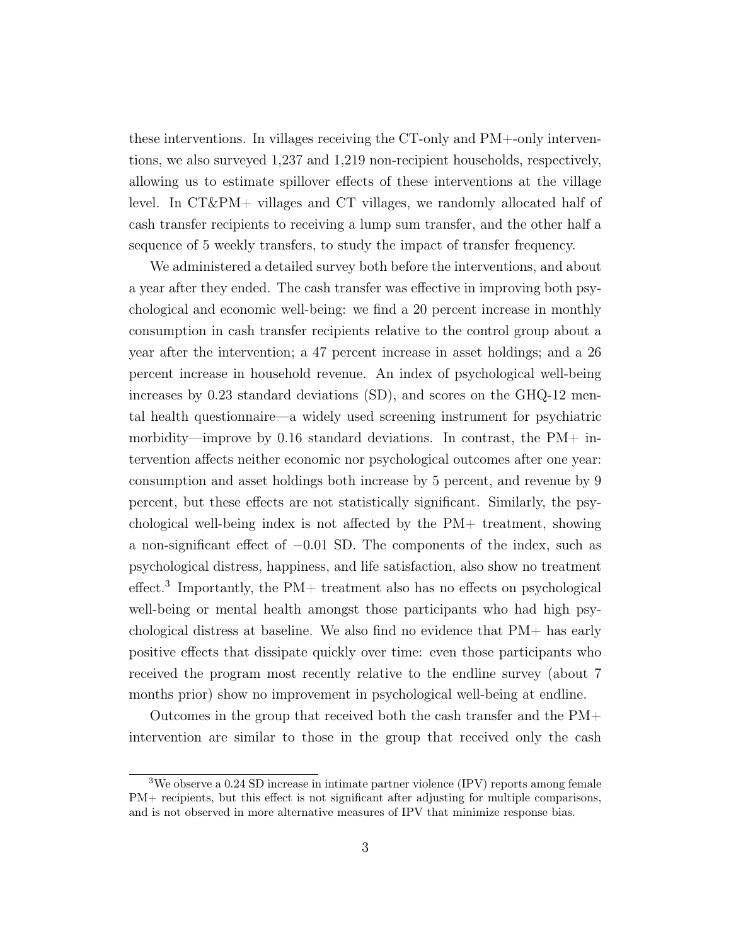these interventions. In villages receiving the CT-only and PM+-only interventions, we also surveyed 1,237 and 1,219 non-recipient households, respectively, allowing us to estimate spillover effects of these interventions at the village level. In CT&PM+ villages and CT villages, we randomly allocated half of cash transfer recipients to receiving a lump sum transfer, and the other half a sequence of 5 weekly transfers, to study the impact of transfer frequency.

We administered a detailed survey both before the interventions, and about a year after they ended. The cash transfer was effective in improving both psychological and economic well-being: we find a 20 percent increase in monthly consumption in cash transfer recipients relative to the control group about a year after the intervention; a 47 percent increase in asset holdings; and a 26 percent increase in household revenue. An index of psychological well-being increases by 0.23 standard deviations (SD), and scores on the GHQ-12 mental health questionnaire—a widely used screening instrument for psychiatric morbidity—improve by 0.16 standard deviations. In contrast, the  $PM+$  intervention affects neither economic nor psychological outcomes after one year: consumption and asset holdings both increase by 5 percent, and revenue by 9 percent, but these effects are not statistically significant. Similarly, the psychological well-being index is not affected by the PM+ treatment, showing a non-significant effect of −0.01 SD. The components of the index, such as psychological distress, happiness, and life satisfaction, also show no treatment  $effect.<sup>3</sup>$  $effect.<sup>3</sup>$  $effect.<sup>3</sup>$  Importantly, the PM+ treatment also has no effects on psychological well-being or mental health amongst those participants who had high psychological distress at baseline. We also find no evidence that PM+ has early positive effects that dissipate quickly over time: even those participants who received the program most recently relative to the endline survey (about 7 months prior) show no improvement in psychological well-being at endline.

Outcomes in the group that received both the cash transfer and the PM+ intervention are similar to those in the group that received only the cash

<sup>3</sup>We observe a 0.24 SD increase in intimate partner violence (IPV) reports among female PM+ recipients, but this effect is not significant after adjusting for multiple comparisons, and is not observed in more alternative measures of IPV that minimize response bias.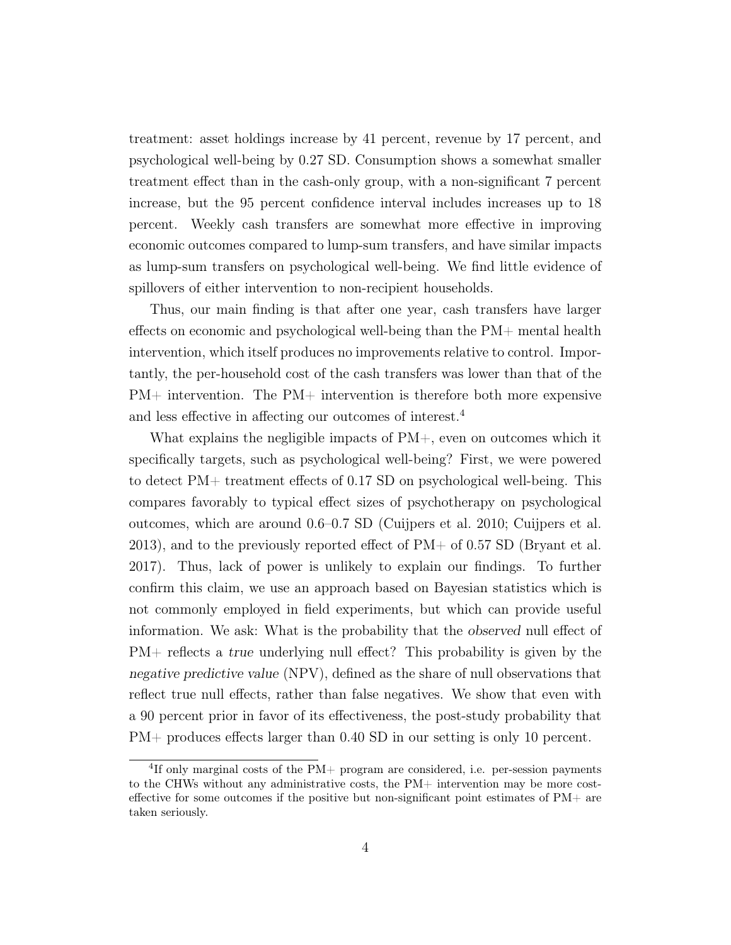treatment: asset holdings increase by 41 percent, revenue by 17 percent, and psychological well-being by 0.27 SD. Consumption shows a somewhat smaller treatment effect than in the cash-only group, with a non-significant 7 percent increase, but the 95 percent confidence interval includes increases up to 18 percent. Weekly cash transfers are somewhat more effective in improving economic outcomes compared to lump-sum transfers, and have similar impacts as lump-sum transfers on psychological well-being. We find little evidence of spillovers of either intervention to non-recipient households.

Thus, our main finding is that after one year, cash transfers have larger effects on economic and psychological well-being than the PM+ mental health intervention, which itself produces no improvements relative to control. Importantly, the per-household cost of the cash transfers was lower than that of the  $PM+$  intervention. The  $PM+$  intervention is therefore both more expensive and less effective in affecting our outcomes of interest.[4](#page--1-0)

What explains the negligible impacts of  $PM+$ , even on outcomes which it specifically targets, such as psychological well-being? First, we were powered to detect PM+ treatment effects of 0.17 SD on psychological well-being. This compares favorably to typical effect sizes of psychotherapy on psychological outcomes, which are around 0.6–0.7 SD [\(Cuijpers et al. 2010;](#page-43-6) [Cuijpers et al.](#page-42-2) [2013\)](#page-42-2), and to the previously reported effect of  $PM+$  of 0.57 SD [\(Bryant et al.](#page-42-1) [2017\)](#page-42-1). Thus, lack of power is unlikely to explain our findings. To further confirm this claim, we use an approach based on Bayesian statistics which is not commonly employed in field experiments, but which can provide useful information. We ask: What is the probability that the observed null effect of PM+ reflects a true underlying null effect? This probability is given by the negative predictive value (NPV), defined as the share of null observations that reflect true null effects, rather than false negatives. We show that even with a 90 percent prior in favor of its effectiveness, the post-study probability that PM+ produces effects larger than 0.40 SD in our setting is only 10 percent.

<sup>4</sup> If only marginal costs of the PM+ program are considered, i.e. per-session payments to the CHWs without any administrative costs, the PM+ intervention may be more costeffective for some outcomes if the positive but non-significant point estimates of PM+ are taken seriously.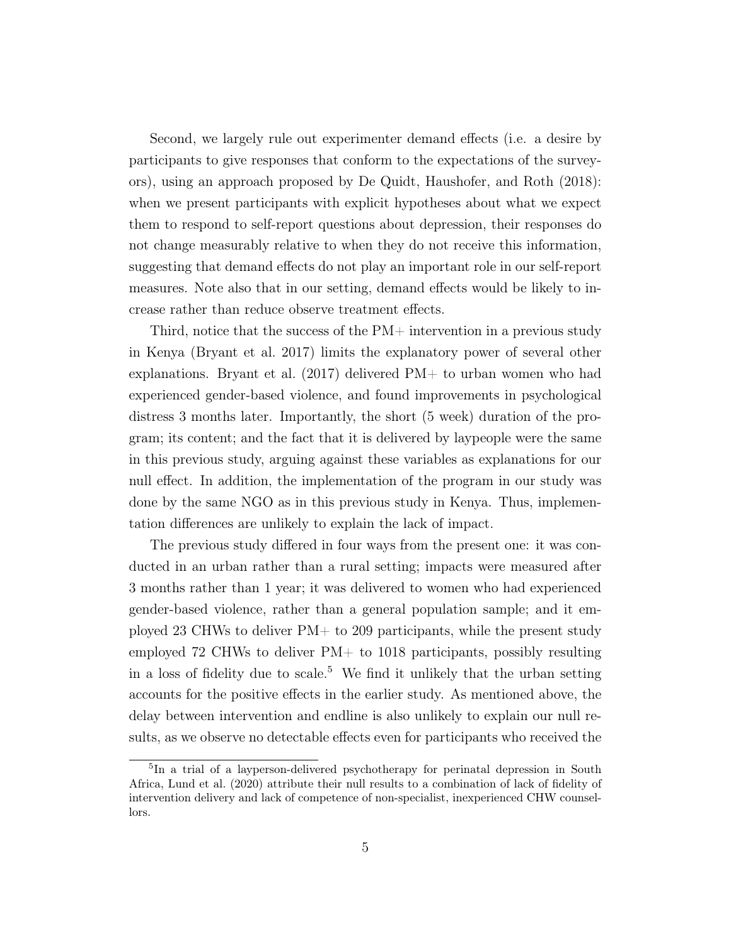Second, we largely rule out experimenter demand effects (i.e. a desire by participants to give responses that conform to the expectations of the surveyors), using an approach proposed by [De Quidt, Haushofer, and Roth \(2018\)](#page-43-7): when we present participants with explicit hypotheses about what we expect them to respond to self-report questions about depression, their responses do not change measurably relative to when they do not receive this information, suggesting that demand effects do not play an important role in our self-report measures. Note also that in our setting, demand effects would be likely to increase rather than reduce observe treatment effects.

Third, notice that the success of the PM+ intervention in a previous study in Kenya [\(Bryant et al. 2017\)](#page-42-1) limits the explanatory power of several other explanations. [Bryant et al. \(2017\)](#page-42-1) delivered PM+ to urban women who had experienced gender-based violence, and found improvements in psychological distress 3 months later. Importantly, the short (5 week) duration of the program; its content; and the fact that it is delivered by laypeople were the same in this previous study, arguing against these variables as explanations for our null effect. In addition, the implementation of the program in our study was done by the same NGO as in this previous study in Kenya. Thus, implementation differences are unlikely to explain the lack of impact.

The previous study differed in four ways from the present one: it was conducted in an urban rather than a rural setting; impacts were measured after 3 months rather than 1 year; it was delivered to women who had experienced gender-based violence, rather than a general population sample; and it employed 23 CHWs to deliver PM+ to 209 participants, while the present study employed 72 CHWs to deliver  $PM+$  to 1018 participants, possibly resulting in a loss of fidelity due to scale.<sup>[5](#page--1-0)</sup> We find it unlikely that the urban setting accounts for the positive effects in the earlier study. As mentioned above, the delay between intervention and endline is also unlikely to explain our null results, as we observe no detectable effects even for participants who received the

<sup>5</sup> In a trial of a layperson-delivered psychotherapy for perinatal depression in South Africa, [Lund et al. \(2020\)](#page-43-8) attribute their null results to a combination of lack of fidelity of intervention delivery and lack of competence of non-specialist, inexperienced CHW counsellors.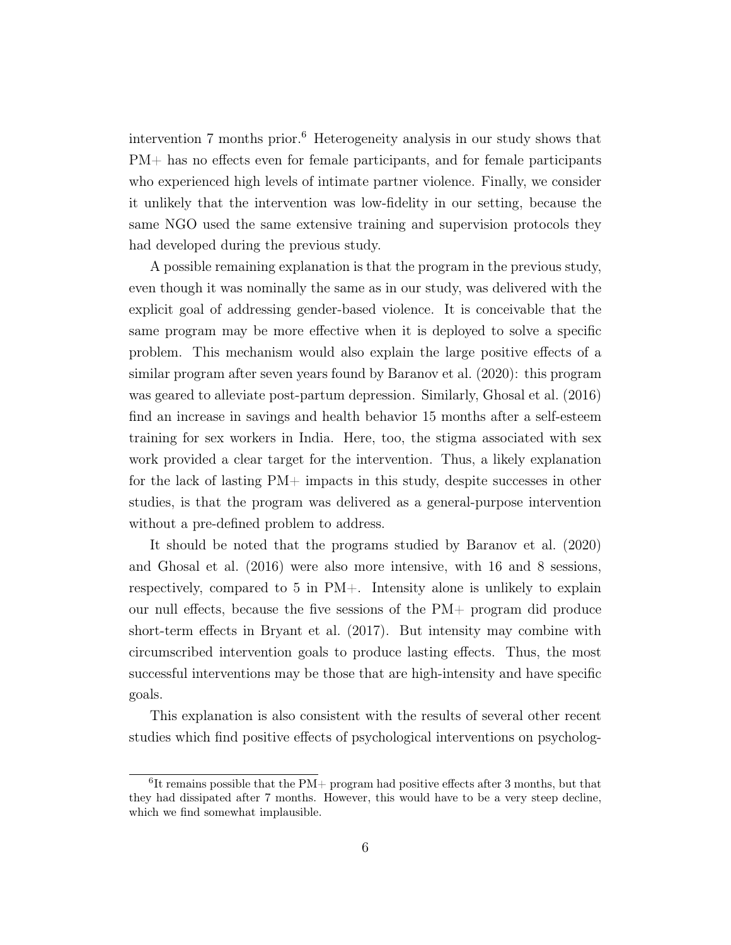intervention  $7$  months prior.<sup>[6](#page--1-0)</sup> Heterogeneity analysis in our study shows that PM+ has no effects even for female participants, and for female participants who experienced high levels of intimate partner violence. Finally, we consider it unlikely that the intervention was low-fidelity in our setting, because the same NGO used the same extensive training and supervision protocols they had developed during the previous study.

A possible remaining explanation is that the program in the previous study, even though it was nominally the same as in our study, was delivered with the explicit goal of addressing gender-based violence. It is conceivable that the same program may be more effective when it is deployed to solve a specific problem. This mechanism would also explain the large positive effects of a similar program after seven years found by [Baranov et al. \(2020\)](#page-42-3): this program was geared to alleviate post-partum depression. Similarly, [Ghosal et al. \(2016\)](#page-43-9) find an increase in savings and health behavior 15 months after a self-esteem training for sex workers in India. Here, too, the stigma associated with sex work provided a clear target for the intervention. Thus, a likely explanation for the lack of lasting PM+ impacts in this study, despite successes in other studies, is that the program was delivered as a general-purpose intervention without a pre-defined problem to address.

It should be noted that the programs studied by [Baranov et al. \(2020\)](#page-42-3) and [Ghosal et al. \(2016\)](#page-43-9) were also more intensive, with 16 and 8 sessions, respectively, compared to 5 in PM+. Intensity alone is unlikely to explain our null effects, because the five sessions of the PM+ program did produce short-term effects in [Bryant et al. \(2017\)](#page-42-1). But intensity may combine with circumscribed intervention goals to produce lasting effects. Thus, the most successful interventions may be those that are high-intensity and have specific goals.

This explanation is also consistent with the results of several other recent studies which find positive effects of psychological interventions on psycholog-

<sup>6</sup> It remains possible that the PM+ program had positive effects after 3 months, but that they had dissipated after 7 months. However, this would have to be a very steep decline, which we find somewhat implausible.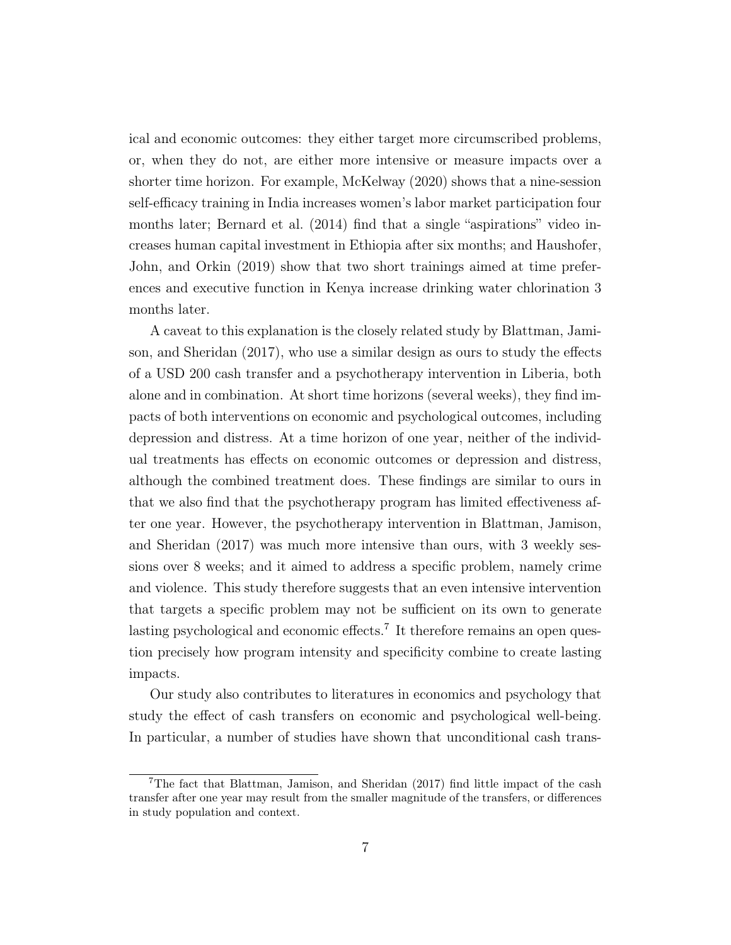ical and economic outcomes: they either target more circumscribed problems, or, when they do not, are either more intensive or measure impacts over a shorter time horizon. For example, [McKelway \(2020\)](#page-43-10) shows that a nine-session self-efficacy training in India increases women's labor market participation four months later; [Bernard et al. \(2014\)](#page-42-4) find that a single "aspirations" video increases human capital investment in Ethiopia after six months; and [Haushofer,](#page-43-11) [John, and Orkin \(2019\)](#page-43-11) show that two short trainings aimed at time preferences and executive function in Kenya increase drinking water chlorination 3 months later.

A caveat to this explanation is the closely related study by [Blattman, Jami](#page-42-5)[son, and Sheridan \(2017\)](#page-42-5), who use a similar design as ours to study the effects of a USD 200 cash transfer and a psychotherapy intervention in Liberia, both alone and in combination. At short time horizons (several weeks), they find impacts of both interventions on economic and psychological outcomes, including depression and distress. At a time horizon of one year, neither of the individual treatments has effects on economic outcomes or depression and distress, although the combined treatment does. These findings are similar to ours in that we also find that the psychotherapy program has limited effectiveness after one year. However, the psychotherapy intervention in [Blattman, Jamison,](#page-42-5) [and Sheridan \(2017\)](#page-42-5) was much more intensive than ours, with 3 weekly sessions over 8 weeks; and it aimed to address a specific problem, namely crime and violence. This study therefore suggests that an even intensive intervention that targets a specific problem may not be sufficient on its own to generate lasting psychological and economic effects.<sup>[7](#page--1-0)</sup> It therefore remains an open question precisely how program intensity and specificity combine to create lasting impacts.

Our study also contributes to literatures in economics and psychology that study the effect of cash transfers on economic and psychological well-being. In particular, a number of studies have shown that unconditional cash trans-

<sup>7</sup>The fact that [Blattman, Jamison, and Sheridan \(2017\)](#page-42-5) find little impact of the cash transfer after one year may result from the smaller magnitude of the transfers, or differences in study population and context.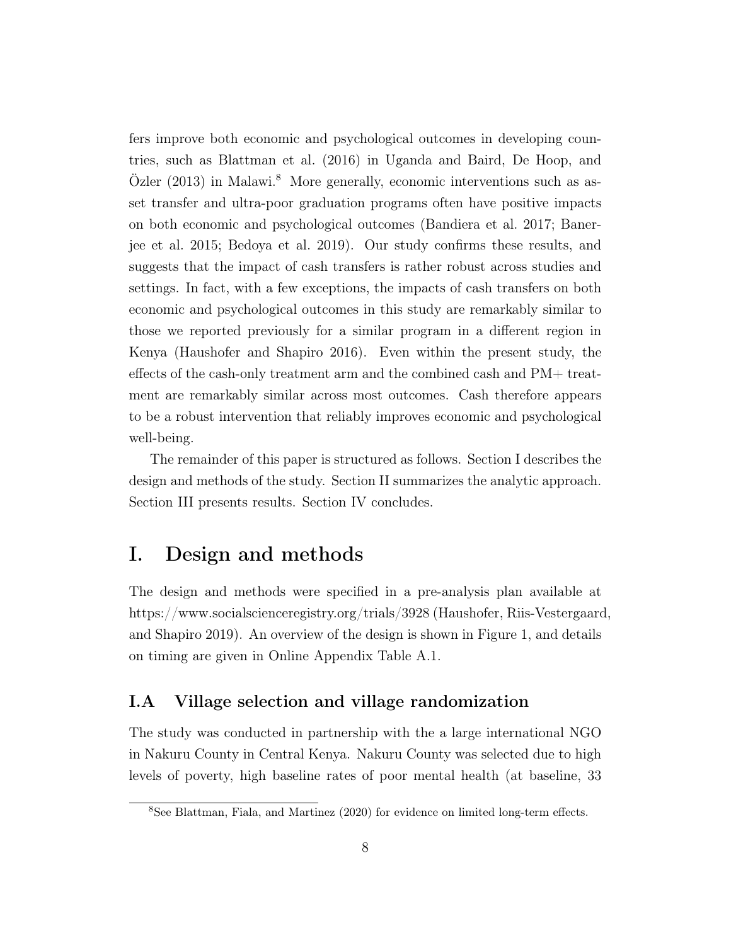fers improve both economic and psychological outcomes in developing countries, such as [Blattman et al. \(2016\)](#page-42-6) in Uganda and [Baird, De Hoop, and](#page-42-7)  $\ddot{O}$ zler (2013) in Malawi.<sup>[8](#page--1-0)</sup> More generally, economic interventions such as asset transfer and ultra-poor graduation programs often have positive impacts on both economic and psychological outcomes [\(Bandiera et al. 2017;](#page-42-8) [Baner](#page-42-9)[jee et al. 2015;](#page-42-9) [Bedoya et al. 2019\)](#page-42-10). Our study confirms these results, and suggests that the impact of cash transfers is rather robust across studies and settings. In fact, with a few exceptions, the impacts of cash transfers on both economic and psychological outcomes in this study are remarkably similar to those we reported previously for a similar program in a different region in Kenya [\(Haushofer and Shapiro 2016\)](#page-43-12). Even within the present study, the effects of the cash-only treatment arm and the combined cash and PM+ treatment are remarkably similar across most outcomes. Cash therefore appears to be a robust intervention that reliably improves economic and psychological well-being.

The remainder of this paper is structured as follows. Section [I](#page-8-0) describes the design and methods of the study. Section [II](#page-22-0) summarizes the analytic approach. Section [III](#page-26-0) presents results. Section [IV](#page-40-0) concludes.

# <span id="page-8-0"></span>I. Design and methods

The design and methods were specified in a pre-analysis plan available at <https://www.socialscienceregistry.org/trials/3928> [\(Haushofer, Riis-Vestergaard](#page-43-13), [and Shapiro 2019\)](#page-43-13). An overview of the design is shown in Figure [1,](#page-44-0) and details on timing are given in Online Appendix Table [A.1.](#page-54-0)

# I.A Village selection and village randomization

The study was conducted in partnership with the a large international NGO in Nakuru County in Central Kenya. Nakuru County was selected due to high levels of poverty, high baseline rates of poor mental health (at baseline, 33

<sup>8</sup>See [Blattman, Fiala, and Martinez \(2020\)](#page-42-11) for evidence on limited long-term effects.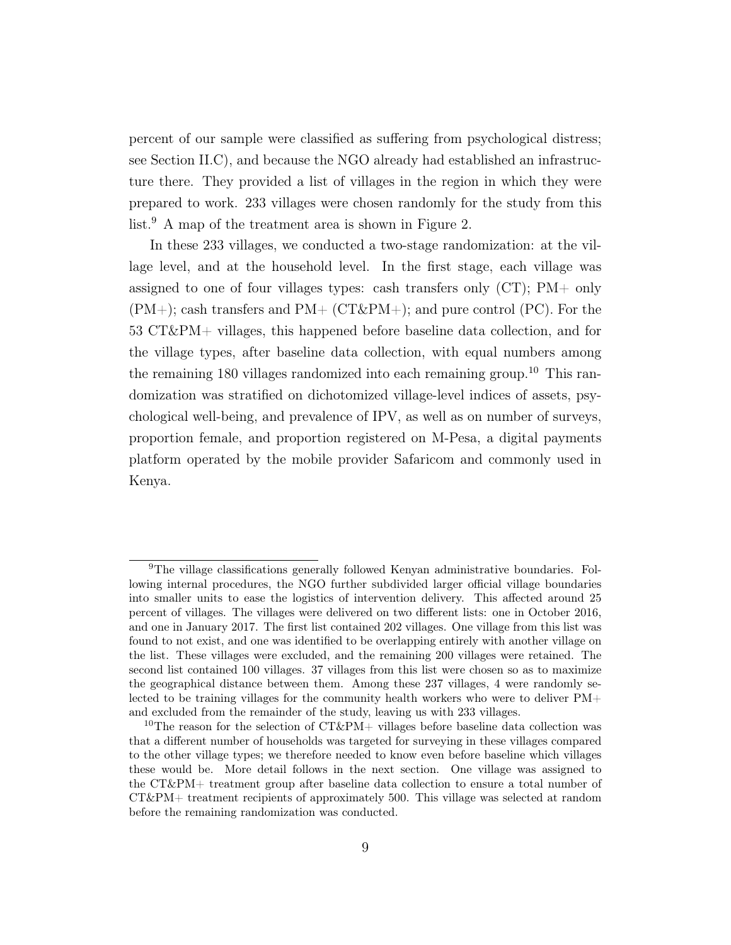percent of our sample were classified as suffering from psychological distress; see Section [II.C\)](#page-24-0), and because the NGO already had established an infrastructure there. They provided a list of villages in the region in which they were prepared to work. 233 villages were chosen randomly for the study from this list.<sup>[9](#page--1-0)</sup> A map of the treatment area is shown in Figure [2.](#page-45-0)

In these 233 villages, we conducted a two-stage randomization: at the village level, and at the household level. In the first stage, each village was assigned to one of four villages types: cash transfers only (CT); PM+ only  $(PM+)$ ; cash transfers and  $PM+$  (CT&PM+); and pure control (PC). For the 53 CT&PM+ villages, this happened before baseline data collection, and for the village types, after baseline data collection, with equal numbers among the remaining 180 villages randomized into each remaining group.<sup>[10](#page--1-0)</sup> This randomization was stratified on dichotomized village-level indices of assets, psychological well-being, and prevalence of IPV, as well as on number of surveys, proportion female, and proportion registered on M-Pesa, a digital payments platform operated by the mobile provider Safaricom and commonly used in Kenya.

<sup>9</sup>The village classifications generally followed Kenyan administrative boundaries. Following internal procedures, the NGO further subdivided larger official village boundaries into smaller units to ease the logistics of intervention delivery. This affected around 25 percent of villages. The villages were delivered on two different lists: one in October 2016, and one in January 2017. The first list contained 202 villages. One village from this list was found to not exist, and one was identified to be overlapping entirely with another village on the list. These villages were excluded, and the remaining 200 villages were retained. The second list contained 100 villages. 37 villages from this list were chosen so as to maximize the geographical distance between them. Among these 237 villages, 4 were randomly selected to be training villages for the community health workers who were to deliver PM+ and excluded from the remainder of the study, leaving us with 233 villages.

<sup>&</sup>lt;sup>10</sup>The reason for the selection of  $CT\&PM+$  villages before baseline data collection was that a different number of households was targeted for surveying in these villages compared to the other village types; we therefore needed to know even before baseline which villages these would be. More detail follows in the next section. One village was assigned to the CT&PM+ treatment group after baseline data collection to ensure a total number of CT&PM+ treatment recipients of approximately 500. This village was selected at random before the remaining randomization was conducted.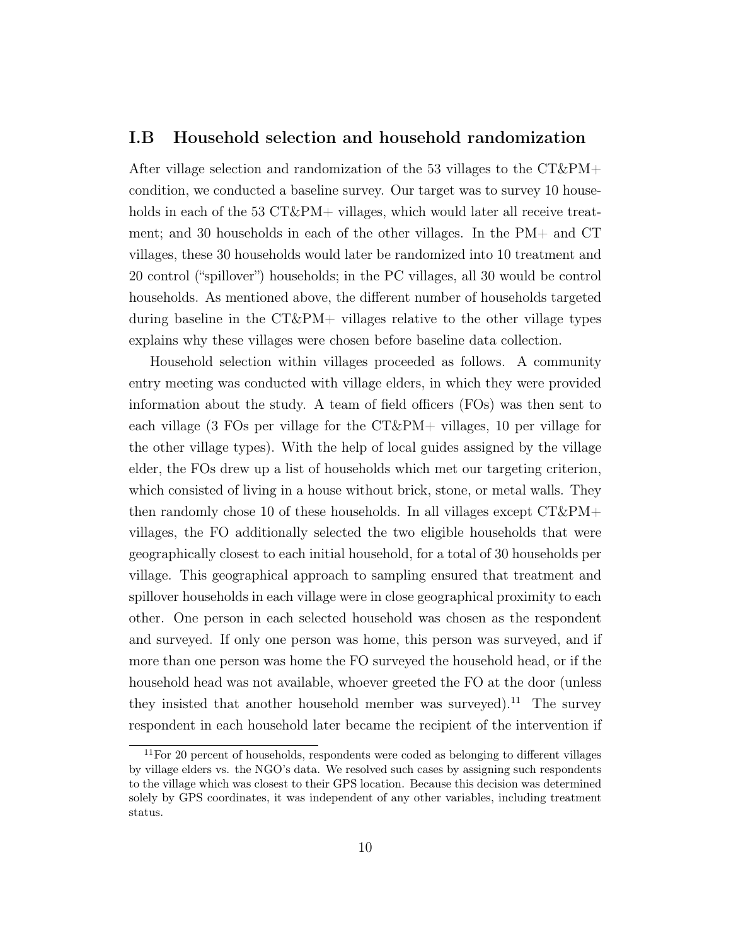## I.B Household selection and household randomization

After village selection and randomization of the 53 villages to the  $CT\&PM+$ condition, we conducted a baseline survey. Our target was to survey 10 households in each of the 53 CT&PM+ villages, which would later all receive treatment; and 30 households in each of the other villages. In the PM+ and CT villages, these 30 households would later be randomized into 10 treatment and 20 control ("spillover") households; in the PC villages, all 30 would be control households. As mentioned above, the different number of households targeted during baseline in the  $CT\&PM+$  villages relative to the other village types explains why these villages were chosen before baseline data collection.

Household selection within villages proceeded as follows. A community entry meeting was conducted with village elders, in which they were provided information about the study. A team of field officers (FOs) was then sent to each village (3 FOs per village for the  $CT\&PM+$  villages, 10 per village for the other village types). With the help of local guides assigned by the village elder, the FOs drew up a list of households which met our targeting criterion, which consisted of living in a house without brick, stone, or metal walls. They then randomly chose 10 of these households. In all villages except  $CT\&PM+$ villages, the FO additionally selected the two eligible households that were geographically closest to each initial household, for a total of 30 households per village. This geographical approach to sampling ensured that treatment and spillover households in each village were in close geographical proximity to each other. One person in each selected household was chosen as the respondent and surveyed. If only one person was home, this person was surveyed, and if more than one person was home the FO surveyed the household head, or if the household head was not available, whoever greeted the FO at the door (unless they insisted that another household member was surveyed).<sup>[11](#page--1-0)</sup> The survey respondent in each household later became the recipient of the intervention if

<sup>&</sup>lt;sup>11</sup>For 20 percent of households, respondents were coded as belonging to different villages by village elders vs. the NGO's data. We resolved such cases by assigning such respondents to the village which was closest to their GPS location. Because this decision was determined solely by GPS coordinates, it was independent of any other variables, including treatment status.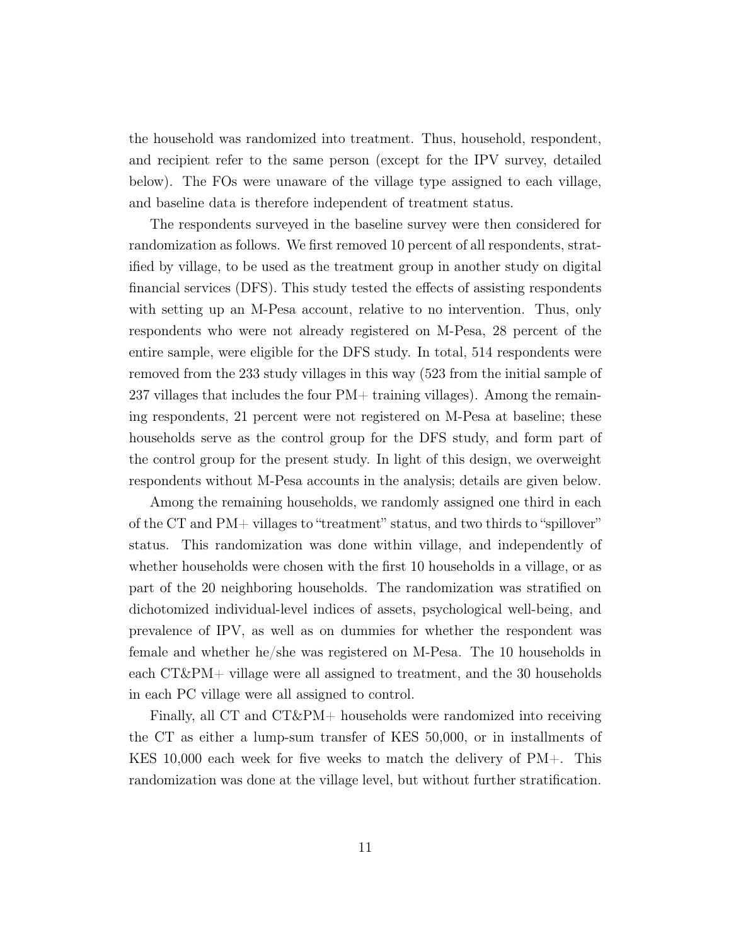the household was randomized into treatment. Thus, household, respondent, and recipient refer to the same person (except for the IPV survey, detailed below). The FOs were unaware of the village type assigned to each village, and baseline data is therefore independent of treatment status.

The respondents surveyed in the baseline survey were then considered for randomization as follows. We first removed 10 percent of all respondents, stratified by village, to be used as the treatment group in another study on digital financial services (DFS). This study tested the effects of assisting respondents with setting up an M-Pesa account, relative to no intervention. Thus, only respondents who were not already registered on M-Pesa, 28 percent of the entire sample, were eligible for the DFS study. In total, 514 respondents were removed from the 233 study villages in this way (523 from the initial sample of 237 villages that includes the four  $PM+$  training villages). Among the remaining respondents, 21 percent were not registered on M-Pesa at baseline; these households serve as the control group for the DFS study, and form part of the control group for the present study. In light of this design, we overweight respondents without M-Pesa accounts in the analysis; details are given below.

Among the remaining households, we randomly assigned one third in each of the CT and PM+ villages to "treatment" status, and two thirds to "spillover" status. This randomization was done within village, and independently of whether households were chosen with the first 10 households in a village, or as part of the 20 neighboring households. The randomization was stratified on dichotomized individual-level indices of assets, psychological well-being, and prevalence of IPV, as well as on dummies for whether the respondent was female and whether he/she was registered on M-Pesa. The 10 households in each CT&PM+ village were all assigned to treatment, and the 30 households in each PC village were all assigned to control.

Finally, all CT and CT&PM+ households were randomized into receiving the CT as either a lump-sum transfer of KES 50,000, or in installments of KES 10,000 each week for five weeks to match the delivery of PM+. This randomization was done at the village level, but without further stratification.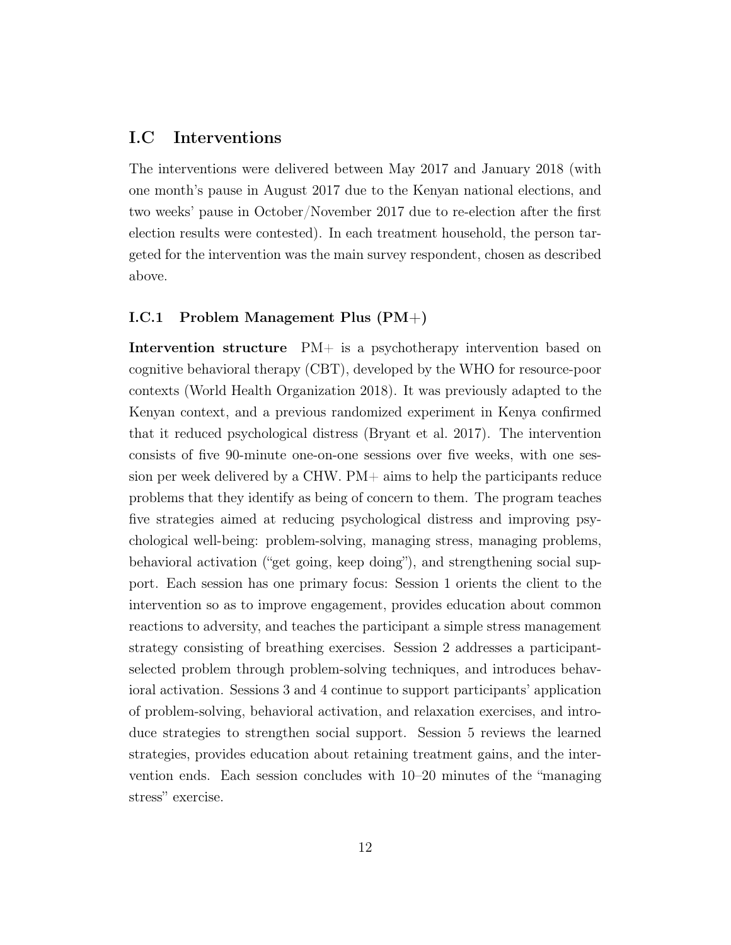# I.C Interventions

The interventions were delivered between May 2017 and January 2018 (with one month's pause in August 2017 due to the Kenyan national elections, and two weeks' pause in October/November 2017 due to re-election after the first election results were contested). In each treatment household, the person targeted for the intervention was the main survey respondent, chosen as described above.

#### I.C.1 Problem Management Plus (PM+)

Intervention structure PM+ is a psychotherapy intervention based on cognitive behavioral therapy (CBT), developed by the WHO for resource-poor contexts [\(World Health Organization 2018\)](#page-43-14). It was previously adapted to the Kenyan context, and a previous randomized experiment in Kenya confirmed that it reduced psychological distress [\(Bryant et al. 2017\)](#page-42-1). The intervention consists of five 90-minute one-on-one sessions over five weeks, with one session per week delivered by a CHW. PM+ aims to help the participants reduce problems that they identify as being of concern to them. The program teaches five strategies aimed at reducing psychological distress and improving psychological well-being: problem-solving, managing stress, managing problems, behavioral activation ("get going, keep doing"), and strengthening social support. Each session has one primary focus: Session 1 orients the client to the intervention so as to improve engagement, provides education about common reactions to adversity, and teaches the participant a simple stress management strategy consisting of breathing exercises. Session 2 addresses a participantselected problem through problem-solving techniques, and introduces behavioral activation. Sessions 3 and 4 continue to support participants' application of problem-solving, behavioral activation, and relaxation exercises, and introduce strategies to strengthen social support. Session 5 reviews the learned strategies, provides education about retaining treatment gains, and the intervention ends. Each session concludes with 10–20 minutes of the "managing stress" exercise.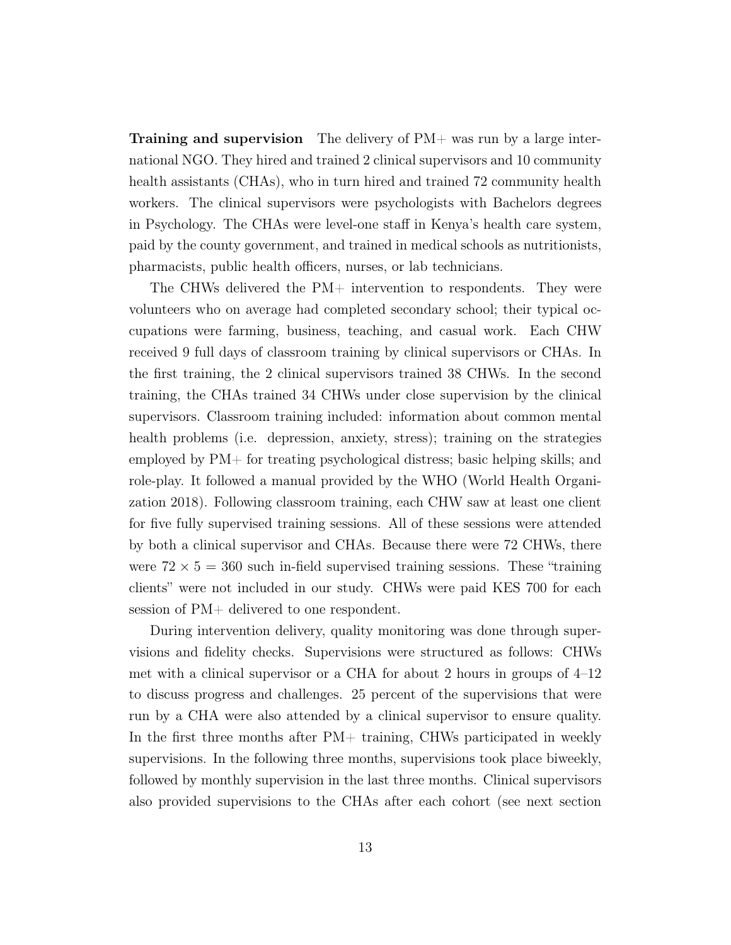**Training and supervision** The delivery of  $PM+$  was run by a large international NGO. They hired and trained 2 clinical supervisors and 10 community health assistants (CHAs), who in turn hired and trained 72 community health workers. The clinical supervisors were psychologists with Bachelors degrees in Psychology. The CHAs were level-one staff in Kenya's health care system, paid by the county government, and trained in medical schools as nutritionists, pharmacists, public health officers, nurses, or lab technicians.

The CHWs delivered the PM+ intervention to respondents. They were volunteers who on average had completed secondary school; their typical occupations were farming, business, teaching, and casual work. Each CHW received 9 full days of classroom training by clinical supervisors or CHAs. In the first training, the 2 clinical supervisors trained 38 CHWs. In the second training, the CHAs trained 34 CHWs under close supervision by the clinical supervisors. Classroom training included: information about common mental health problems (i.e. depression, anxiety, stress); training on the strategies employed by PM+ for treating psychological distress; basic helping skills; and role-play. It followed a manual provided by the WHO [\(World Health Organi](#page-43-14)[zation 2018\)](#page-43-14). Following classroom training, each CHW saw at least one client for five fully supervised training sessions. All of these sessions were attended by both a clinical supervisor and CHAs. Because there were 72 CHWs, there were  $72 \times 5 = 360$  such in-field supervised training sessions. These "training" clients" were not included in our study. CHWs were paid KES 700 for each session of PM+ delivered to one respondent.

During intervention delivery, quality monitoring was done through supervisions and fidelity checks. Supervisions were structured as follows: CHWs met with a clinical supervisor or a CHA for about 2 hours in groups of 4–12 to discuss progress and challenges. 25 percent of the supervisions that were run by a CHA were also attended by a clinical supervisor to ensure quality. In the first three months after PM+ training, CHWs participated in weekly supervisions. In the following three months, supervisions took place biweekly, followed by monthly supervision in the last three months. Clinical supervisors also provided supervisions to the CHAs after each cohort (see next section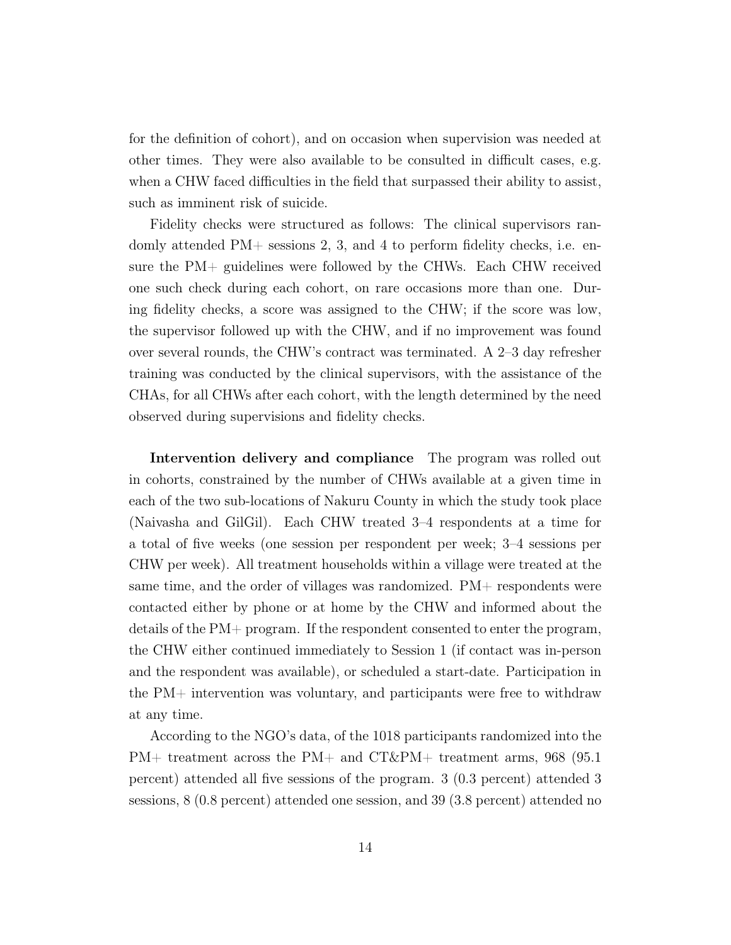for the definition of cohort), and on occasion when supervision was needed at other times. They were also available to be consulted in difficult cases, e.g. when a CHW faced difficulties in the field that surpassed their ability to assist, such as imminent risk of suicide.

Fidelity checks were structured as follows: The clinical supervisors randomly attended  $PM+$  sessions 2, 3, and 4 to perform fidelity checks, i.e. ensure the PM+ guidelines were followed by the CHWs. Each CHW received one such check during each cohort, on rare occasions more than one. During fidelity checks, a score was assigned to the CHW; if the score was low, the supervisor followed up with the CHW, and if no improvement was found over several rounds, the CHW's contract was terminated. A 2–3 day refresher training was conducted by the clinical supervisors, with the assistance of the CHAs, for all CHWs after each cohort, with the length determined by the need observed during supervisions and fidelity checks.

Intervention delivery and compliance The program was rolled out in cohorts, constrained by the number of CHWs available at a given time in each of the two sub-locations of Nakuru County in which the study took place (Naivasha and GilGil). Each CHW treated 3–4 respondents at a time for a total of five weeks (one session per respondent per week; 3–4 sessions per CHW per week). All treatment households within a village were treated at the same time, and the order of villages was randomized. PM+ respondents were contacted either by phone or at home by the CHW and informed about the details of the PM+ program. If the respondent consented to enter the program, the CHW either continued immediately to Session 1 (if contact was in-person and the respondent was available), or scheduled a start-date. Participation in the PM+ intervention was voluntary, and participants were free to withdraw at any time.

According to the NGO's data, of the 1018 participants randomized into the PM+ treatment across the PM+ and CT&PM+ treatment arms, 968 (95.1 percent) attended all five sessions of the program. 3 (0.3 percent) attended 3 sessions, 8 (0.8 percent) attended one session, and 39 (3.8 percent) attended no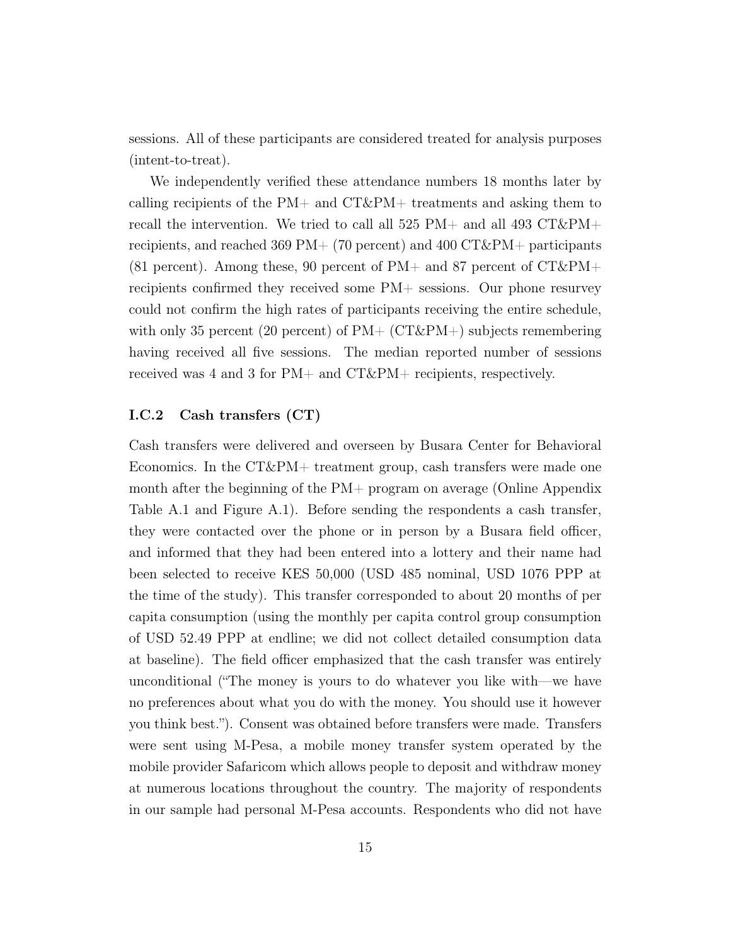sessions. All of these participants are considered treated for analysis purposes (intent-to-treat).

We independently verified these attendance numbers 18 months later by calling recipients of the  $PM+$  and  $CT\&PM+$  treatments and asking them to recall the intervention. We tried to call all 525 PM+ and all 493 CT&PM+ recipients, and reached 369 PM +  $(70 \text{ percent})$  and 400 CT & PM + participants  $(81 \text{ percent})$ . Among these, 90 percent of PM+ and 87 percent of CT&PM+ recipients confirmed they received some PM+ sessions. Our phone resurvey could not confirm the high rates of participants receiving the entire schedule, with only 35 percent (20 percent) of  $PM+$  (CT&PM+) subjects remembering having received all five sessions. The median reported number of sessions received was 4 and 3 for PM+ and CT&PM+ recipients, respectively.

### I.C.2 Cash transfers (CT)

Cash transfers were delivered and overseen by Busara Center for Behavioral Economics. In the CT&PM+ treatment group, cash transfers were made one month after the beginning of the PM+ program on average (Online Appendix Table [A.1](#page-54-0) and Figure [A.1\)](#page-55-0). Before sending the respondents a cash transfer, they were contacted over the phone or in person by a Busara field officer, and informed that they had been entered into a lottery and their name had been selected to receive KES 50,000 (USD 485 nominal, USD 1076 PPP at the time of the study). This transfer corresponded to about 20 months of per capita consumption (using the monthly per capita control group consumption of USD 52.49 PPP at endline; we did not collect detailed consumption data at baseline). The field officer emphasized that the cash transfer was entirely unconditional ("The money is yours to do whatever you like with—we have no preferences about what you do with the money. You should use it however you think best."). Consent was obtained before transfers were made. Transfers were sent using M-Pesa, a mobile money transfer system operated by the mobile provider Safaricom which allows people to deposit and withdraw money at numerous locations throughout the country. The majority of respondents in our sample had personal M-Pesa accounts. Respondents who did not have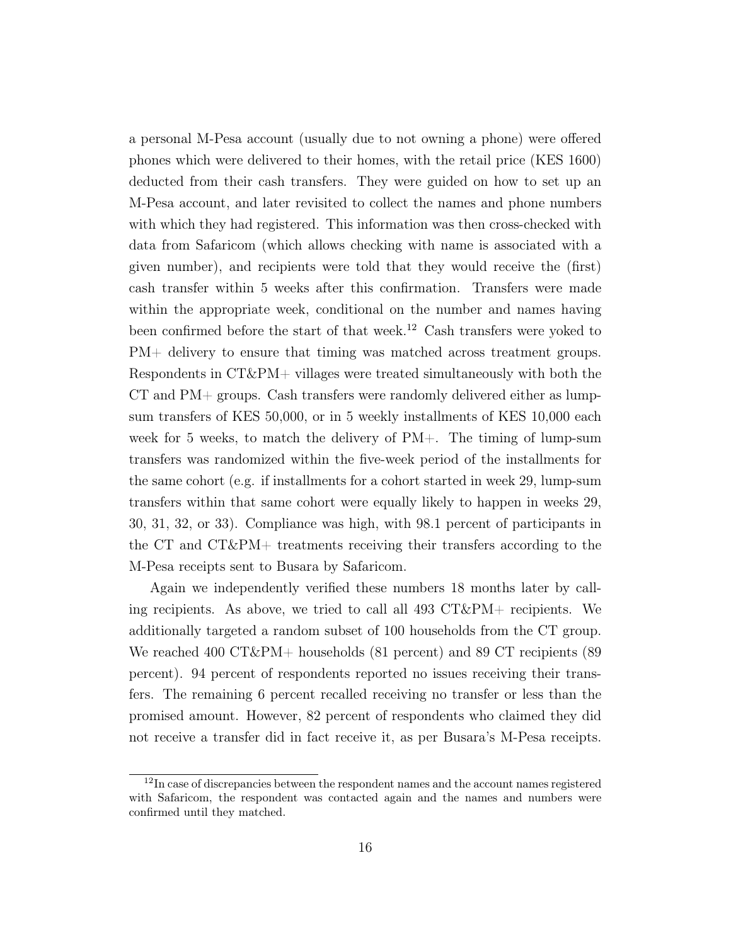a personal M-Pesa account (usually due to not owning a phone) were offered phones which were delivered to their homes, with the retail price (KES 1600) deducted from their cash transfers. They were guided on how to set up an M-Pesa account, and later revisited to collect the names and phone numbers with which they had registered. This information was then cross-checked with data from Safaricom (which allows checking with name is associated with a given number), and recipients were told that they would receive the (first) cash transfer within 5 weeks after this confirmation. Transfers were made within the appropriate week, conditional on the number and names having been confirmed before the start of that week.[12](#page--1-0) Cash transfers were yoked to PM+ delivery to ensure that timing was matched across treatment groups. Respondents in CT&PM+ villages were treated simultaneously with both the CT and PM+ groups. Cash transfers were randomly delivered either as lumpsum transfers of KES 50,000, or in 5 weekly installments of KES 10,000 each week for 5 weeks, to match the delivery of PM+. The timing of lump-sum transfers was randomized within the five-week period of the installments for the same cohort (e.g. if installments for a cohort started in week 29, lump-sum transfers within that same cohort were equally likely to happen in weeks 29, 30, 31, 32, or 33). Compliance was high, with 98.1 percent of participants in the CT and CT&PM+ treatments receiving their transfers according to the M-Pesa receipts sent to Busara by Safaricom.

Again we independently verified these numbers 18 months later by calling recipients. As above, we tried to call all 493 CT&PM+ recipients. We additionally targeted a random subset of 100 households from the CT group. We reached 400 CT&PM+ households (81 percent) and 89 CT recipients (89 percent). 94 percent of respondents reported no issues receiving their transfers. The remaining 6 percent recalled receiving no transfer or less than the promised amount. However, 82 percent of respondents who claimed they did not receive a transfer did in fact receive it, as per Busara's M-Pesa receipts.

<sup>&</sup>lt;sup>12</sup>In case of discrepancies between the respondent names and the account names registered with Safaricom, the respondent was contacted again and the names and numbers were confirmed until they matched.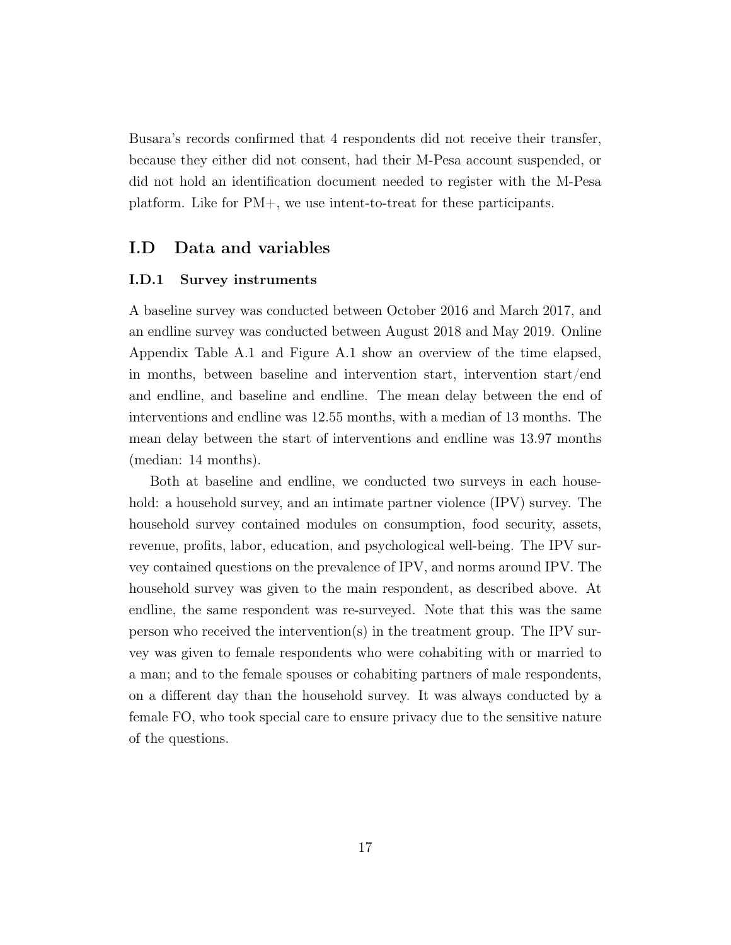Busara's records confirmed that 4 respondents did not receive their transfer, because they either did not consent, had their M-Pesa account suspended, or did not hold an identification document needed to register with the M-Pesa platform. Like for PM+, we use intent-to-treat for these participants.

# I.D Data and variables

#### I.D.1 Survey instruments

A baseline survey was conducted between October 2016 and March 2017, and an endline survey was conducted between August 2018 and May 2019. Online Appendix Table [A.1](#page-54-0) and Figure [A.1](#page-55-0) show an overview of the time elapsed, in months, between baseline and intervention start, intervention start/end and endline, and baseline and endline. The mean delay between the end of interventions and endline was 12.55 months, with a median of 13 months. The mean delay between the start of interventions and endline was 13.97 months (median: 14 months).

Both at baseline and endline, we conducted two surveys in each household: a household survey, and an intimate partner violence (IPV) survey. The household survey contained modules on consumption, food security, assets, revenue, profits, labor, education, and psychological well-being. The IPV survey contained questions on the prevalence of IPV, and norms around IPV. The household survey was given to the main respondent, as described above. At endline, the same respondent was re-surveyed. Note that this was the same person who received the intervention(s) in the treatment group. The IPV survey was given to female respondents who were cohabiting with or married to a man; and to the female spouses or cohabiting partners of male respondents, on a different day than the household survey. It was always conducted by a female FO, who took special care to ensure privacy due to the sensitive nature of the questions.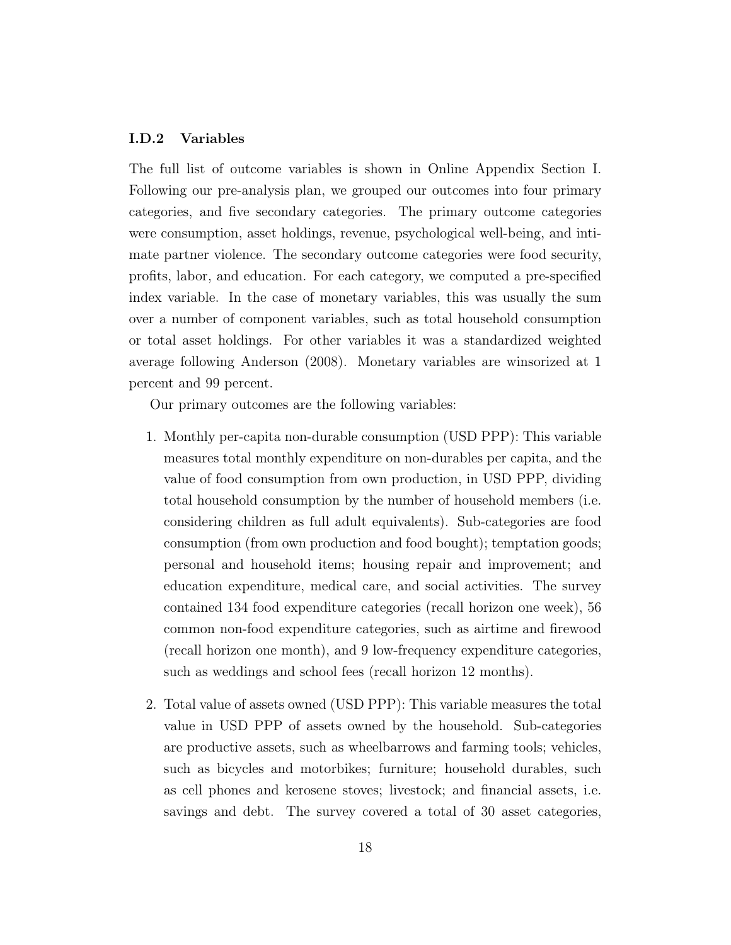#### I.D.2 Variables

The full list of outcome variables is shown in Online Appendix Section [I.](#page-82-0) Following our pre-analysis plan, we grouped our outcomes into four primary categories, and five secondary categories. The primary outcome categories were consumption, asset holdings, revenue, psychological well-being, and intimate partner violence. The secondary outcome categories were food security, profits, labor, and education. For each category, we computed a pre-specified index variable. In the case of monetary variables, this was usually the sum over a number of component variables, such as total household consumption or total asset holdings. For other variables it was a standardized weighted average following [Anderson \(2008\)](#page-42-12). Monetary variables are winsorized at 1 percent and 99 percent.

Our primary outcomes are the following variables:

- 1. Monthly per-capita non-durable consumption (USD PPP): This variable measures total monthly expenditure on non-durables per capita, and the value of food consumption from own production, in USD PPP, dividing total household consumption by the number of household members (i.e. considering children as full adult equivalents). Sub-categories are food consumption (from own production and food bought); temptation goods; personal and household items; housing repair and improvement; and education expenditure, medical care, and social activities. The survey contained 134 food expenditure categories (recall horizon one week), 56 common non-food expenditure categories, such as airtime and firewood (recall horizon one month), and 9 low-frequency expenditure categories, such as weddings and school fees (recall horizon 12 months).
- 2. Total value of assets owned (USD PPP): This variable measures the total value in USD PPP of assets owned by the household. Sub-categories are productive assets, such as wheelbarrows and farming tools; vehicles, such as bicycles and motorbikes; furniture; household durables, such as cell phones and kerosene stoves; livestock; and financial assets, i.e. savings and debt. The survey covered a total of 30 asset categories,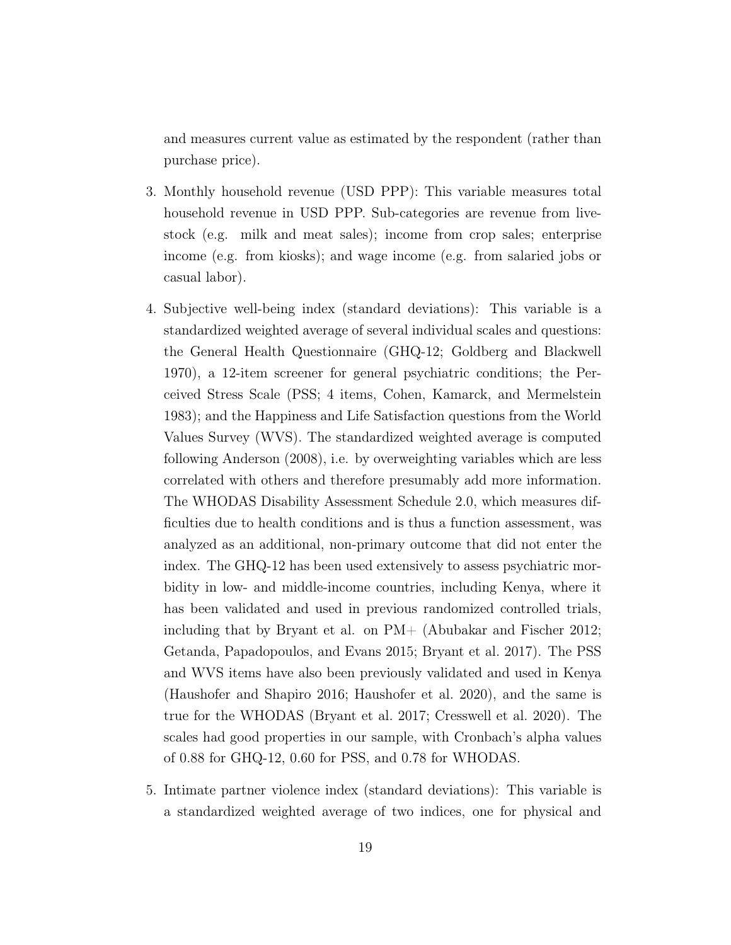and measures current value as estimated by the respondent (rather than purchase price).

- 3. Monthly household revenue (USD PPP): This variable measures total household revenue in USD PPP. Sub-categories are revenue from livestock (e.g. milk and meat sales); income from crop sales; enterprise income (e.g. from kiosks); and wage income (e.g. from salaried jobs or casual labor).
- 4. Subjective well-being index (standard deviations): This variable is a standardized weighted average of several individual scales and questions: the General Health Questionnaire (GHQ-12; [Goldberg and Blackwell](#page-43-15) [1970\)](#page-43-15), a 12-item screener for general psychiatric conditions; the Perceived Stress Scale (PSS; 4 items, [Cohen, Kamarck, and Mermelstein](#page-42-13) [1983\)](#page-42-13); and the Happiness and Life Satisfaction questions from the World Values Survey (WVS). The standardized weighted average is computed following [Anderson \(2008\)](#page-42-12), i.e. by overweighting variables which are less correlated with others and therefore presumably add more information. The WHODAS Disability Assessment Schedule 2.0, which measures difficulties due to health conditions and is thus a function assessment, was analyzed as an additional, non-primary outcome that did not enter the index. The GHQ-12 has been used extensively to assess psychiatric morbidity in low- and middle-income countries, including Kenya, where it has been validated and used in previous randomized controlled trials, including that by Bryant et al. on PM+ [\(Abubakar and Fischer 2012;](#page-42-14) [Getanda, Papadopoulos, and Evans 2015;](#page-43-16) [Bryant et al. 2017\)](#page-42-1). The PSS and WVS items have also been previously validated and used in Kenya [\(Haushofer and Shapiro 2016;](#page-43-12) [Haushofer et al. 2020\)](#page-43-17), and the same is true for the WHODAS [\(Bryant et al. 2017;](#page-42-1) [Cresswell et al. 2020\)](#page-42-15). The scales had good properties in our sample, with Cronbach's alpha values of 0.88 for GHQ-12, 0.60 for PSS, and 0.78 for WHODAS.
- 5. Intimate partner violence index (standard deviations): This variable is a standardized weighted average of two indices, one for physical and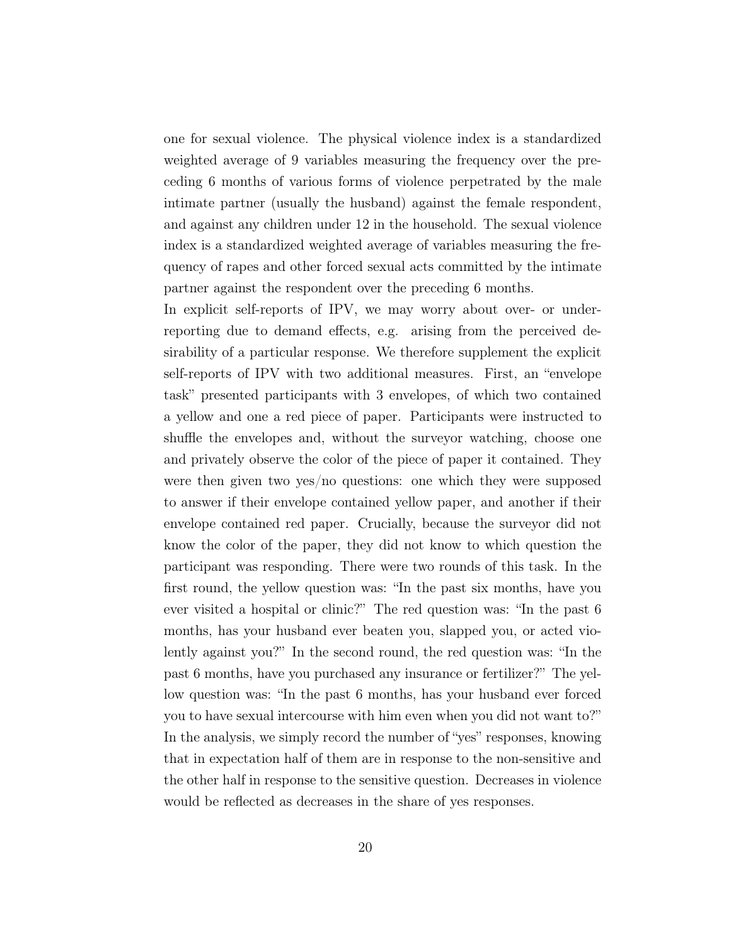one for sexual violence. The physical violence index is a standardized weighted average of 9 variables measuring the frequency over the preceding 6 months of various forms of violence perpetrated by the male intimate partner (usually the husband) against the female respondent, and against any children under 12 in the household. The sexual violence index is a standardized weighted average of variables measuring the frequency of rapes and other forced sexual acts committed by the intimate partner against the respondent over the preceding 6 months.

In explicit self-reports of IPV, we may worry about over- or underreporting due to demand effects, e.g. arising from the perceived desirability of a particular response. We therefore supplement the explicit self-reports of IPV with two additional measures. First, an "envelope task" presented participants with 3 envelopes, of which two contained a yellow and one a red piece of paper. Participants were instructed to shuffle the envelopes and, without the surveyor watching, choose one and privately observe the color of the piece of paper it contained. They were then given two yes/no questions: one which they were supposed to answer if their envelope contained yellow paper, and another if their envelope contained red paper. Crucially, because the surveyor did not know the color of the paper, they did not know to which question the participant was responding. There were two rounds of this task. In the first round, the yellow question was: "In the past six months, have you ever visited a hospital or clinic?" The red question was: "In the past 6 months, has your husband ever beaten you, slapped you, or acted violently against you?" In the second round, the red question was: "In the past 6 months, have you purchased any insurance or fertilizer?" The yellow question was: "In the past 6 months, has your husband ever forced you to have sexual intercourse with him even when you did not want to?" In the analysis, we simply record the number of "yes" responses, knowing that in expectation half of them are in response to the non-sensitive and the other half in response to the sensitive question. Decreases in violence would be reflected as decreases in the share of yes responses.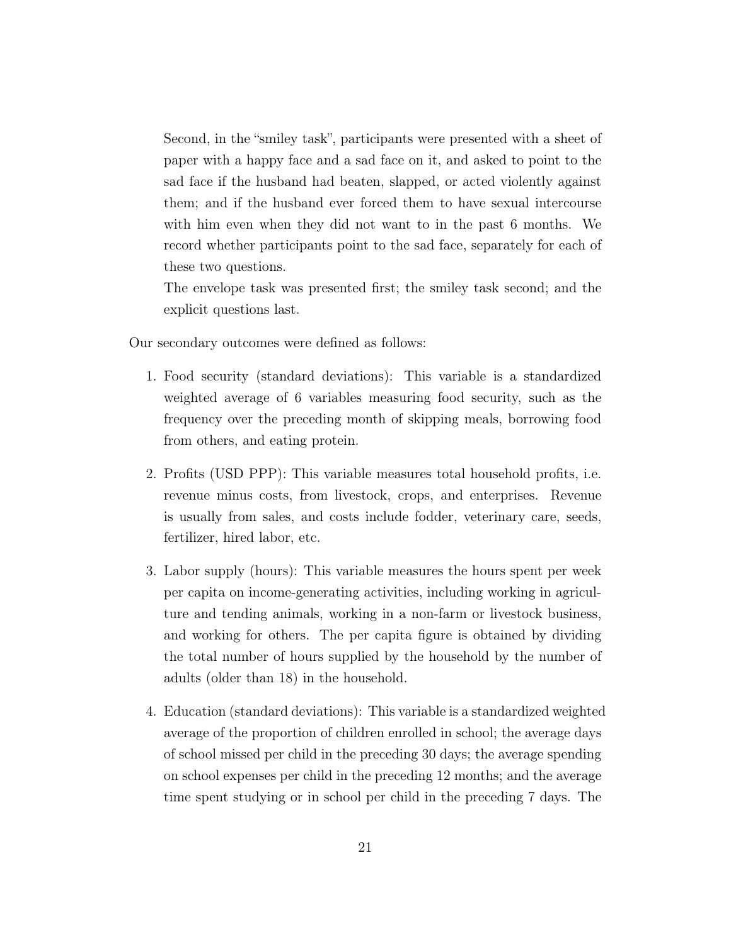Second, in the "smiley task", participants were presented with a sheet of paper with a happy face and a sad face on it, and asked to point to the sad face if the husband had beaten, slapped, or acted violently against them; and if the husband ever forced them to have sexual intercourse with him even when they did not want to in the past 6 months. We record whether participants point to the sad face, separately for each of these two questions.

The envelope task was presented first; the smiley task second; and the explicit questions last.

Our secondary outcomes were defined as follows:

- 1. Food security (standard deviations): This variable is a standardized weighted average of 6 variables measuring food security, such as the frequency over the preceding month of skipping meals, borrowing food from others, and eating protein.
- 2. Profits (USD PPP): This variable measures total household profits, i.e. revenue minus costs, from livestock, crops, and enterprises. Revenue is usually from sales, and costs include fodder, veterinary care, seeds, fertilizer, hired labor, etc.
- 3. Labor supply (hours): This variable measures the hours spent per week per capita on income-generating activities, including working in agriculture and tending animals, working in a non-farm or livestock business, and working for others. The per capita figure is obtained by dividing the total number of hours supplied by the household by the number of adults (older than 18) in the household.
- 4. Education (standard deviations): This variable is a standardized weighted average of the proportion of children enrolled in school; the average days of school missed per child in the preceding 30 days; the average spending on school expenses per child in the preceding 12 months; and the average time spent studying or in school per child in the preceding 7 days. The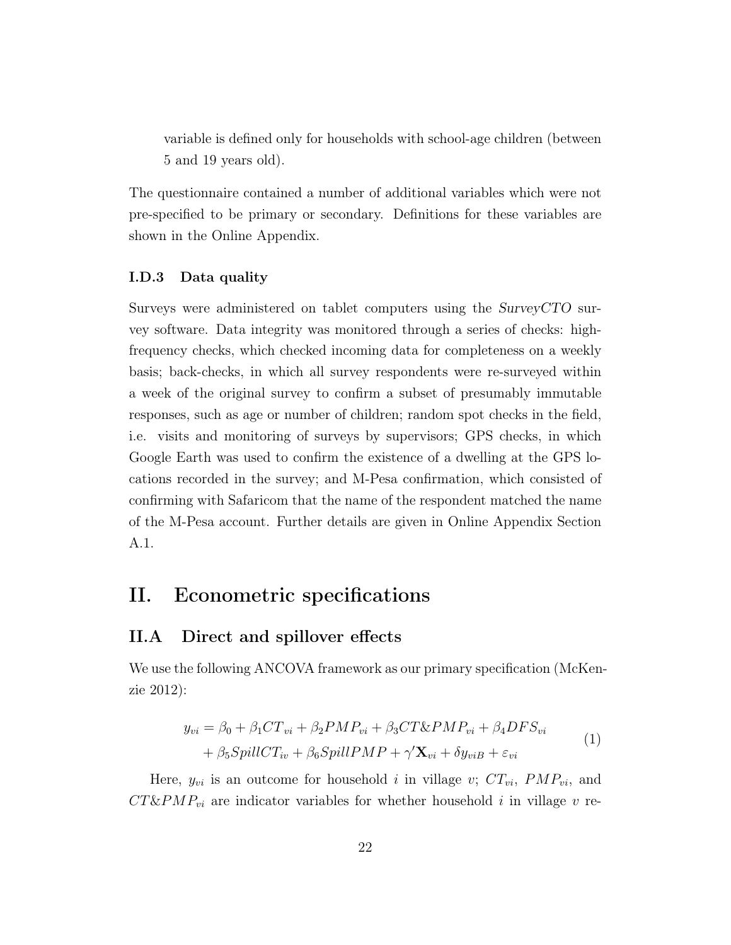variable is defined only for households with school-age children (between 5 and 19 years old).

The questionnaire contained a number of additional variables which were not pre-specified to be primary or secondary. Definitions for these variables are shown in the Online Appendix.

#### I.D.3 Data quality

Surveys were administered on tablet computers using the SurveyCTO survey software. Data integrity was monitored through a series of checks: highfrequency checks, which checked incoming data for completeness on a weekly basis; back-checks, in which all survey respondents were re-surveyed within a week of the original survey to confirm a subset of presumably immutable responses, such as age or number of children; random spot checks in the field, i.e. visits and monitoring of surveys by supervisors; GPS checks, in which Google Earth was used to confirm the existence of a dwelling at the GPS locations recorded in the survey; and M-Pesa confirmation, which consisted of confirming with Safaricom that the name of the respondent matched the name of the M-Pesa account. Further details are given in Online Appendix Section [A.1.](#page-52-0)

# <span id="page-22-0"></span>II. Econometric specifications

# II.A Direct and spillover effects

We use the following ANCOVA framework as our primary specification [\(McKen](#page-43-18)[zie 2012\)](#page-43-18):

<span id="page-22-1"></span>
$$
y_{vi} = \beta_0 + \beta_1 CT_{vi} + \beta_2 PMP_{vi} + \beta_3 CT \& PMP_{vi} + \beta_4 DFS_{vi}
$$
  
+  $\beta_5 SpillCT_{iv} + \beta_6 SpillPMP + \gamma' \mathbf{X}_{vi} + \delta y_{viB} + \varepsilon_{vi}$  (1)

Here,  $y_{vi}$  is an outcome for household i in village v;  $CT_{vi}$ ,  $PMP_{vi}$ , and  $CT\&PMP_{vi}$  are indicator variables for whether household i in village v re-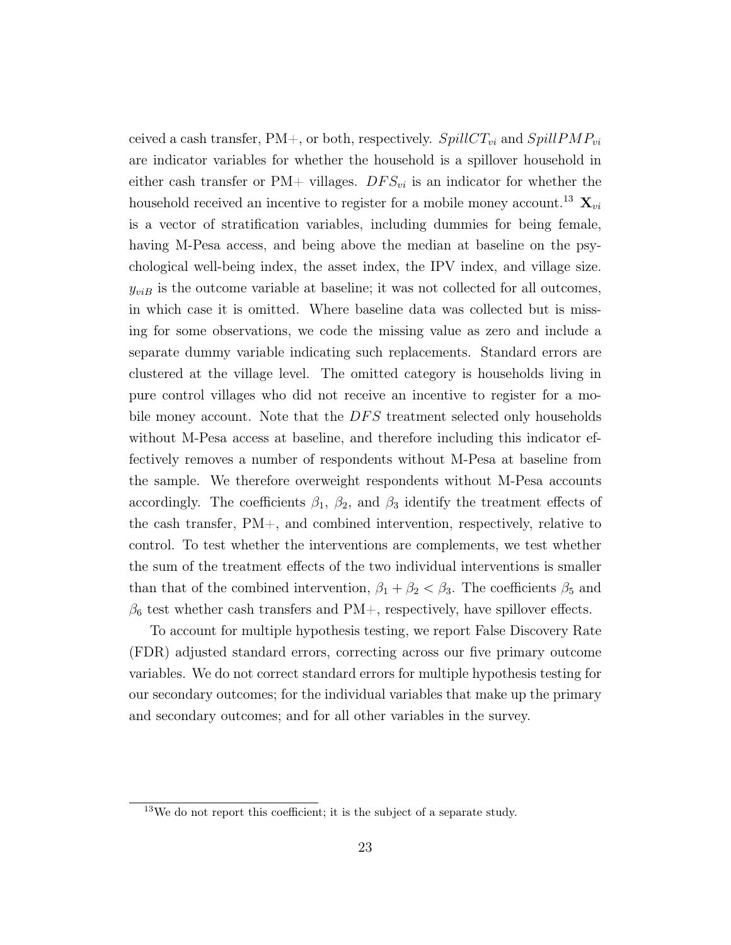ceived a cash transfer, PM+, or both, respectively.  $SpillCT_{vi}$  and  $SpillPMP_{vi}$ are indicator variables for whether the household is a spillover household in either cash transfer or PM+ villages.  $DFS_{vi}$  is an indicator for whether the household received an incentive to register for a mobile money account.<sup>[13](#page--1-0)</sup>  $\mathbf{X}_{vi}$ is a vector of stratification variables, including dummies for being female, having M-Pesa access, and being above the median at baseline on the psychological well-being index, the asset index, the IPV index, and village size.  $y_{viB}$  is the outcome variable at baseline; it was not collected for all outcomes, in which case it is omitted. Where baseline data was collected but is missing for some observations, we code the missing value as zero and include a separate dummy variable indicating such replacements. Standard errors are clustered at the village level. The omitted category is households living in pure control villages who did not receive an incentive to register for a mobile money account. Note that the DFS treatment selected only households without M-Pesa access at baseline, and therefore including this indicator effectively removes a number of respondents without M-Pesa at baseline from the sample. We therefore overweight respondents without M-Pesa accounts accordingly. The coefficients  $\beta_1$ ,  $\beta_2$ , and  $\beta_3$  identify the treatment effects of the cash transfer, PM+, and combined intervention, respectively, relative to control. To test whether the interventions are complements, we test whether the sum of the treatment effects of the two individual interventions is smaller than that of the combined intervention,  $\beta_1 + \beta_2 < \beta_3$ . The coefficients  $\beta_5$  and  $\beta_6$  test whether cash transfers and PM+, respectively, have spillover effects.

To account for multiple hypothesis testing, we report False Discovery Rate (FDR) adjusted standard errors, correcting across our five primary outcome variables. We do not correct standard errors for multiple hypothesis testing for our secondary outcomes; for the individual variables that make up the primary and secondary outcomes; and for all other variables in the survey.

<sup>13</sup>We do not report this coefficient; it is the subject of a separate study.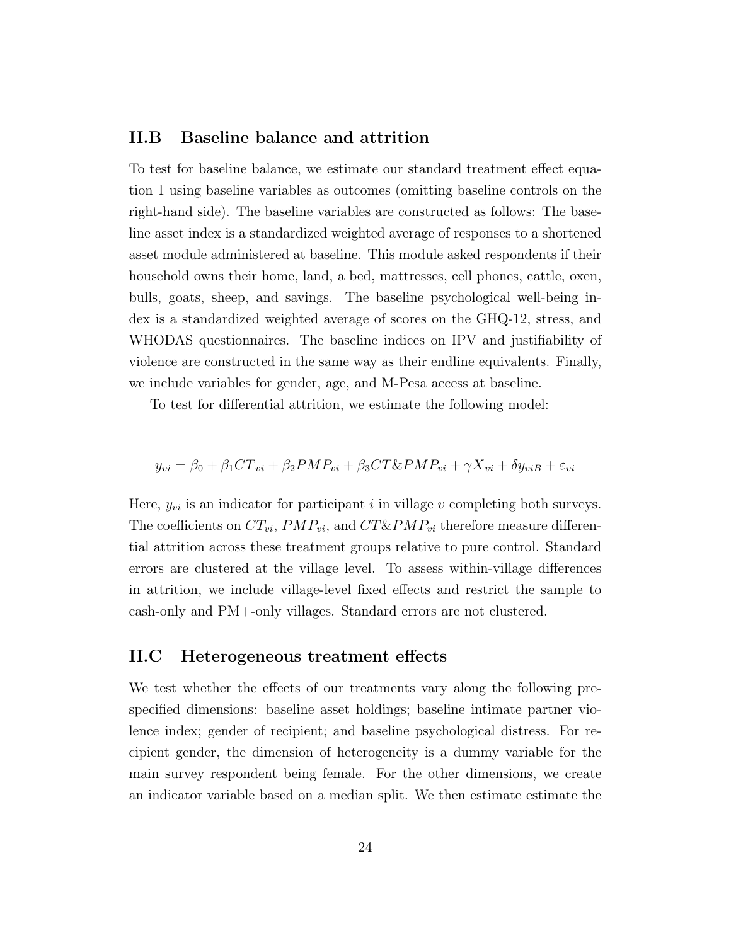# II.B Baseline balance and attrition

To test for baseline balance, we estimate our standard treatment effect equation [1](#page-22-1) using baseline variables as outcomes (omitting baseline controls on the right-hand side). The baseline variables are constructed as follows: The baseline asset index is a standardized weighted average of responses to a shortened asset module administered at baseline. This module asked respondents if their household owns their home, land, a bed, mattresses, cell phones, cattle, oxen, bulls, goats, sheep, and savings. The baseline psychological well-being index is a standardized weighted average of scores on the GHQ-12, stress, and WHODAS questionnaires. The baseline indices on IPV and justifiability of violence are constructed in the same way as their endline equivalents. Finally, we include variables for gender, age, and M-Pesa access at baseline.

To test for differential attrition, we estimate the following model:

$$
y_{vi} = \beta_0 + \beta_1 CT_{vi} + \beta_2 PMP_{vi} + \beta_3 CT \& PMP_{vi} + \gamma X_{vi} + \delta y_{viB} + \varepsilon_{vi}
$$

Here,  $y_{vi}$  is an indicator for participant i in village v completing both surveys. The coefficients on  $CT_{vi}$ ,  $PMP_{vi}$ , and  $CT\&PMP_{vi}$  therefore measure differential attrition across these treatment groups relative to pure control. Standard errors are clustered at the village level. To assess within-village differences in attrition, we include village-level fixed effects and restrict the sample to cash-only and PM+-only villages. Standard errors are not clustered.

### <span id="page-24-0"></span>II.C Heterogeneous treatment effects

We test whether the effects of our treatments vary along the following prespecified dimensions: baseline asset holdings; baseline intimate partner violence index; gender of recipient; and baseline psychological distress. For recipient gender, the dimension of heterogeneity is a dummy variable for the main survey respondent being female. For the other dimensions, we create an indicator variable based on a median split. We then estimate estimate the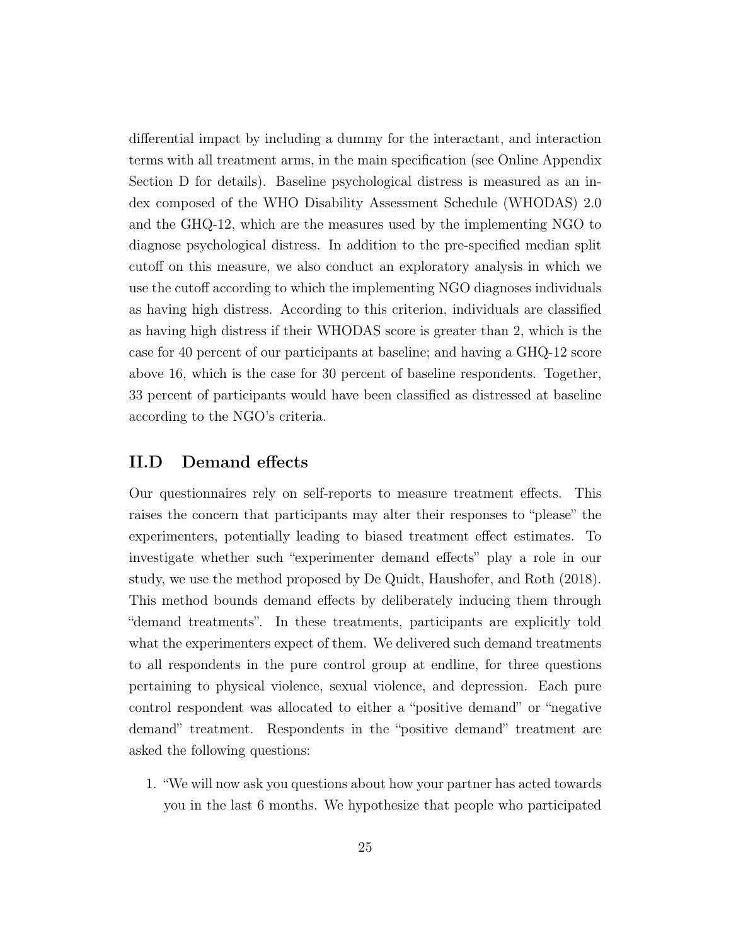differential impact by including a dummy for the interactant, and interaction terms with all treatment arms, in the main specification (see Online Appendix Section [D](#page-72-0) for details). Baseline psychological distress is measured as an index composed of the WHO Disability Assessment Schedule (WHODAS) 2.0 and the GHQ-12, which are the measures used by the implementing NGO to diagnose psychological distress. In addition to the pre-specified median split cutoff on this measure, we also conduct an exploratory analysis in which we use the cutoff according to which the implementing NGO diagnoses individuals as having high distress. According to this criterion, individuals are classified as having high distress if their WHODAS score is greater than 2, which is the case for 40 percent of our participants at baseline; and having a GHQ-12 score above 16, which is the case for 30 percent of baseline respondents. Together, 33 percent of participants would have been classified as distressed at baseline according to the NGO's criteria.

# II.D Demand effects

Our questionnaires rely on self-reports to measure treatment effects. This raises the concern that participants may alter their responses to "please" the experimenters, potentially leading to biased treatment effect estimates. To investigate whether such "experimenter demand effects" play a role in our study, we use the method proposed by [De Quidt, Haushofer, and Roth \(2018\)](#page-43-7). This method bounds demand effects by deliberately inducing them through "demand treatments". In these treatments, participants are explicitly told what the experimenters expect of them. We delivered such demand treatments to all respondents in the pure control group at endline, for three questions pertaining to physical violence, sexual violence, and depression. Each pure control respondent was allocated to either a "positive demand" or "negative demand" treatment. Respondents in the "positive demand" treatment are asked the following questions:

1. "We will now ask you questions about how your partner has acted towards you in the last 6 months. We hypothesize that people who participated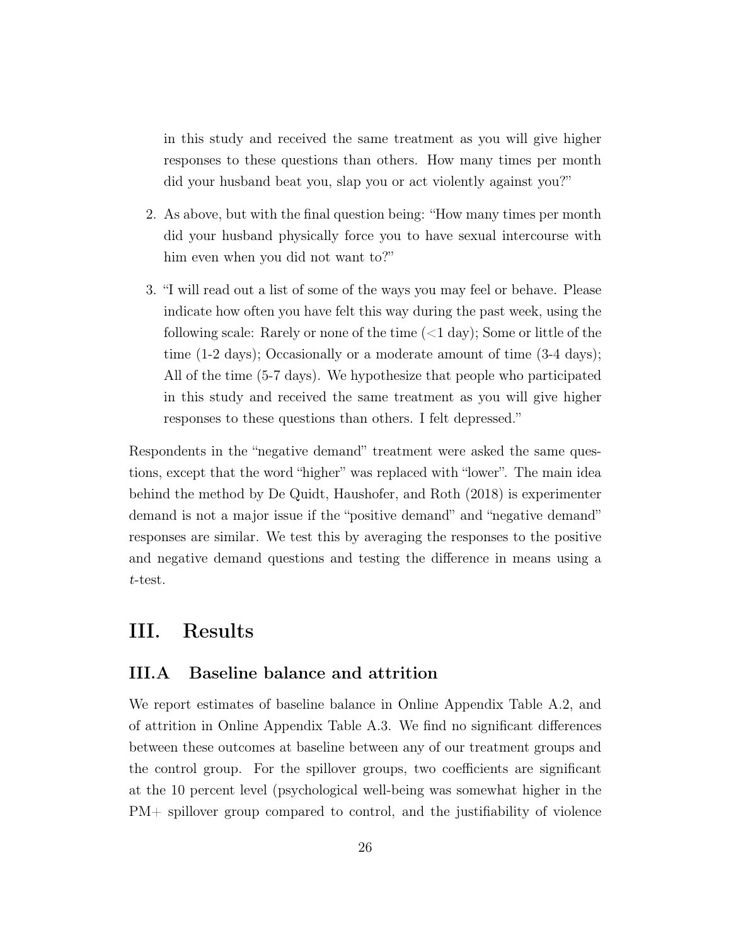in this study and received the same treatment as you will give higher responses to these questions than others. How many times per month did your husband beat you, slap you or act violently against you?"

- 2. As above, but with the final question being: "How many times per month did your husband physically force you to have sexual intercourse with him even when you did not want to?"
- 3. "I will read out a list of some of the ways you may feel or behave. Please indicate how often you have felt this way during the past week, using the following scale: Rarely or none of the time  $(<1 \text{ day})$ ; Some or little of the time (1-2 days); Occasionally or a moderate amount of time (3-4 days); All of the time (5-7 days). We hypothesize that people who participated in this study and received the same treatment as you will give higher responses to these questions than others. I felt depressed."

Respondents in the "negative demand" treatment were asked the same questions, except that the word "higher" was replaced with "lower". The main idea behind the method by [De Quidt, Haushofer, and Roth \(2018\)](#page-43-7) is experimenter demand is not a major issue if the "positive demand" and "negative demand" responses are similar. We test this by averaging the responses to the positive and negative demand questions and testing the difference in means using a t-test.

# <span id="page-26-0"></span>III. Results

### III.A Baseline balance and attrition

We report estimates of baseline balance in Online Appendix Table [A.2,](#page-56-0) and of attrition in Online Appendix Table [A.3.](#page-57-0) We find no significant differences between these outcomes at baseline between any of our treatment groups and the control group. For the spillover groups, two coefficients are significant at the 10 percent level (psychological well-being was somewhat higher in the PM+ spillover group compared to control, and the justifiability of violence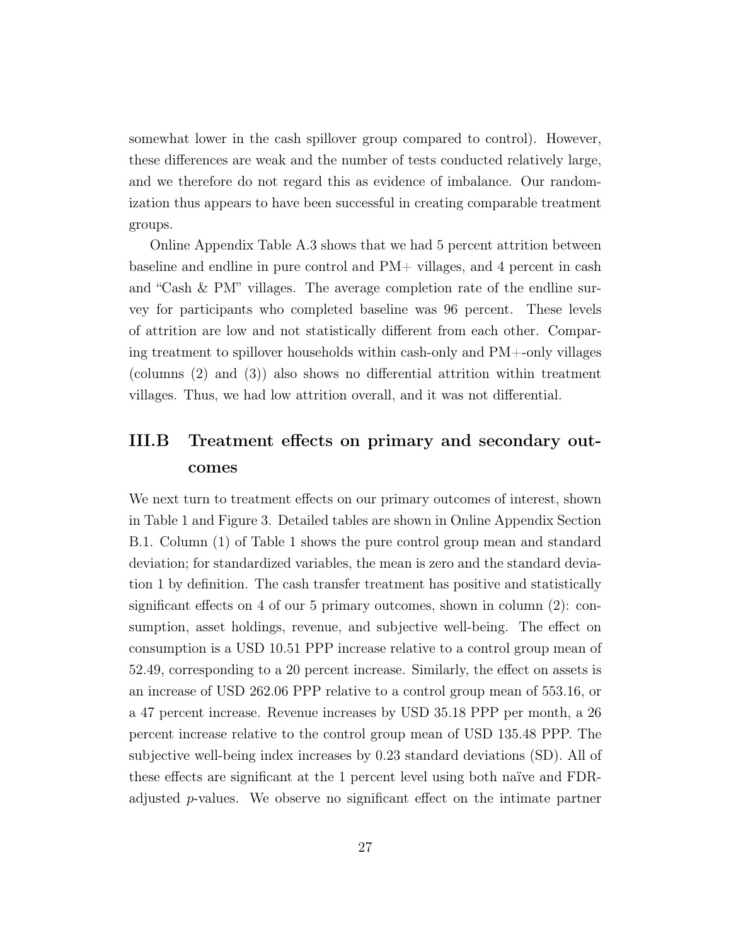somewhat lower in the cash spillover group compared to control). However, these differences are weak and the number of tests conducted relatively large, and we therefore do not regard this as evidence of imbalance. Our randomization thus appears to have been successful in creating comparable treatment groups.

Online Appendix Table [A.3](#page-57-0) shows that we had 5 percent attrition between baseline and endline in pure control and PM+ villages, and 4 percent in cash and "Cash & PM" villages. The average completion rate of the endline survey for participants who completed baseline was 96 percent. These levels of attrition are low and not statistically different from each other. Comparing treatment to spillover households within cash-only and PM+-only villages (columns (2) and (3)) also shows no differential attrition within treatment villages. Thus, we had low attrition overall, and it was not differential.

# III.B Treatment effects on primary and secondary outcomes

We next turn to treatment effects on our primary outcomes of interest, shown in Table [1](#page-47-0) and Figure [3.](#page-46-0) Detailed tables are shown in Online Appendix Section [B.1.](#page-58-0) Column (1) of Table [1](#page-47-0) shows the pure control group mean and standard deviation; for standardized variables, the mean is zero and the standard deviation 1 by definition. The cash transfer treatment has positive and statistically significant effects on 4 of our 5 primary outcomes, shown in column (2): consumption, asset holdings, revenue, and subjective well-being. The effect on consumption is a USD 10.51 PPP increase relative to a control group mean of 52.49, corresponding to a 20 percent increase. Similarly, the effect on assets is an increase of USD 262.06 PPP relative to a control group mean of 553.16, or a 47 percent increase. Revenue increases by USD 35.18 PPP per month, a 26 percent increase relative to the control group mean of USD 135.48 PPP. The subjective well-being index increases by 0.23 standard deviations (SD). All of these effects are significant at the 1 percent level using both naïve and FDRadjusted p-values. We observe no significant effect on the intimate partner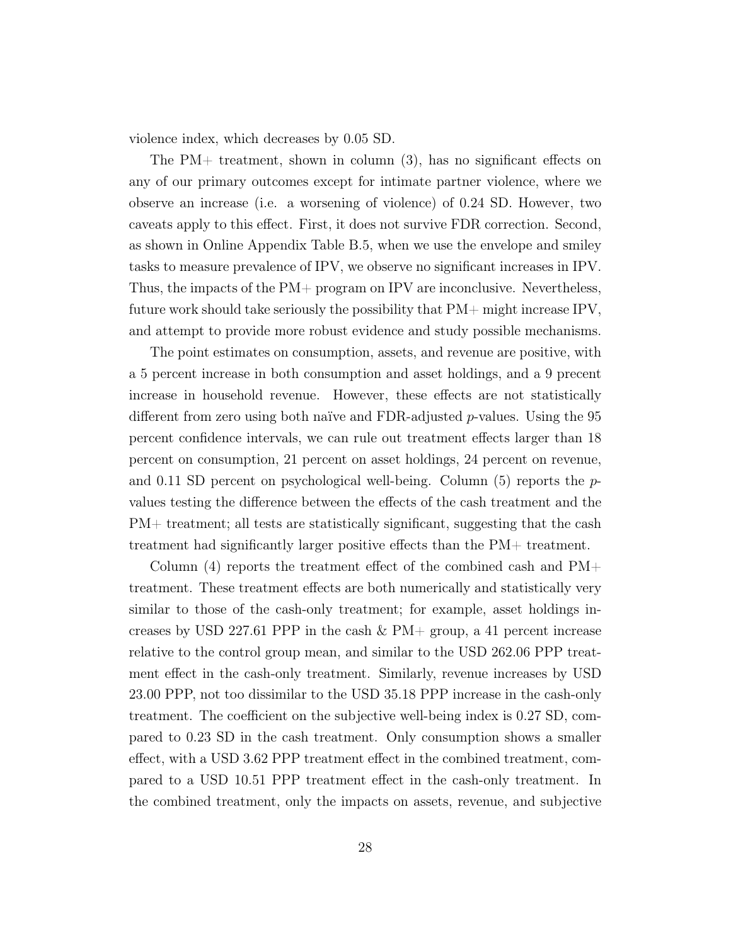violence index, which decreases by 0.05 SD.

The PM+ treatment, shown in column (3), has no significant effects on any of our primary outcomes except for intimate partner violence, where we observe an increase (i.e. a worsening of violence) of 0.24 SD. However, two caveats apply to this effect. First, it does not survive FDR correction. Second, as shown in Online Appendix Table [B.5,](#page-63-0) when we use the envelope and smiley tasks to measure prevalence of IPV, we observe no significant increases in IPV. Thus, the impacts of the PM+ program on IPV are inconclusive. Nevertheless, future work should take seriously the possibility that PM+ might increase IPV, and attempt to provide more robust evidence and study possible mechanisms.

The point estimates on consumption, assets, and revenue are positive, with a 5 percent increase in both consumption and asset holdings, and a 9 precent increase in household revenue. However, these effects are not statistically different from zero using both naïve and FDR-adjusted  $p$ -values. Using the 95 percent confidence intervals, we can rule out treatment effects larger than 18 percent on consumption, 21 percent on asset holdings, 24 percent on revenue, and 0.11 SD percent on psychological well-being. Column  $(5)$  reports the pvalues testing the difference between the effects of the cash treatment and the PM+ treatment; all tests are statistically significant, suggesting that the cash treatment had significantly larger positive effects than the PM+ treatment.

Column (4) reports the treatment effect of the combined cash and PM+ treatment. These treatment effects are both numerically and statistically very similar to those of the cash-only treatment; for example, asset holdings increases by USD 227.61 PPP in the cash  $\&$  PM+ group, a 41 percent increase relative to the control group mean, and similar to the USD 262.06 PPP treatment effect in the cash-only treatment. Similarly, revenue increases by USD 23.00 PPP, not too dissimilar to the USD 35.18 PPP increase in the cash-only treatment. The coefficient on the subjective well-being index is 0.27 SD, compared to 0.23 SD in the cash treatment. Only consumption shows a smaller effect, with a USD 3.62 PPP treatment effect in the combined treatment, compared to a USD 10.51 PPP treatment effect in the cash-only treatment. In the combined treatment, only the impacts on assets, revenue, and subjective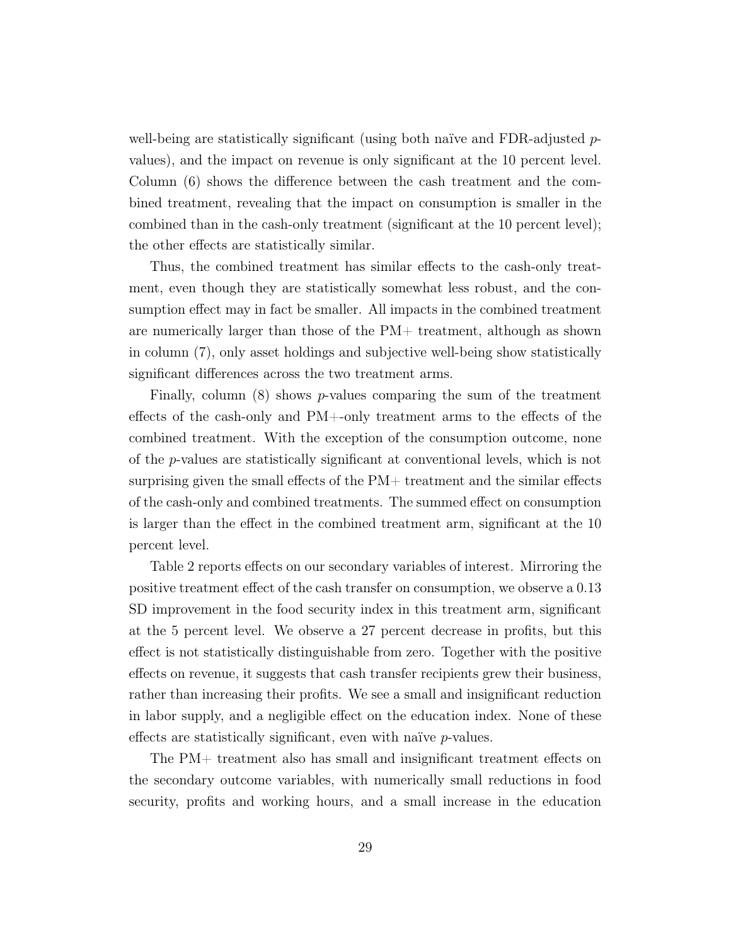well-being are statistically significant (using both naïve and FDR-adjusted  $p$ values), and the impact on revenue is only significant at the 10 percent level. Column (6) shows the difference between the cash treatment and the combined treatment, revealing that the impact on consumption is smaller in the combined than in the cash-only treatment (significant at the 10 percent level); the other effects are statistically similar.

Thus, the combined treatment has similar effects to the cash-only treatment, even though they are statistically somewhat less robust, and the consumption effect may in fact be smaller. All impacts in the combined treatment are numerically larger than those of the PM+ treatment, although as shown in column (7), only asset holdings and subjective well-being show statistically significant differences across the two treatment arms.

Finally, column  $(8)$  shows *p*-values comparing the sum of the treatment effects of the cash-only and PM+-only treatment arms to the effects of the combined treatment. With the exception of the consumption outcome, none of the p-values are statistically significant at conventional levels, which is not surprising given the small effects of the PM+ treatment and the similar effects of the cash-only and combined treatments. The summed effect on consumption is larger than the effect in the combined treatment arm, significant at the 10 percent level.

Table [2](#page-48-0) reports effects on our secondary variables of interest. Mirroring the positive treatment effect of the cash transfer on consumption, we observe a 0.13 SD improvement in the food security index in this treatment arm, significant at the 5 percent level. We observe a 27 percent decrease in profits, but this effect is not statistically distinguishable from zero. Together with the positive effects on revenue, it suggests that cash transfer recipients grew their business, rather than increasing their profits. We see a small and insignificant reduction in labor supply, and a negligible effect on the education index. None of these effects are statistically significant, even with naïve p-values.

The PM+ treatment also has small and insignificant treatment effects on the secondary outcome variables, with numerically small reductions in food security, profits and working hours, and a small increase in the education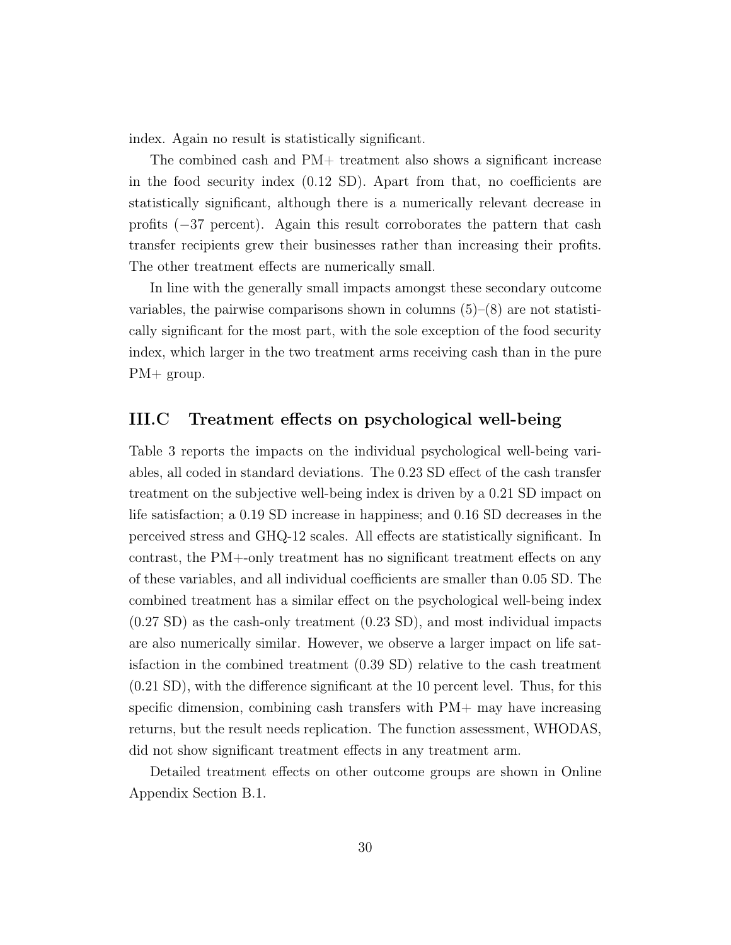index. Again no result is statistically significant.

The combined cash and PM+ treatment also shows a significant increase in the food security index (0.12 SD). Apart from that, no coefficients are statistically significant, although there is a numerically relevant decrease in profits (−37 percent). Again this result corroborates the pattern that cash transfer recipients grew their businesses rather than increasing their profits. The other treatment effects are numerically small.

In line with the generally small impacts amongst these secondary outcome variables, the pairwise comparisons shown in columns  $(5)-(8)$  are not statistically significant for the most part, with the sole exception of the food security index, which larger in the two treatment arms receiving cash than in the pure PM+ group.

## III.C Treatment effects on psychological well-being

Table [3](#page-49-0) reports the impacts on the individual psychological well-being variables, all coded in standard deviations. The 0.23 SD effect of the cash transfer treatment on the subjective well-being index is driven by a 0.21 SD impact on life satisfaction; a 0.19 SD increase in happiness; and 0.16 SD decreases in the perceived stress and GHQ-12 scales. All effects are statistically significant. In contrast, the PM+-only treatment has no significant treatment effects on any of these variables, and all individual coefficients are smaller than 0.05 SD. The combined treatment has a similar effect on the psychological well-being index (0.27 SD) as the cash-only treatment (0.23 SD), and most individual impacts are also numerically similar. However, we observe a larger impact on life satisfaction in the combined treatment (0.39 SD) relative to the cash treatment (0.21 SD), with the difference significant at the 10 percent level. Thus, for this specific dimension, combining cash transfers with PM+ may have increasing returns, but the result needs replication. The function assessment, WHODAS, did not show significant treatment effects in any treatment arm.

Detailed treatment effects on other outcome groups are shown in Online Appendix Section [B.1.](#page-58-0)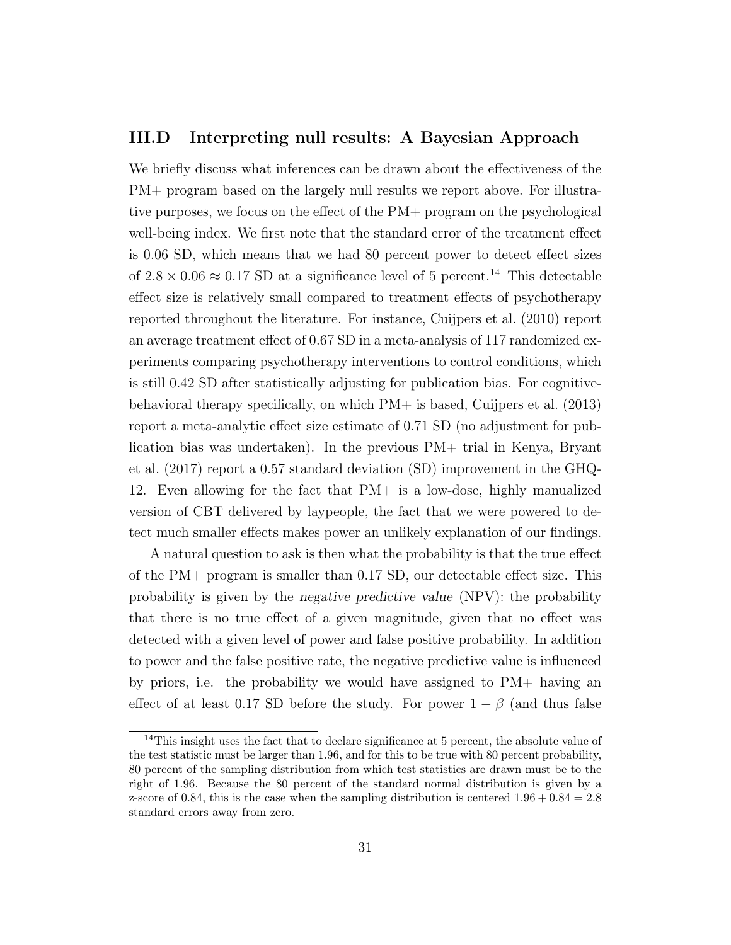## III.D Interpreting null results: A Bayesian Approach

We briefly discuss what inferences can be drawn about the effectiveness of the PM+ program based on the largely null results we report above. For illustrative purposes, we focus on the effect of the PM+ program on the psychological well-being index. We first note that the standard error of the treatment effect is 0.06 SD, which means that we had 80 percent power to detect effect sizes of  $2.8 \times 0.06 \approx 0.17$  SD at a significance level of 5 percent.<sup>[14](#page--1-0)</sup> This detectable effect size is relatively small compared to treatment effects of psychotherapy reported throughout the literature. For instance, [Cuijpers et al. \(2010\)](#page-43-6) report an average treatment effect of 0.67 SD in a meta-analysis of 117 randomized experiments comparing psychotherapy interventions to control conditions, which is still 0.42 SD after statistically adjusting for publication bias. For cognitivebehavioral therapy specifically, on which PM+ is based, [Cuijpers et al. \(2013\)](#page-42-2) report a meta-analytic effect size estimate of 0.71 SD (no adjustment for publication bias was undertaken). In the previous PM+ trial in Kenya, [Bryant](#page-42-1) [et al. \(2017\)](#page-42-1) report a 0.57 standard deviation (SD) improvement in the GHQ-12. Even allowing for the fact that PM+ is a low-dose, highly manualized version of CBT delivered by laypeople, the fact that we were powered to detect much smaller effects makes power an unlikely explanation of our findings.

A natural question to ask is then what the probability is that the true effect of the PM+ program is smaller than 0.17 SD, our detectable effect size. This probability is given by the negative predictive value (NPV): the probability that there is no true effect of a given magnitude, given that no effect was detected with a given level of power and false positive probability. In addition to power and the false positive rate, the negative predictive value is influenced by priors, i.e. the probability we would have assigned to  $PM+$  having an effect of at least 0.17 SD before the study. For power  $1 - \beta$  (and thus false

<sup>&</sup>lt;sup>14</sup>This insight uses the fact that to declare significance at 5 percent, the absolute value of the test statistic must be larger than 1.96, and for this to be true with 80 percent probability, 80 percent of the sampling distribution from which test statistics are drawn must be to the right of 1.96. Because the 80 percent of the standard normal distribution is given by a z-score of 0.84, this is the case when the sampling distribution is centered  $1.96 + 0.84 = 2.8$ standard errors away from zero.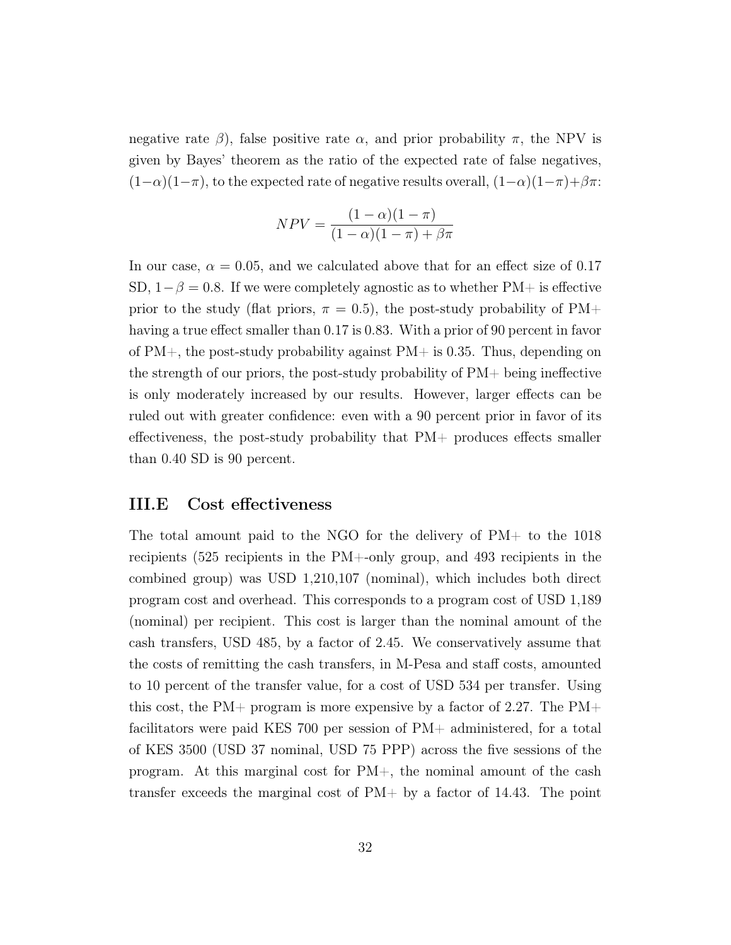negative rate  $\beta$ ), false positive rate  $\alpha$ , and prior probability  $\pi$ , the NPV is given by Bayes' theorem as the ratio of the expected rate of false negatives,  $(1-\alpha)(1-\pi)$ , to the expected rate of negative results overall,  $(1-\alpha)(1-\pi)+\beta\pi$ :

$$
NPV = \frac{(1-\alpha)(1-\pi)}{(1-\alpha)(1-\pi) + \beta\pi}
$$

In our case,  $\alpha = 0.05$ , and we calculated above that for an effect size of 0.17 SD,  $1-\beta = 0.8$ . If we were completely agnostic as to whether PM+ is effective prior to the study (flat priors,  $\pi = 0.5$ ), the post-study probability of PM+ having a true effect smaller than 0.17 is 0.83. With a prior of 90 percent in favor of  $PM+$ , the post-study probability against  $PM+$  is 0.35. Thus, depending on the strength of our priors, the post-study probability of  $PM+$  being ineffective is only moderately increased by our results. However, larger effects can be ruled out with greater confidence: even with a 90 percent prior in favor of its effectiveness, the post-study probability that PM+ produces effects smaller than 0.40 SD is 90 percent.

### III.E Cost effectiveness

The total amount paid to the NGO for the delivery of PM+ to the 1018 recipients (525 recipients in the PM+-only group, and 493 recipients in the combined group) was USD 1,210,107 (nominal), which includes both direct program cost and overhead. This corresponds to a program cost of USD 1,189 (nominal) per recipient. This cost is larger than the nominal amount of the cash transfers, USD 485, by a factor of 2.45. We conservatively assume that the costs of remitting the cash transfers, in M-Pesa and staff costs, amounted to 10 percent of the transfer value, for a cost of USD 534 per transfer. Using this cost, the PM+ program is more expensive by a factor of 2.27. The PM+ facilitators were paid KES 700 per session of PM+ administered, for a total of KES 3500 (USD 37 nominal, USD 75 PPP) across the five sessions of the program. At this marginal cost for PM+, the nominal amount of the cash transfer exceeds the marginal cost of PM+ by a factor of 14.43. The point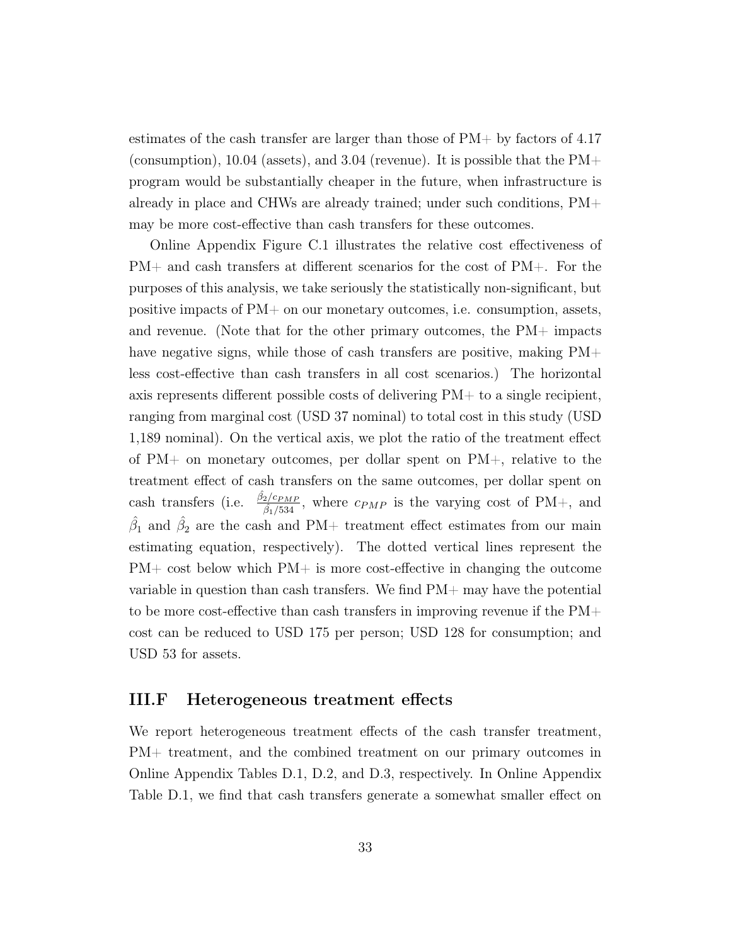estimates of the cash transfer are larger than those of PM+ by factors of 4.17 (consumption), 10.04 (assets), and 3.04 (revenue). It is possible that the  $PM+$ program would be substantially cheaper in the future, when infrastructure is already in place and CHWs are already trained; under such conditions, PM+ may be more cost-effective than cash transfers for these outcomes.

Online Appendix Figure [C.1](#page-71-0) illustrates the relative cost effectiveness of PM+ and cash transfers at different scenarios for the cost of PM+. For the purposes of this analysis, we take seriously the statistically non-significant, but positive impacts of PM+ on our monetary outcomes, i.e. consumption, assets, and revenue. (Note that for the other primary outcomes, the  $PM+$  impacts have negative signs, while those of cash transfers are positive, making  $PM+$ less cost-effective than cash transfers in all cost scenarios.) The horizontal axis represents different possible costs of delivering PM+ to a single recipient, ranging from marginal cost (USD 37 nominal) to total cost in this study (USD 1,189 nominal). On the vertical axis, we plot the ratio of the treatment effect of PM+ on monetary outcomes, per dollar spent on PM+, relative to the treatment effect of cash transfers on the same outcomes, per dollar spent on cash transfers (i.e.  $\frac{\hat{\beta}_2/c_{PMP}}{\hat{\beta}$  $\frac{2/C_{PMP}}{\beta_1/534}$ , where  $c_{PMP}$  is the varying cost of PM+, and  $\hat{\beta}_1$  and  $\hat{\beta}_2$  are the cash and PM+ treatment effect estimates from our main estimating equation, respectively). The dotted vertical lines represent the PM+ cost below which PM+ is more cost-effective in changing the outcome variable in question than cash transfers. We find PM+ may have the potential to be more cost-effective than cash transfers in improving revenue if the  $PM+$ cost can be reduced to USD 175 per person; USD 128 for consumption; and USD 53 for assets.

### III.F Heterogeneous treatment effects

We report heterogeneous treatment effects of the cash transfer treatment, PM+ treatment, and the combined treatment on our primary outcomes in Online Appendix Tables [D.1,](#page-73-0) [D.2,](#page-74-0) and [D.3,](#page-75-0) respectively. In Online Appendix Table [D.1,](#page-73-0) we find that cash transfers generate a somewhat smaller effect on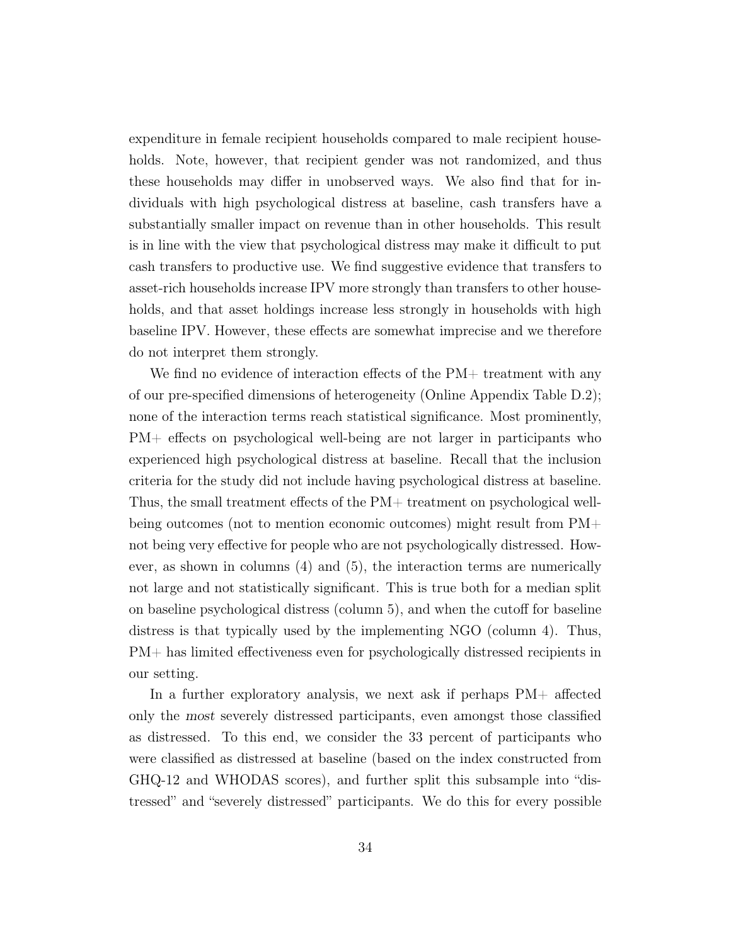expenditure in female recipient households compared to male recipient households. Note, however, that recipient gender was not randomized, and thus these households may differ in unobserved ways. We also find that for individuals with high psychological distress at baseline, cash transfers have a substantially smaller impact on revenue than in other households. This result is in line with the view that psychological distress may make it difficult to put cash transfers to productive use. We find suggestive evidence that transfers to asset-rich households increase IPV more strongly than transfers to other households, and that asset holdings increase less strongly in households with high baseline IPV. However, these effects are somewhat imprecise and we therefore do not interpret them strongly.

We find no evidence of interaction effects of the PM+ treatment with any of our pre-specified dimensions of heterogeneity (Online Appendix Table [D.2\)](#page-74-0); none of the interaction terms reach statistical significance. Most prominently, PM+ effects on psychological well-being are not larger in participants who experienced high psychological distress at baseline. Recall that the inclusion criteria for the study did not include having psychological distress at baseline. Thus, the small treatment effects of the PM+ treatment on psychological wellbeing outcomes (not to mention economic outcomes) might result from PM+ not being very effective for people who are not psychologically distressed. However, as shown in columns (4) and (5), the interaction terms are numerically not large and not statistically significant. This is true both for a median split on baseline psychological distress (column 5), and when the cutoff for baseline distress is that typically used by the implementing NGO (column 4). Thus, PM+ has limited effectiveness even for psychologically distressed recipients in our setting.

In a further exploratory analysis, we next ask if perhaps PM+ affected only the most severely distressed participants, even amongst those classified as distressed. To this end, we consider the 33 percent of participants who were classified as distressed at baseline (based on the index constructed from GHQ-12 and WHODAS scores), and further split this subsample into "distressed" and "severely distressed" participants. We do this for every possible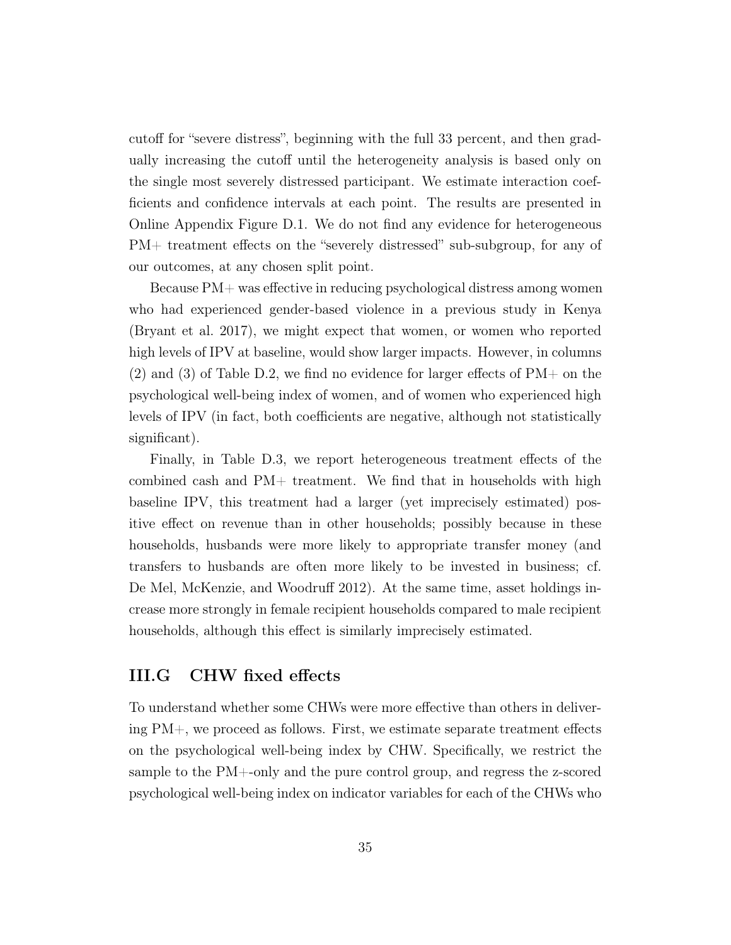cutoff for "severe distress", beginning with the full 33 percent, and then gradually increasing the cutoff until the heterogeneity analysis is based only on the single most severely distressed participant. We estimate interaction coefficients and confidence intervals at each point. The results are presented in Online Appendix Figure [D.1.](#page-76-0) We do not find any evidence for heterogeneous PM+ treatment effects on the "severely distressed" sub-subgroup, for any of our outcomes, at any chosen split point.

Because PM+ was effective in reducing psychological distress among women who had experienced gender-based violence in a previous study in Kenya [\(Bryant et al. 2017\)](#page-42-1), we might expect that women, or women who reported high levels of IPV at baseline, would show larger impacts. However, in columns  $(2)$  and  $(3)$  of Table [D.2,](#page-74-0) we find no evidence for larger effects of PM+ on the psychological well-being index of women, and of women who experienced high levels of IPV (in fact, both coefficients are negative, although not statistically significant).

Finally, in Table [D.3,](#page-75-0) we report heterogeneous treatment effects of the combined cash and PM+ treatment. We find that in households with high baseline IPV, this treatment had a larger (yet imprecisely estimated) positive effect on revenue than in other households; possibly because in these households, husbands were more likely to appropriate transfer money (and transfers to husbands are often more likely to be invested in business; cf. [De Mel, McKenzie, and Woodruff 2012\)](#page-43-19). At the same time, asset holdings increase more strongly in female recipient households compared to male recipient households, although this effect is similarly imprecisely estimated.

# III.G CHW fixed effects

To understand whether some CHWs were more effective than others in delivering PM+, we proceed as follows. First, we estimate separate treatment effects on the psychological well-being index by CHW. Specifically, we restrict the sample to the PM+-only and the pure control group, and regress the z-scored psychological well-being index on indicator variables for each of the CHWs who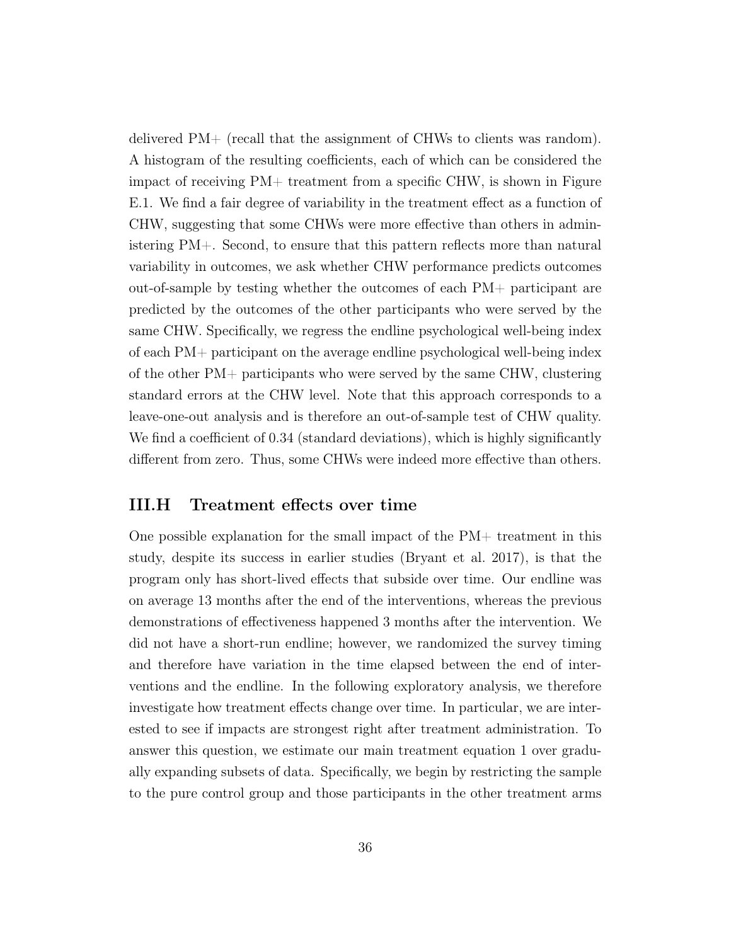delivered PM+ (recall that the assignment of CHWs to clients was random). A histogram of the resulting coefficients, each of which can be considered the impact of receiving PM+ treatment from a specific CHW, is shown in Figure [E.1.](#page-77-0) We find a fair degree of variability in the treatment effect as a function of CHW, suggesting that some CHWs were more effective than others in administering PM+. Second, to ensure that this pattern reflects more than natural variability in outcomes, we ask whether CHW performance predicts outcomes out-of-sample by testing whether the outcomes of each PM+ participant are predicted by the outcomes of the other participants who were served by the same CHW. Specifically, we regress the endline psychological well-being index of each PM+ participant on the average endline psychological well-being index of the other PM+ participants who were served by the same CHW, clustering standard errors at the CHW level. Note that this approach corresponds to a leave-one-out analysis and is therefore an out-of-sample test of CHW quality. We find a coefficient of 0.34 (standard deviations), which is highly significantly different from zero. Thus, some CHWs were indeed more effective than others.

#### III.H Treatment effects over time

One possible explanation for the small impact of the PM+ treatment in this study, despite its success in earlier studies [\(Bryant et al. 2017\)](#page-42-0), is that the program only has short-lived effects that subside over time. Our endline was on average 13 months after the end of the interventions, whereas the previous demonstrations of effectiveness happened 3 months after the intervention. We did not have a short-run endline; however, we randomized the survey timing and therefore have variation in the time elapsed between the end of interventions and the endline. In the following exploratory analysis, we therefore investigate how treatment effects change over time. In particular, we are interested to see if impacts are strongest right after treatment administration. To answer this question, we estimate our main treatment equation [1](#page-22-0) over gradually expanding subsets of data. Specifically, we begin by restricting the sample to the pure control group and those participants in the other treatment arms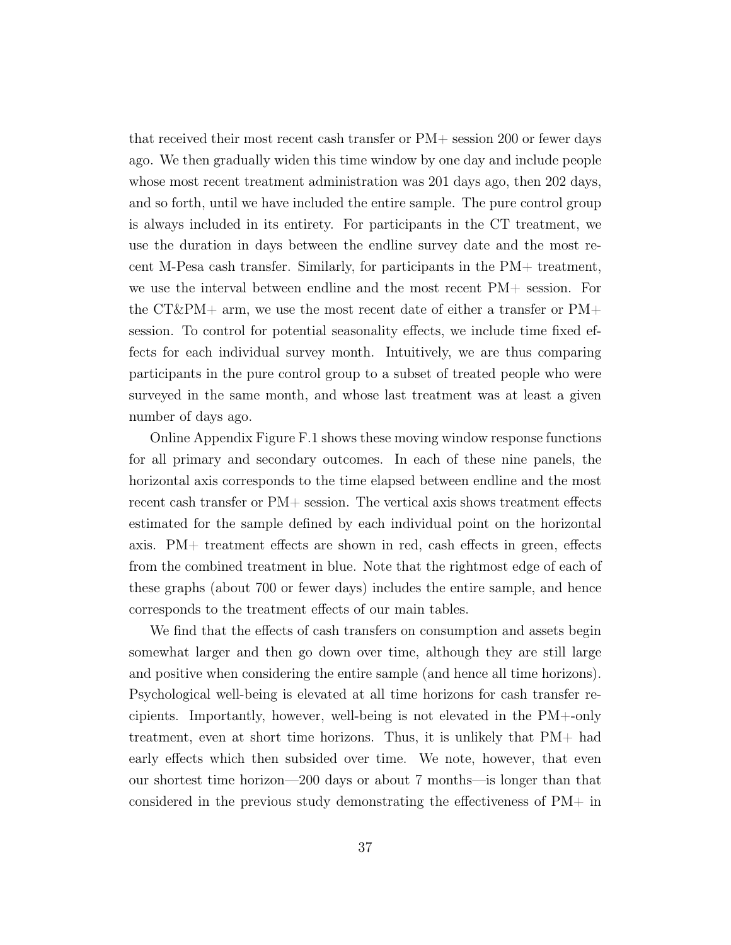that received their most recent cash transfer or PM+ session 200 or fewer days ago. We then gradually widen this time window by one day and include people whose most recent treatment administration was 201 days ago, then 202 days, and so forth, until we have included the entire sample. The pure control group is always included in its entirety. For participants in the CT treatment, we use the duration in days between the endline survey date and the most recent M-Pesa cash transfer. Similarly, for participants in the PM+ treatment, we use the interval between endline and the most recent PM+ session. For the CT&PM+ arm, we use the most recent date of either a transfer or  $PM+$ session. To control for potential seasonality effects, we include time fixed effects for each individual survey month. Intuitively, we are thus comparing participants in the pure control group to a subset of treated people who were surveyed in the same month, and whose last treatment was at least a given number of days ago.

Online Appendix Figure [F.1](#page-78-0) shows these moving window response functions for all primary and secondary outcomes. In each of these nine panels, the horizontal axis corresponds to the time elapsed between endline and the most recent cash transfer or PM+ session. The vertical axis shows treatment effects estimated for the sample defined by each individual point on the horizontal axis. PM+ treatment effects are shown in red, cash effects in green, effects from the combined treatment in blue. Note that the rightmost edge of each of these graphs (about 700 or fewer days) includes the entire sample, and hence corresponds to the treatment effects of our main tables.

We find that the effects of cash transfers on consumption and assets begin somewhat larger and then go down over time, although they are still large and positive when considering the entire sample (and hence all time horizons). Psychological well-being is elevated at all time horizons for cash transfer recipients. Importantly, however, well-being is not elevated in the PM+-only treatment, even at short time horizons. Thus, it is unlikely that PM+ had early effects which then subsided over time. We note, however, that even our shortest time horizon—200 days or about 7 months—is longer than that considered in the previous study demonstrating the effectiveness of PM+ in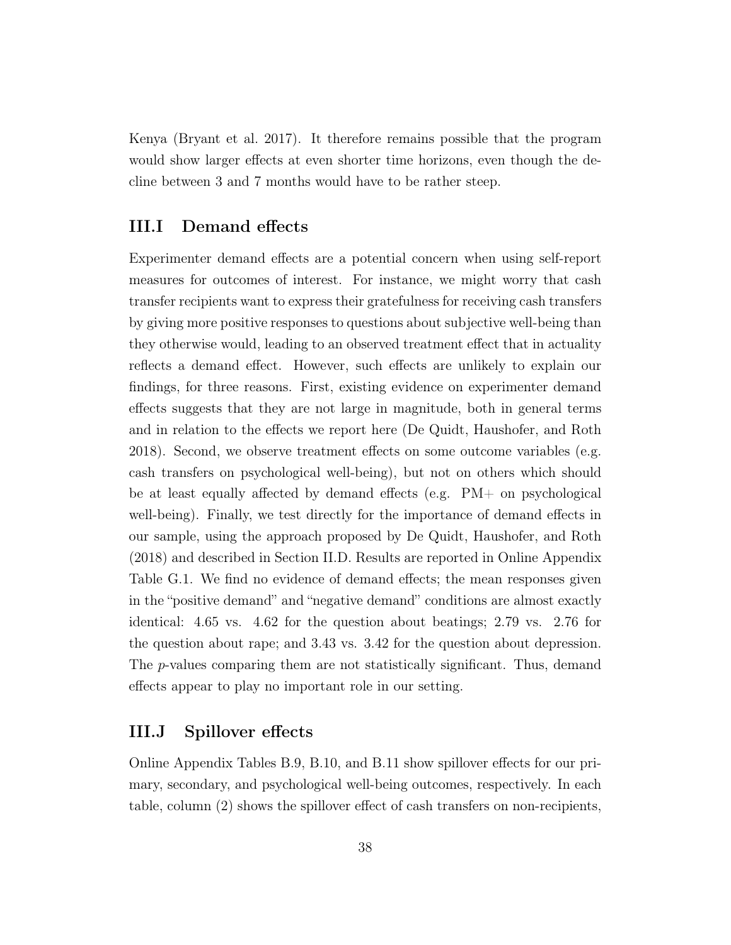Kenya [\(Bryant et al. 2017\)](#page-42-0). It therefore remains possible that the program would show larger effects at even shorter time horizons, even though the decline between 3 and 7 months would have to be rather steep.

#### III.I Demand effects

Experimenter demand effects are a potential concern when using self-report measures for outcomes of interest. For instance, we might worry that cash transfer recipients want to express their gratefulness for receiving cash transfers by giving more positive responses to questions about subjective well-being than they otherwise would, leading to an observed treatment effect that in actuality reflects a demand effect. However, such effects are unlikely to explain our findings, for three reasons. First, existing evidence on experimenter demand effects suggests that they are not large in magnitude, both in general terms and in relation to the effects we report here [\(De Quidt, Haushofer, and Roth](#page-43-0) [2018\)](#page-43-0). Second, we observe treatment effects on some outcome variables (e.g. cash transfers on psychological well-being), but not on others which should be at least equally affected by demand effects (e.g. PM+ on psychological well-being). Finally, we test directly for the importance of demand effects in our sample, using the approach proposed by [De Quidt, Haushofer, and Roth](#page-43-0) [\(2018\)](#page-43-0) and described in Section [II.D.](#page-25-0) Results are reported in Online Appendix Table [G.1.](#page-79-0) We find no evidence of demand effects; the mean responses given in the "positive demand" and "negative demand" conditions are almost exactly identical: 4.65 vs. 4.62 for the question about beatings; 2.79 vs. 2.76 for the question about rape; and 3.43 vs. 3.42 for the question about depression. The *p*-values comparing them are not statistically significant. Thus, demand effects appear to play no important role in our setting.

#### III.J Spillover effects

Online Appendix Tables [B.9,](#page-68-0) [B.10,](#page-69-0) and [B.11](#page-70-0) show spillover effects for our primary, secondary, and psychological well-being outcomes, respectively. In each table, column (2) shows the spillover effect of cash transfers on non-recipients,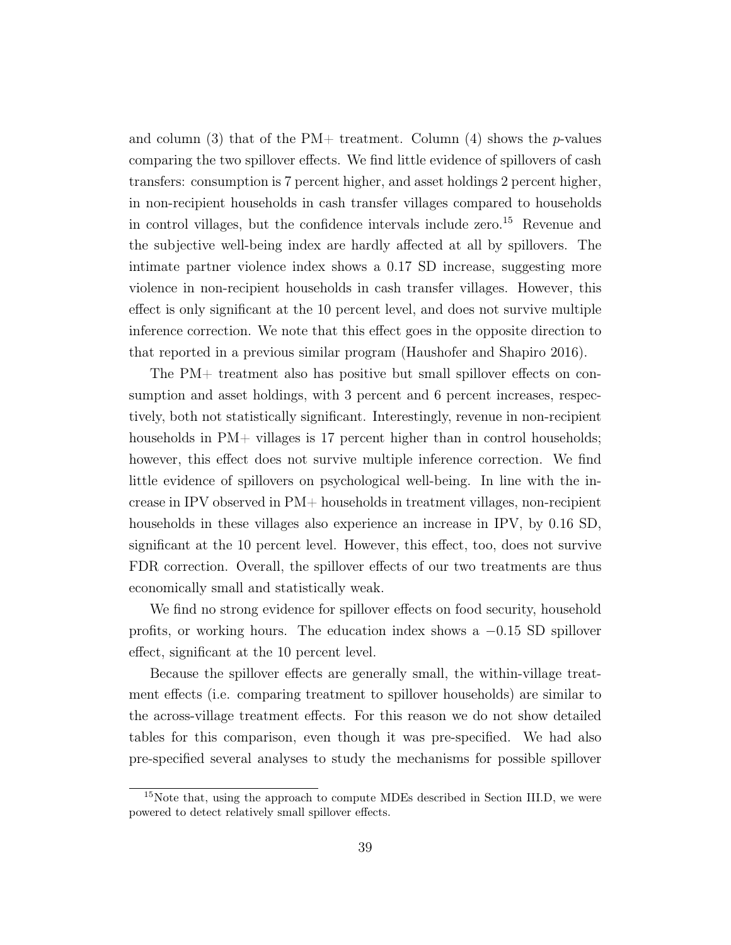and column (3) that of the PM+ treatment. Column (4) shows the p-values comparing the two spillover effects. We find little evidence of spillovers of cash transfers: consumption is 7 percent higher, and asset holdings 2 percent higher, in non-recipient households in cash transfer villages compared to households in control villages, but the confidence intervals include zero.<sup>[15](#page--1-0)</sup> Revenue and the subjective well-being index are hardly affected at all by spillovers. The intimate partner violence index shows a 0.17 SD increase, suggesting more violence in non-recipient households in cash transfer villages. However, this effect is only significant at the 10 percent level, and does not survive multiple inference correction. We note that this effect goes in the opposite direction to that reported in a previous similar program [\(Haushofer and Shapiro 2016\)](#page-43-1).

The PM+ treatment also has positive but small spillover effects on consumption and asset holdings, with 3 percent and 6 percent increases, respectively, both not statistically significant. Interestingly, revenue in non-recipient households in PM+ villages is 17 percent higher than in control households; however, this effect does not survive multiple inference correction. We find little evidence of spillovers on psychological well-being. In line with the increase in IPV observed in PM+ households in treatment villages, non-recipient households in these villages also experience an increase in IPV, by 0.16 SD, significant at the 10 percent level. However, this effect, too, does not survive FDR correction. Overall, the spillover effects of our two treatments are thus economically small and statistically weak.

We find no strong evidence for spillover effects on food security, household profits, or working hours. The education index shows a  $-0.15$  SD spillover effect, significant at the 10 percent level.

Because the spillover effects are generally small, the within-village treatment effects (i.e. comparing treatment to spillover households) are similar to the across-village treatment effects. For this reason we do not show detailed tables for this comparison, even though it was pre-specified. We had also pre-specified several analyses to study the mechanisms for possible spillover

<sup>&</sup>lt;sup>15</sup>Note that, using the approach to compute MDEs described in Section [III.D,](#page-31-0) we were powered to detect relatively small spillover effects.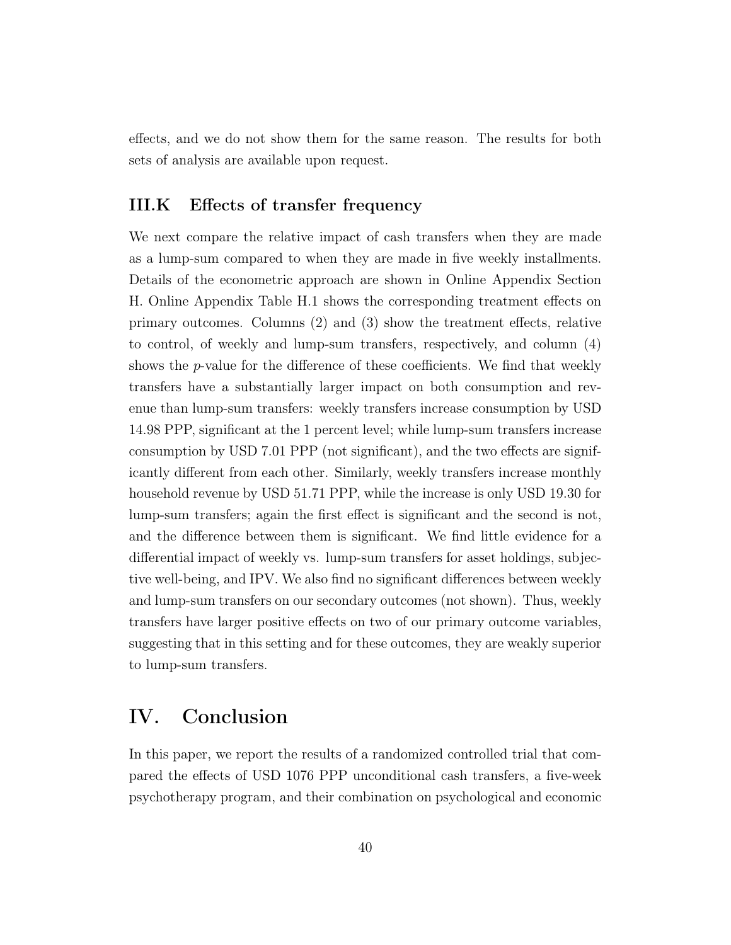effects, and we do not show them for the same reason. The results for both sets of analysis are available upon request.

#### III.K Effects of transfer frequency

We next compare the relative impact of cash transfers when they are made as a lump-sum compared to when they are made in five weekly installments. Details of the econometric approach are shown in Online Appendix Section [H.](#page-80-0) Online Appendix Table [H.1](#page-81-0) shows the corresponding treatment effects on primary outcomes. Columns (2) and (3) show the treatment effects, relative to control, of weekly and lump-sum transfers, respectively, and column (4) shows the  $p$ -value for the difference of these coefficients. We find that weekly transfers have a substantially larger impact on both consumption and revenue than lump-sum transfers: weekly transfers increase consumption by USD 14.98 PPP, significant at the 1 percent level; while lump-sum transfers increase consumption by USD 7.01 PPP (not significant), and the two effects are significantly different from each other. Similarly, weekly transfers increase monthly household revenue by USD 51.71 PPP, while the increase is only USD 19.30 for lump-sum transfers; again the first effect is significant and the second is not, and the difference between them is significant. We find little evidence for a differential impact of weekly vs. lump-sum transfers for asset holdings, subjective well-being, and IPV. We also find no significant differences between weekly and lump-sum transfers on our secondary outcomes (not shown). Thus, weekly transfers have larger positive effects on two of our primary outcome variables, suggesting that in this setting and for these outcomes, they are weakly superior to lump-sum transfers.

### IV. Conclusion

In this paper, we report the results of a randomized controlled trial that compared the effects of USD 1076 PPP unconditional cash transfers, a five-week psychotherapy program, and their combination on psychological and economic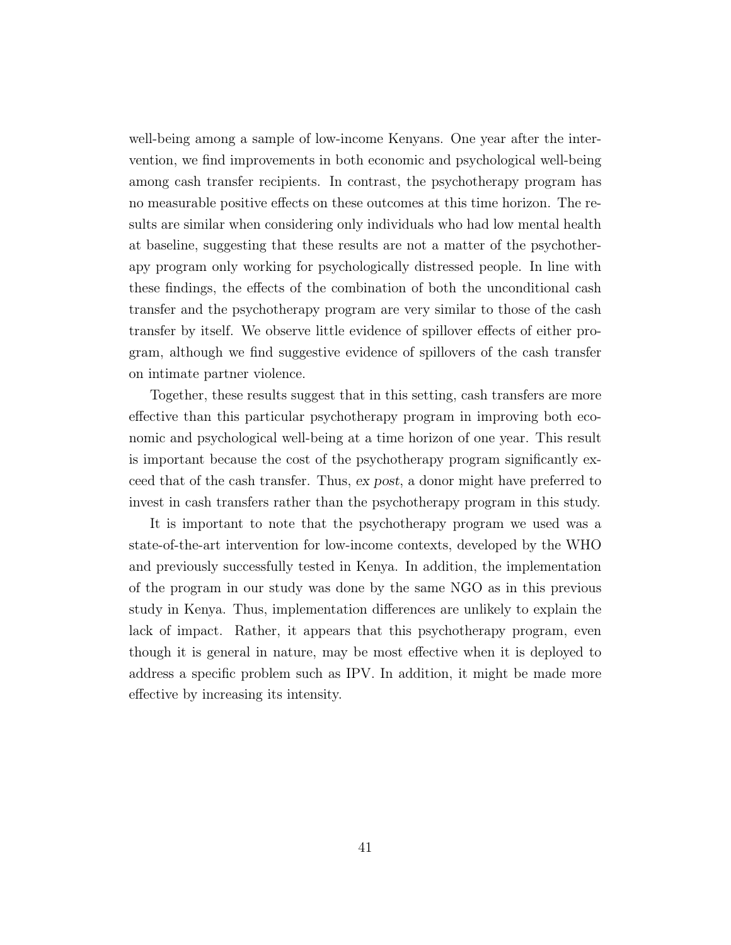well-being among a sample of low-income Kenyans. One year after the intervention, we find improvements in both economic and psychological well-being among cash transfer recipients. In contrast, the psychotherapy program has no measurable positive effects on these outcomes at this time horizon. The results are similar when considering only individuals who had low mental health at baseline, suggesting that these results are not a matter of the psychotherapy program only working for psychologically distressed people. In line with these findings, the effects of the combination of both the unconditional cash transfer and the psychotherapy program are very similar to those of the cash transfer by itself. We observe little evidence of spillover effects of either program, although we find suggestive evidence of spillovers of the cash transfer on intimate partner violence.

Together, these results suggest that in this setting, cash transfers are more effective than this particular psychotherapy program in improving both economic and psychological well-being at a time horizon of one year. This result is important because the cost of the psychotherapy program significantly exceed that of the cash transfer. Thus, ex post, a donor might have preferred to invest in cash transfers rather than the psychotherapy program in this study.

It is important to note that the psychotherapy program we used was a state-of-the-art intervention for low-income contexts, developed by the WHO and previously successfully tested in Kenya. In addition, the implementation of the program in our study was done by the same NGO as in this previous study in Kenya. Thus, implementation differences are unlikely to explain the lack of impact. Rather, it appears that this psychotherapy program, even though it is general in nature, may be most effective when it is deployed to address a specific problem such as IPV. In addition, it might be made more effective by increasing its intensity.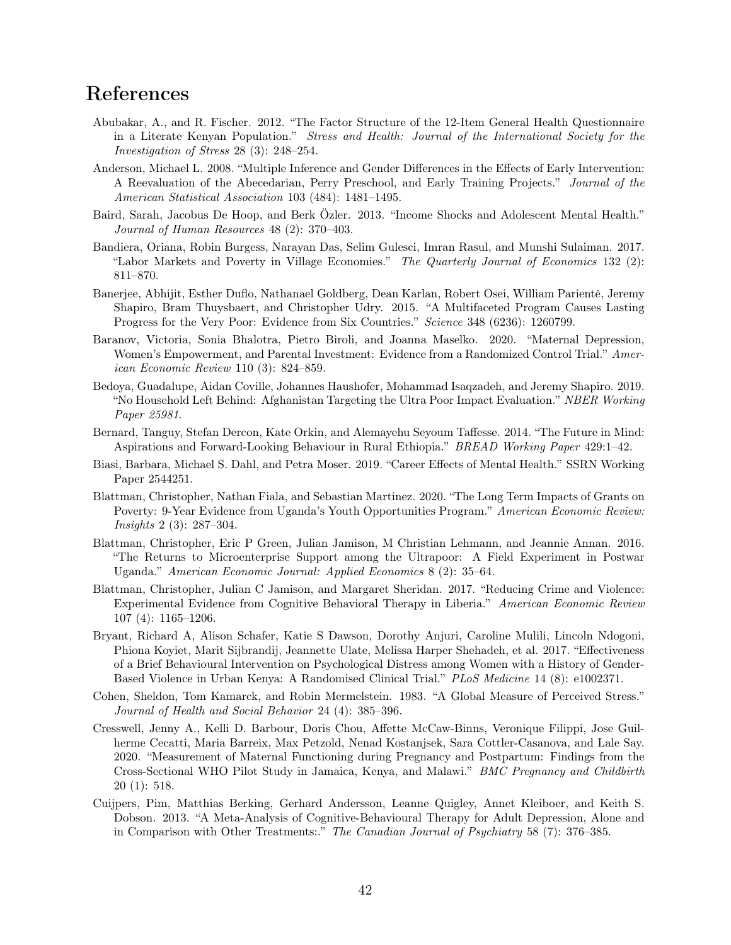### References

- Abubakar, A., and R. Fischer. 2012. "The Factor Structure of the 12-Item General Health Questionnaire in a Literate Kenyan Population." Stress and Health: Journal of the International Society for the Investigation of Stress 28 (3): 248–254.
- Anderson, Michael L. 2008. "Multiple Inference and Gender Differences in the Effects of Early Intervention: A Reevaluation of the Abecedarian, Perry Preschool, and Early Training Projects." Journal of the American Statistical Association 103 (484): 1481–1495.
- Baird, Sarah, Jacobus De Hoop, and Berk Özler. 2013. "Income Shocks and Adolescent Mental Health." Journal of Human Resources 48 (2): 370–403.
- Bandiera, Oriana, Robin Burgess, Narayan Das, Selim Gulesci, Imran Rasul, and Munshi Sulaiman. 2017. "Labor Markets and Poverty in Village Economies." The Quarterly Journal of Economics 132 (2): 811–870.
- Banerjee, Abhijit, Esther Duflo, Nathanael Goldberg, Dean Karlan, Robert Osei, William Parienté, Jeremy Shapiro, Bram Thuysbaert, and Christopher Udry. 2015. "A Multifaceted Program Causes Lasting Progress for the Very Poor: Evidence from Six Countries." Science 348 (6236): 1260799.
- Baranov, Victoria, Sonia Bhalotra, Pietro Biroli, and Joanna Maselko. 2020. "Maternal Depression, Women's Empowerment, and Parental Investment: Evidence from a Randomized Control Trial." American Economic Review 110 (3): 824–859.
- Bedoya, Guadalupe, Aidan Coville, Johannes Haushofer, Mohammad Isaqzadeh, and Jeremy Shapiro. 2019. "No Household Left Behind: Afghanistan Targeting the Ultra Poor Impact Evaluation." NBER Working Paper 25981.
- Bernard, Tanguy, Stefan Dercon, Kate Orkin, and Alemayehu Seyoum Taffesse. 2014. "The Future in Mind: Aspirations and Forward-Looking Behaviour in Rural Ethiopia." BREAD Working Paper 429:1–42.
- Biasi, Barbara, Michael S. Dahl, and Petra Moser. 2019. "Career Effects of Mental Health." SSRN Working Paper 2544251.
- Blattman, Christopher, Nathan Fiala, and Sebastian Martinez. 2020. "The Long Term Impacts of Grants on Poverty: 9-Year Evidence from Uganda's Youth Opportunities Program." American Economic Review: Insights 2 (3): 287–304.
- Blattman, Christopher, Eric P Green, Julian Jamison, M Christian Lehmann, and Jeannie Annan. 2016. "The Returns to Microenterprise Support among the Ultrapoor: A Field Experiment in Postwar Uganda." American Economic Journal: Applied Economics 8 (2): 35–64.
- Blattman, Christopher, Julian C Jamison, and Margaret Sheridan. 2017. "Reducing Crime and Violence: Experimental Evidence from Cognitive Behavioral Therapy in Liberia." American Economic Review 107 (4): 1165–1206.
- <span id="page-42-0"></span>Bryant, Richard A, Alison Schafer, Katie S Dawson, Dorothy Anjuri, Caroline Mulili, Lincoln Ndogoni, Phiona Koyiet, Marit Sijbrandij, Jeannette Ulate, Melissa Harper Shehadeh, et al. 2017. "Effectiveness of a Brief Behavioural Intervention on Psychological Distress among Women with a History of Gender-Based Violence in Urban Kenya: A Randomised Clinical Trial." PLoS Medicine 14 (8): e1002371.
- Cohen, Sheldon, Tom Kamarck, and Robin Mermelstein. 1983. "A Global Measure of Perceived Stress." Journal of Health and Social Behavior 24 (4): 385–396.
- Cresswell, Jenny A., Kelli D. Barbour, Doris Chou, Affette McCaw-Binns, Veronique Filippi, Jose Guilherme Cecatti, Maria Barreix, Max Petzold, Nenad Kostanjsek, Sara Cottler-Casanova, and Lale Say. 2020. "Measurement of Maternal Functioning during Pregnancy and Postpartum: Findings from the Cross-Sectional WHO Pilot Study in Jamaica, Kenya, and Malawi." BMC Pregnancy and Childbirth 20 (1): 518.
- Cuijpers, Pim, Matthias Berking, Gerhard Andersson, Leanne Quigley, Annet Kleiboer, and Keith S. Dobson. 2013. "A Meta-Analysis of Cognitive-Behavioural Therapy for Adult Depression, Alone and in Comparison with Other Treatments:." The Canadian Journal of Psychiatry 58 (7): 376–385.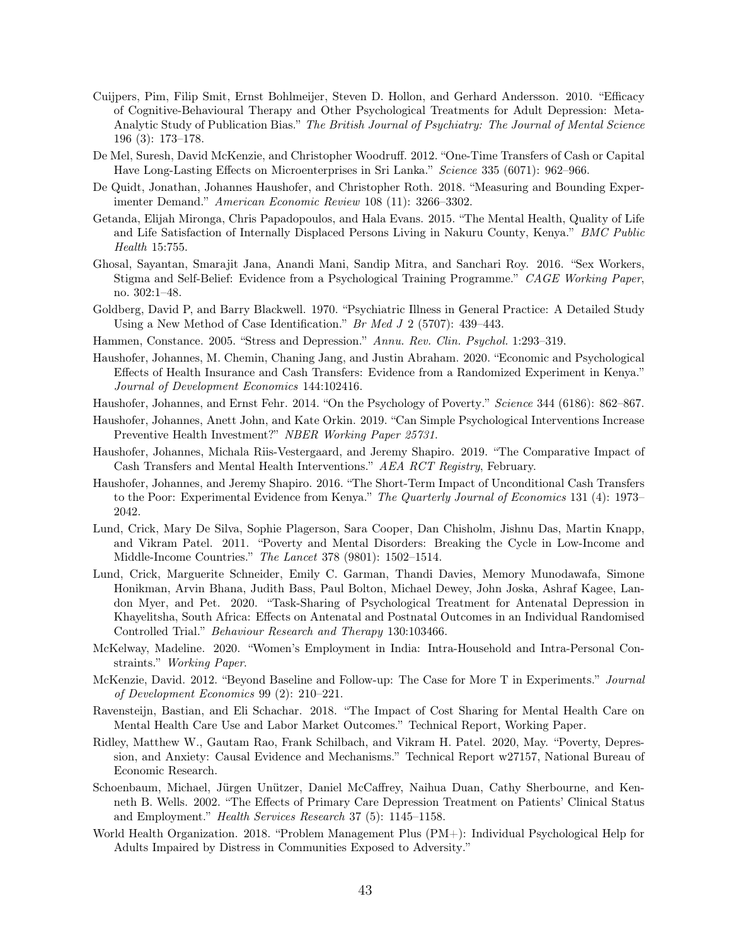- Cuijpers, Pim, Filip Smit, Ernst Bohlmeijer, Steven D. Hollon, and Gerhard Andersson. 2010. "Efficacy of Cognitive-Behavioural Therapy and Other Psychological Treatments for Adult Depression: Meta-Analytic Study of Publication Bias." The British Journal of Psychiatry: The Journal of Mental Science 196 (3): 173–178.
- De Mel, Suresh, David McKenzie, and Christopher Woodruff. 2012. "One-Time Transfers of Cash or Capital Have Long-Lasting Effects on Microenterprises in Sri Lanka." Science 335 (6071): 962–966.
- <span id="page-43-0"></span>De Quidt, Jonathan, Johannes Haushofer, and Christopher Roth. 2018. "Measuring and Bounding Experimenter Demand." American Economic Review 108 (11): 3266–3302.
- Getanda, Elijah Mironga, Chris Papadopoulos, and Hala Evans. 2015. "The Mental Health, Quality of Life and Life Satisfaction of Internally Displaced Persons Living in Nakuru County, Kenya." BMC Public Health 15:755.
- Ghosal, Sayantan, Smarajit Jana, Anandi Mani, Sandip Mitra, and Sanchari Roy. 2016. "Sex Workers, Stigma and Self-Belief: Evidence from a Psychological Training Programme." CAGE Working Paper, no. 302:1–48.
- Goldberg, David P, and Barry Blackwell. 1970. "Psychiatric Illness in General Practice: A Detailed Study Using a New Method of Case Identification." Br Med J 2 (5707): 439–443.
- Hammen, Constance. 2005. "Stress and Depression." Annu. Rev. Clin. Psychol. 1:293–319.
- Haushofer, Johannes, M. Chemin, Chaning Jang, and Justin Abraham. 2020. "Economic and Psychological Effects of Health Insurance and Cash Transfers: Evidence from a Randomized Experiment in Kenya." Journal of Development Economics 144:102416.
- Haushofer, Johannes, and Ernst Fehr. 2014. "On the Psychology of Poverty." Science 344 (6186): 862–867.
- Haushofer, Johannes, Anett John, and Kate Orkin. 2019. "Can Simple Psychological Interventions Increase Preventive Health Investment?" NBER Working Paper 25731.
- Haushofer, Johannes, Michala Riis-Vestergaard, and Jeremy Shapiro. 2019. "The Comparative Impact of Cash Transfers and Mental Health Interventions." AEA RCT Registry, February.
- <span id="page-43-1"></span>Haushofer, Johannes, and Jeremy Shapiro. 2016. "The Short-Term Impact of Unconditional Cash Transfers to the Poor: Experimental Evidence from Kenya." The Quarterly Journal of Economics 131 (4): 1973– 2042.
- Lund, Crick, Mary De Silva, Sophie Plagerson, Sara Cooper, Dan Chisholm, Jishnu Das, Martin Knapp, and Vikram Patel. 2011. "Poverty and Mental Disorders: Breaking the Cycle in Low-Income and Middle-Income Countries." The Lancet 378 (9801): 1502–1514.
- Lund, Crick, Marguerite Schneider, Emily C. Garman, Thandi Davies, Memory Munodawafa, Simone Honikman, Arvin Bhana, Judith Bass, Paul Bolton, Michael Dewey, John Joska, Ashraf Kagee, Landon Myer, and Pet. 2020. "Task-Sharing of Psychological Treatment for Antenatal Depression in Khayelitsha, South Africa: Effects on Antenatal and Postnatal Outcomes in an Individual Randomised Controlled Trial." Behaviour Research and Therapy 130:103466.
- McKelway, Madeline. 2020. "Women's Employment in India: Intra-Household and Intra-Personal Constraints." Working Paper.
- McKenzie, David. 2012. "Beyond Baseline and Follow-up: The Case for More T in Experiments." Journal of Development Economics 99 (2): 210–221.
- Ravensteijn, Bastian, and Eli Schachar. 2018. "The Impact of Cost Sharing for Mental Health Care on Mental Health Care Use and Labor Market Outcomes." Technical Report, Working Paper.
- Ridley, Matthew W., Gautam Rao, Frank Schilbach, and Vikram H. Patel. 2020, May. "Poverty, Depression, and Anxiety: Causal Evidence and Mechanisms." Technical Report w27157, National Bureau of Economic Research.
- Schoenbaum, Michael, Jürgen Unützer, Daniel McCaffrey, Naihua Duan, Cathy Sherbourne, and Kenneth B. Wells. 2002. "The Effects of Primary Care Depression Treatment on Patients' Clinical Status and Employment." Health Services Research 37 (5): 1145–1158.
- World Health Organization. 2018. "Problem Management Plus (PM+): Individual Psychological Help for Adults Impaired by Distress in Communities Exposed to Adversity."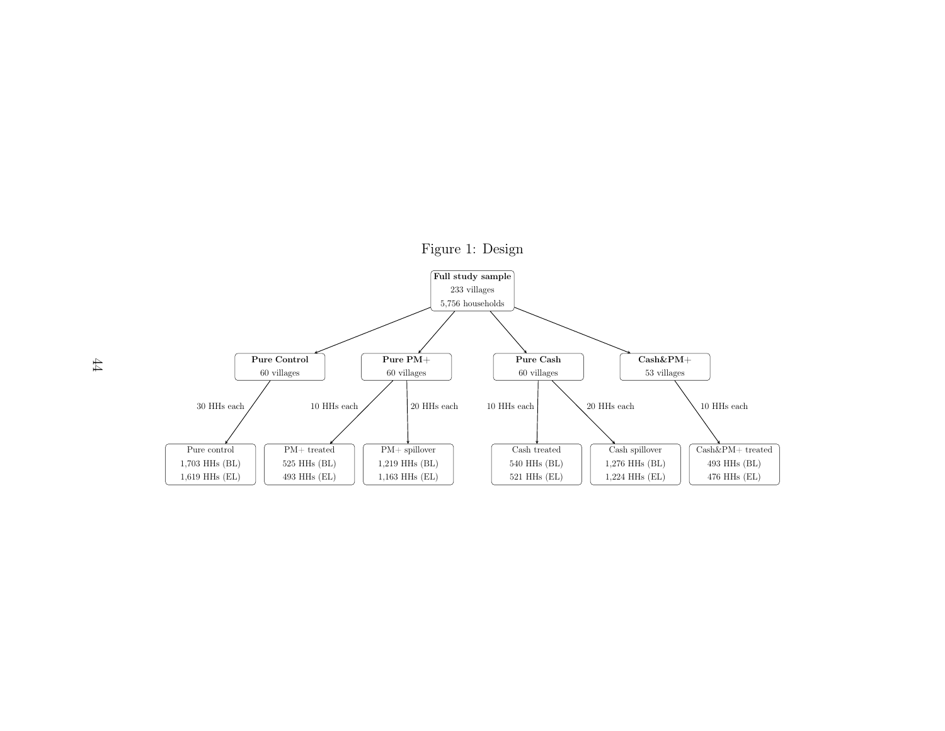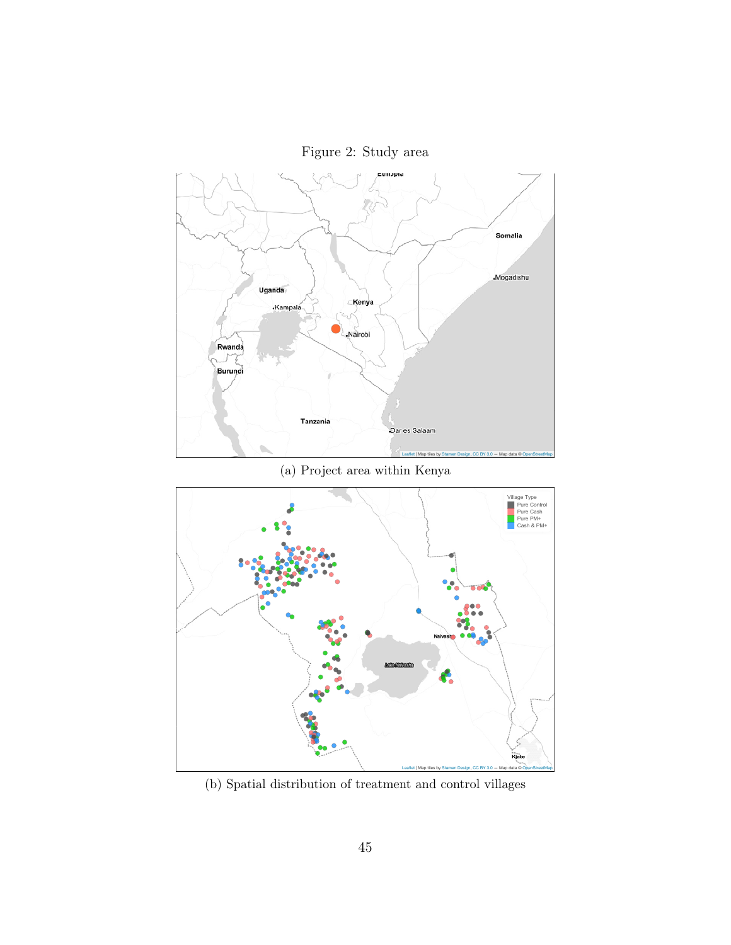Figure 2: Study area



(b) Spatial distribution of treatment and control villages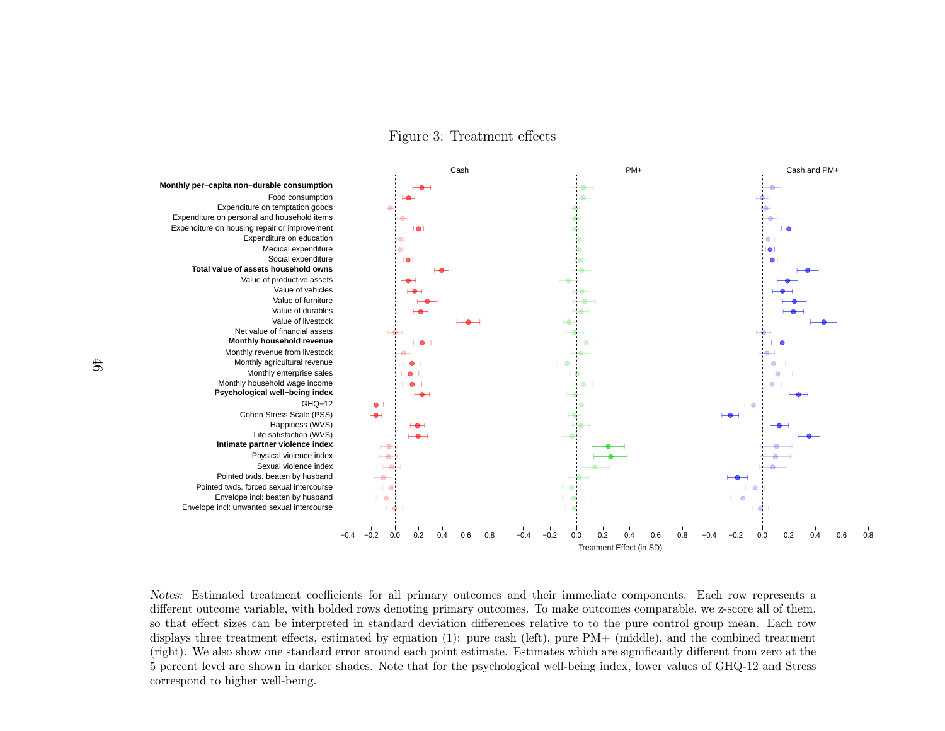Figure 3: Treatment effects



Notes: Estimated treatment coefficients for all primary outcomes and their immediate components. Each row represents <sup>a</sup> different outcome variable, with bolded rows denoting primary outcomes. To make outcomes comparable, we z-score all of them, so that effect sizes can be interpreted in standard deviation differences relative to to the pure control group mean. Each row displays three treatment effects, estimated by equation [\(1\)](#page-22-1): pure cash (left), pure PM+ (middle), and the combined treatment (right). We also show one standard error around each point estimate. Estimates which are significantly different from zero at the 5 percent level are shown in darker shades. Note that for the psychological well-being index, lower values of GHQ-12 and Stresscorrespond to higher well-being.

46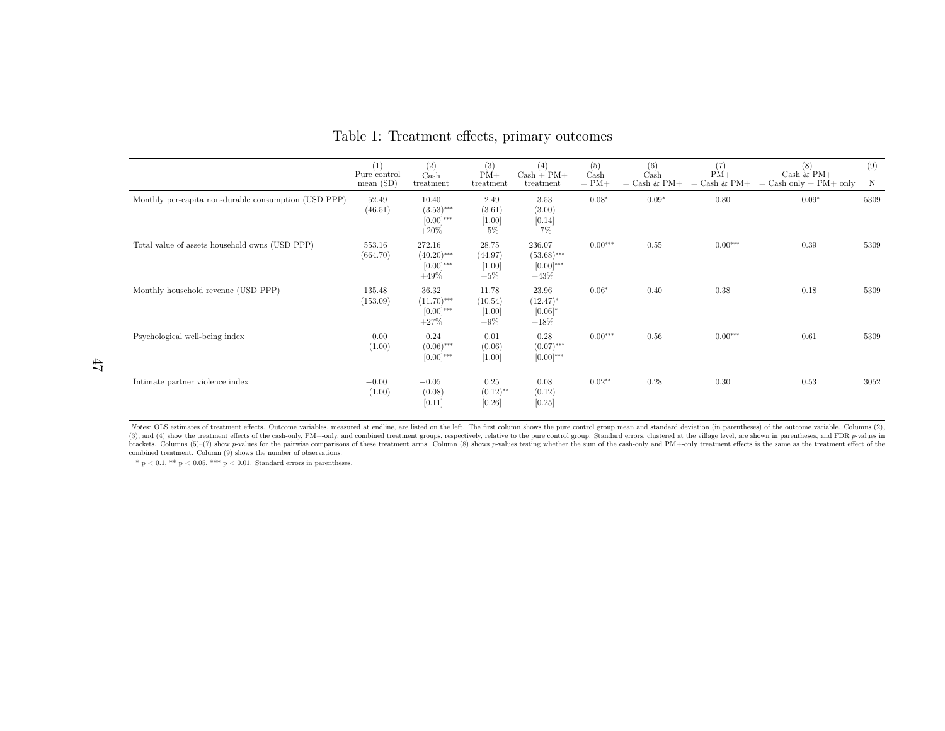|                                                      | (1)<br>Pure control<br>mean(SD) | (2)<br>Cash<br>treatment                             | (3)<br>$PM+$<br>treatment              | (4)<br>$Cash + PM +$<br>treatment                   | (5)<br>Cash<br>$= PM+$ | (6)<br>$\operatorname{Cash}$<br>$=$ Cash & PM+ | (7)<br>$PM+$<br>$Cash & PM+$<br>$=$ | (8)<br>$Cash & P M +$<br>$=$ Cash only $+$ PM $+$ only | (9)<br>N |
|------------------------------------------------------|---------------------------------|------------------------------------------------------|----------------------------------------|-----------------------------------------------------|------------------------|------------------------------------------------|-------------------------------------|--------------------------------------------------------|----------|
| Monthly per-capita non-durable consumption (USD PPP) | 52.49<br>(46.51)                | 10.40<br>$(3.53)$ ***<br>$[0.00]^{***}$<br>$+20\%$   | 2.49<br>(3.61)<br>$[1.00]$<br>$+5%$    | 3.53<br>(3.00)<br>[0.14]<br>$+7\%$                  | $0.08*$                | $0.09*$                                        | 0.80                                | $0.09*$                                                | 5309     |
| Total value of assets household owns (USD PPP)       | 553.16<br>(664.70)              | 272.16<br>$(40.20)$ ***<br>$[0.00]^{***}$<br>$+49\%$ | 28.75<br>(44.97)<br>$[1.00]$<br>$+5%$  | 236.07<br>$(53.68)$ ***<br>$[0.00]^{***}$<br>$+43%$ | $0.00***$              | 0.55                                           | $0.00***$                           | 0.39                                                   | 5309     |
| Monthly household revenue (USD PPP)                  | 135.48<br>(153.09)              | 36.32<br>$(11.70)$ ***<br>$[0.00]^{***}$<br>$+27\%$  | 11.78<br>(10.54)<br>$[1.00]$<br>$+9\%$ | 23.96<br>$(12.47)^{*}$<br>$[0.06]*$<br>$+18\%$      | $0.06*$                | 0.40                                           | 0.38                                | 0.18                                                   | 5309     |
| Psychological well-being index                       | 0.00<br>(1.00)                  | 0.24<br>$(0.06)$ ***<br>$[0.00]^{***}$               | $-0.01$<br>(0.06)<br>$[1.00]$          | 0.28<br>$(0.07)$ ***<br>$[0.00]^{***}$              | $0.00***$              | 0.56                                           | $0.00***$                           | 0.61                                                   | 5309     |
| Intimate partner violence index                      | $-0.00$<br>(1.00)               | $-0.05$<br>(0.08)<br>[0.11]                          | 0.25<br>$(0.12)$ **<br>[0.26]          | 0.08<br>(0.12)<br>[0.25]                            | $0.02**$               | 0.28                                           | 0.30                                | 0.53                                                   | 3052     |

Table 1: Treatment effects, primary outcomes

Notes: OLS estimates of treatment effects. Outcome variables, measured at endline, are listed on the left. The first column shows the pure control group mean and standard deviation (in parentheses) of the outcome variable (3), and (4) show the treatment effects of the cash-only, PM+-only, and combined treatment groups, respectively, relative to the pure control group. Standard errors, clustered at the village level, are shown in parentheses combined treatment. Column (9) shows the number of observations.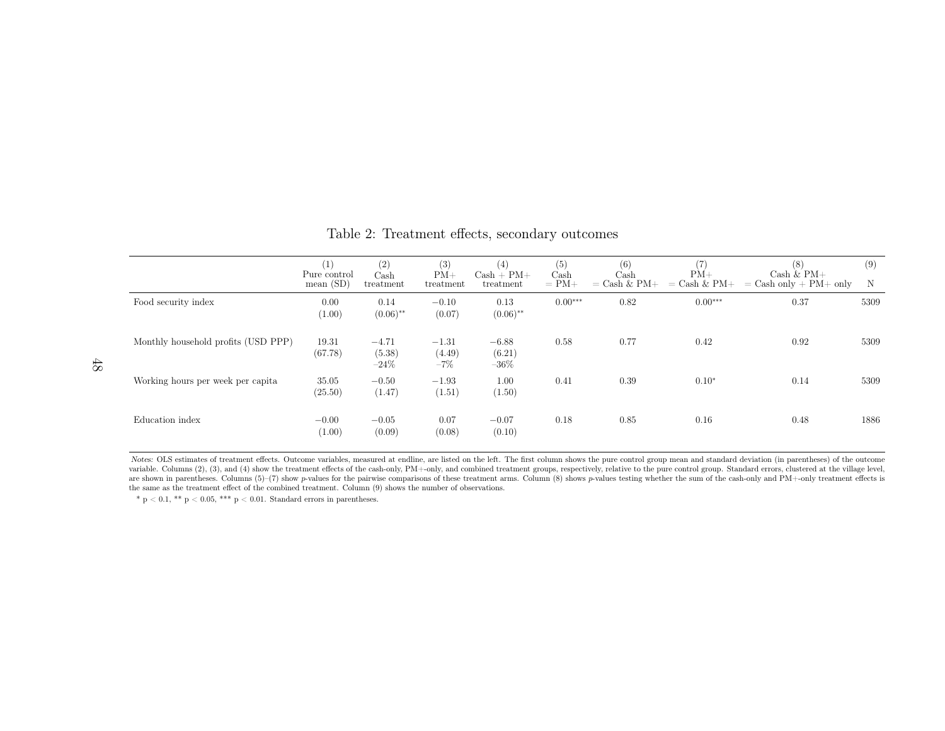|                                     | (1)<br>Pure control<br>mean $(SD)$ | (2)<br>Cash<br>treatment     | (3)<br>$PM+$<br>treatment  | (4)<br>$Cash + PM +$<br>treatment | (5)<br>Cash<br>$= PM+$ | (6)<br>$\operatorname{Cash}$<br>$=$ Cash & PM+ | (7)<br>$PM+$<br>$=$ Cash & PM+ | (8)<br>Cash $&$ PM+<br>$=$ Cash only $+$ PM $+$ only | (9)<br>$\mathbf N$ |
|-------------------------------------|------------------------------------|------------------------------|----------------------------|-----------------------------------|------------------------|------------------------------------------------|--------------------------------|------------------------------------------------------|--------------------|
| Food security index                 | 0.00<br>(1.00)                     | 0.14<br>$(0.06)$ **          | $-0.10$<br>(0.07)          | 0.13<br>$(0.06)$ **               | $0.00***$              | 0.82                                           | $0.00***$                      | 0.37                                                 | 5309               |
| Monthly household profits (USD PPP) | 19.31<br>(67.78)                   | $-4.71$<br>(5.38)<br>$-24\%$ | $-1.31$<br>(4.49)<br>$-7%$ | $-6.88$<br>(6.21)<br>$-36\%$      | 0.58                   | 0.77                                           | 0.42                           | 0.92                                                 | 5309               |
| Working hours per week per capita   | 35.05<br>(25.50)                   | $-0.50$<br>(1.47)            | $-1.93$<br>(1.51)          | 1.00<br>(1.50)                    | 0.41                   | 0.39                                           | $0.10*$                        | 0.14                                                 | 5309               |
| Education index                     | $-0.00$<br>(1.00)                  | $-0.05$<br>(0.09)            | 0.07<br>(0.08)             | $-0.07$<br>(0.10)                 | 0.18                   | 0.85                                           | 0.16                           | 0.48                                                 | 1886               |

Table 2: Treatment effects, secondary outcomes

Notes: OLS estimates of treatment effects. Outcome variables, measured at endline, are listed on the left. The first column shows the pure control group mean and standard deviation (in parentheses) of the outcome variable variable. Columns (2), (3), and (4) show the treatment effects of the cash-only, PM+-only, and combined treatment groups, respectively, relative to the pure control group. Standard errors, clustered at the village level, are shown in parentheses. Columns (5)–(7) show p-values for the pairwise comparisons of these treatment arms. Column (8) shows p-values testing whether the sum of the cash-only and PM+-only treatment effects is<br>the same as the same as the treatment effect of the combined treatment. Column (9) shows the number of observations.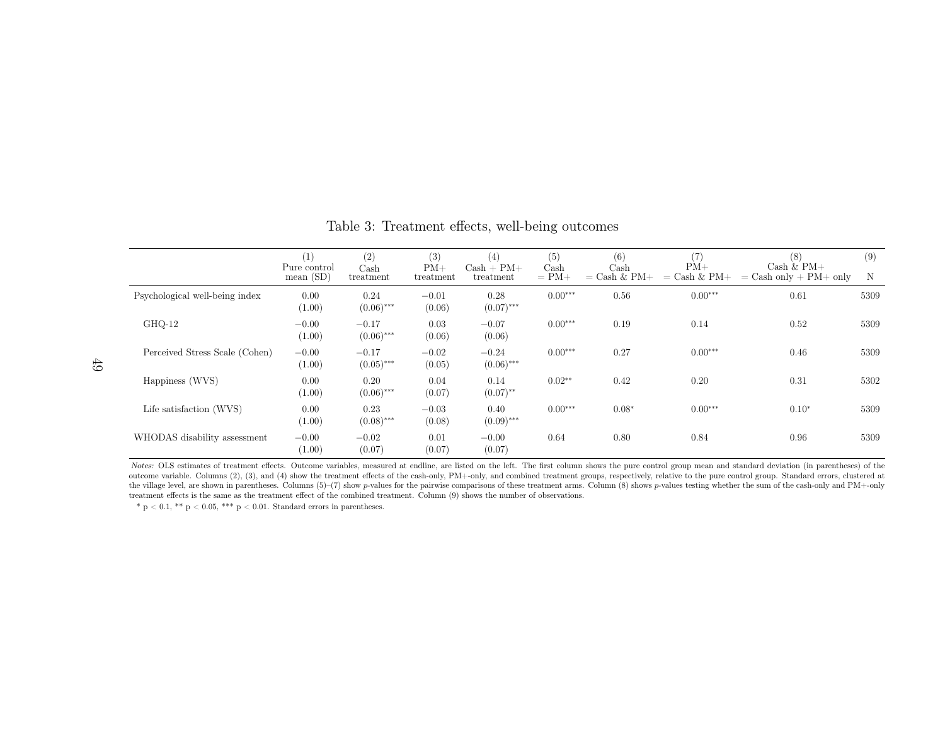|                                | (1)<br>Pure control<br>mean $(SD)$ | (2)<br>Cash<br>treatment | (3)<br>$PM+$<br>treatment | (4)<br>$Cash + PM +$<br>treatment | (5)<br>$\operatorname{Cash}$<br>$= PM+$ | (6)<br>$\operatorname{Cash}$<br>$=$ Cash & PM+ | (7)<br>$PM+$<br>$=$ Cash & PM+ | (8)<br>Cash $&$ PM+<br>$=$ Cash only $+$ PM $+$ only | (9)<br>N |
|--------------------------------|------------------------------------|--------------------------|---------------------------|-----------------------------------|-----------------------------------------|------------------------------------------------|--------------------------------|------------------------------------------------------|----------|
| Psychological well-being index | 0.00<br>(1.00)                     | 0.24<br>$(0.06)$ ***     | $-0.01$<br>(0.06)         | 0.28<br>$(0.07)$ ***              | $0.00***$                               | 0.56                                           | $0.00***$                      | 0.61                                                 | 5309     |
| GHQ-12                         | $-0.00$<br>(1.00)                  | $-0.17$<br>$(0.06)$ ***  | 0.03<br>(0.06)            | $-0.07$<br>(0.06)                 | $0.00***$                               | 0.19                                           | 0.14                           | 0.52                                                 | 5309     |
| Perceived Stress Scale (Cohen) | $-0.00$<br>(1.00)                  | $-0.17$<br>$(0.05)$ ***  | $-0.02$<br>(0.05)         | $-0.24$<br>$(0.06)$ ***           | $0.00***$                               | 0.27                                           | $0.00***$                      | 0.46                                                 | 5309     |
| Happiness (WVS)                | 0.00<br>(1.00)                     | 0.20<br>$(0.06)$ ***     | 0.04<br>(0.07)            | 0.14<br>$(0.07)$ **               | $0.02**$                                | 0.42                                           | 0.20                           | 0.31                                                 | 5302     |
| Life satisfaction (WVS)        | 0.00<br>(1.00)                     | 0.23<br>$(0.08)$ ***     | $-0.03$<br>(0.08)         | 0.40<br>$(0.09)$ ***              | $0.00***$                               | $0.08*$                                        | $0.00***$                      | $0.10*$                                              | 5309     |
| WHODAS disability assessment   | $-0.00$<br>(1.00)                  | $-0.02$<br>(0.07)        | 0.01<br>(0.07)            | $-0.00$<br>(0.07)                 | 0.64                                    | 0.80                                           | 0.84                           | 0.96                                                 | 5309     |

Table 3: Treatment effects, well-being outcomes

Notes: OLS estimates of treatment effects. Outcome variables, measured at endline, are listed on the left. The first column shows the pure control group mean and standard deviation (in parentheses) of the first column sho outcome variable. Columns (2), (3), and (4) show the treatment effects of the cash-only, PM+-only, and combined treatment groups, respectively, relative to the pure control group. Standard errors, clustered atthe village level, are shown in parentheses. Columns (5)–(7) show p-values for the pairwise comparisons of these treatment arms. Column (8) shows p-values testing whether the sum of the cash-only and PM+-only treatment arm treatment effects is the same as the treatment effect of the combined treatment. Column (9) shows the number of observations.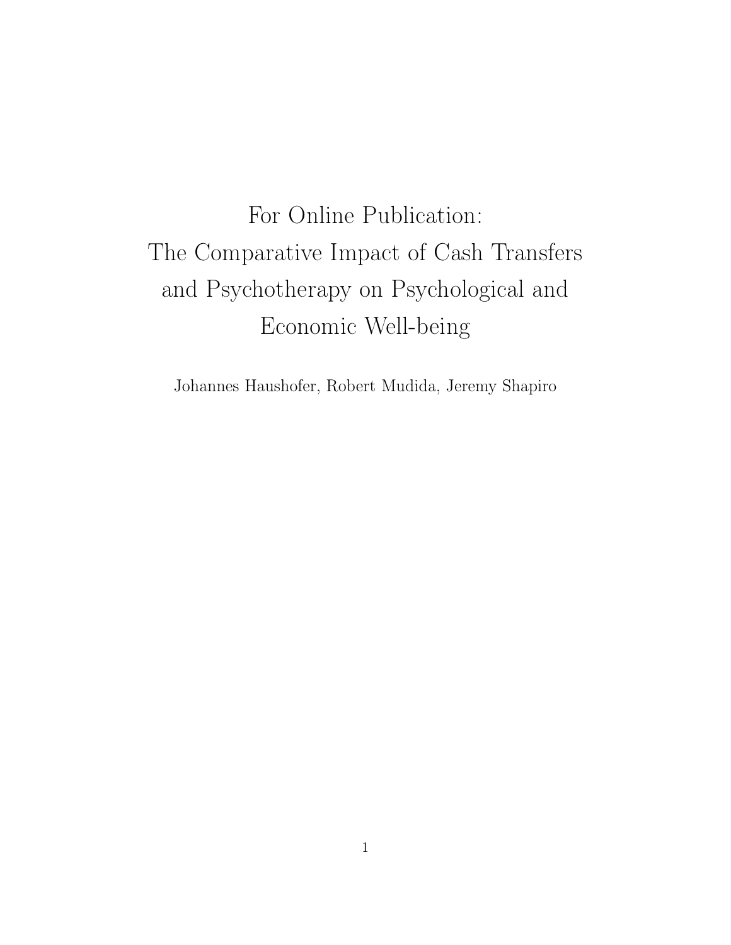# For Online Publication: The Comparative Impact of Cash Transfers and Psychotherapy on Psychological and Economic Well-being

Johannes Haushofer, Robert Mudida, Jeremy Shapiro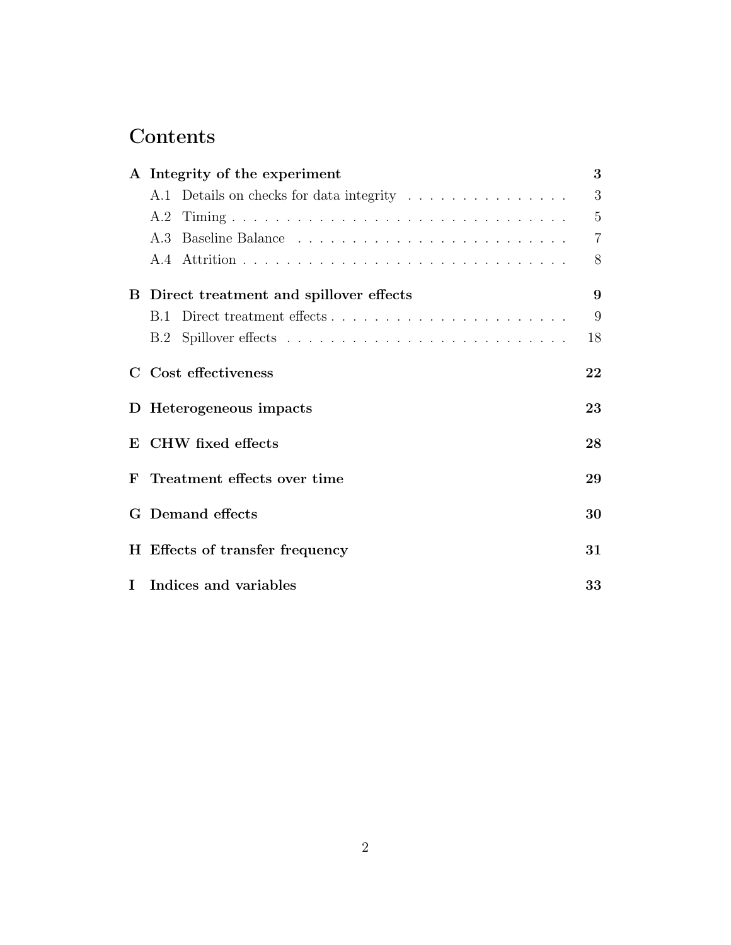## Contents

|             | A Integrity of the experiment            | 3              |
|-------------|------------------------------------------|----------------|
|             | A.1 Details on checks for data integrity | 3              |
|             | A.2                                      | $\overline{5}$ |
|             | A 3                                      | $\overline{7}$ |
|             |                                          | 8              |
|             | B Direct treatment and spillover effects | 9              |
|             | B.1                                      | 9              |
|             | B.2                                      | 18             |
| $\mathbf C$ | Cost effectiveness                       | 22             |
|             | D Heterogeneous impacts                  | 23             |
| ${\bf E}$   | CHW fixed effects                        | 28             |
|             | F Treatment effects over time            | 29             |
| G           | Demand effects                           | 30             |
|             | H Effects of transfer frequency          | 31             |
|             | I Indices and variables                  | 33             |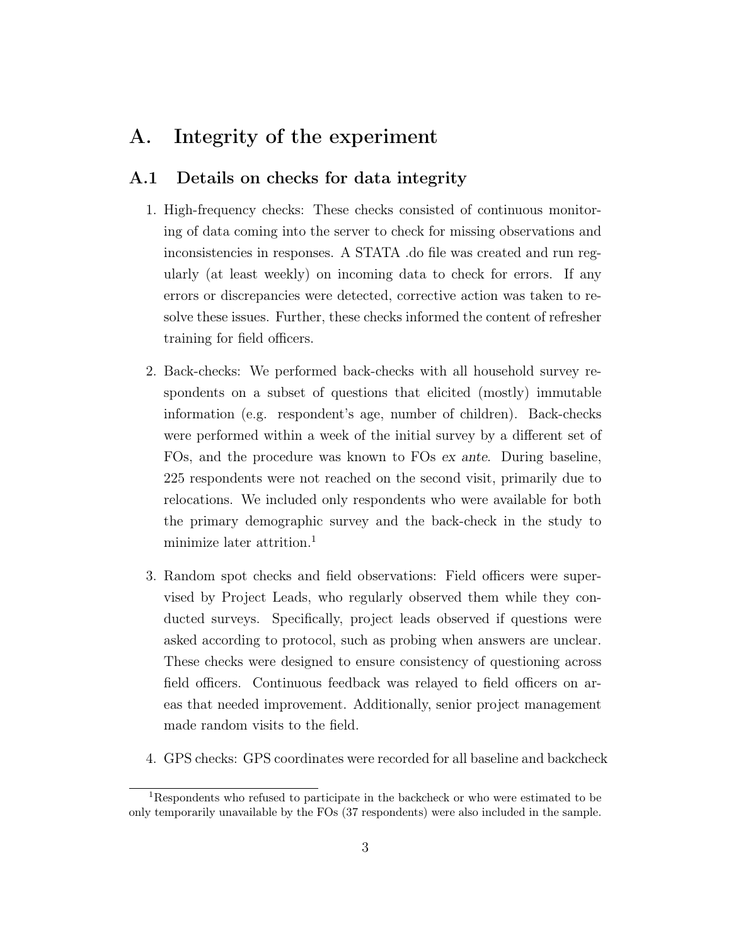### <span id="page-52-0"></span>A. Integrity of the experiment

#### <span id="page-52-1"></span>A.1 Details on checks for data integrity

- 1. High-frequency checks: These checks consisted of continuous monitoring of data coming into the server to check for missing observations and inconsistencies in responses. A STATA .do file was created and run regularly (at least weekly) on incoming data to check for errors. If any errors or discrepancies were detected, corrective action was taken to resolve these issues. Further, these checks informed the content of refresher training for field officers.
- 2. Back-checks: We performed back-checks with all household survey respondents on a subset of questions that elicited (mostly) immutable information (e.g. respondent's age, number of children). Back-checks were performed within a week of the initial survey by a different set of FOs, and the procedure was known to FOs ex ante. During baseline, 225 respondents were not reached on the second visit, primarily due to relocations. We included only respondents who were available for both the primary demographic survey and the back-check in the study to minimize later attrition.<sup>[1](#page--1-0)</sup>
- 3. Random spot checks and field observations: Field officers were supervised by Project Leads, who regularly observed them while they conducted surveys. Specifically, project leads observed if questions were asked according to protocol, such as probing when answers are unclear. These checks were designed to ensure consistency of questioning across field officers. Continuous feedback was relayed to field officers on areas that needed improvement. Additionally, senior project management made random visits to the field.
- 4. GPS checks: GPS coordinates were recorded for all baseline and backcheck

<sup>1</sup>Respondents who refused to participate in the backcheck or who were estimated to be only temporarily unavailable by the FOs (37 respondents) were also included in the sample.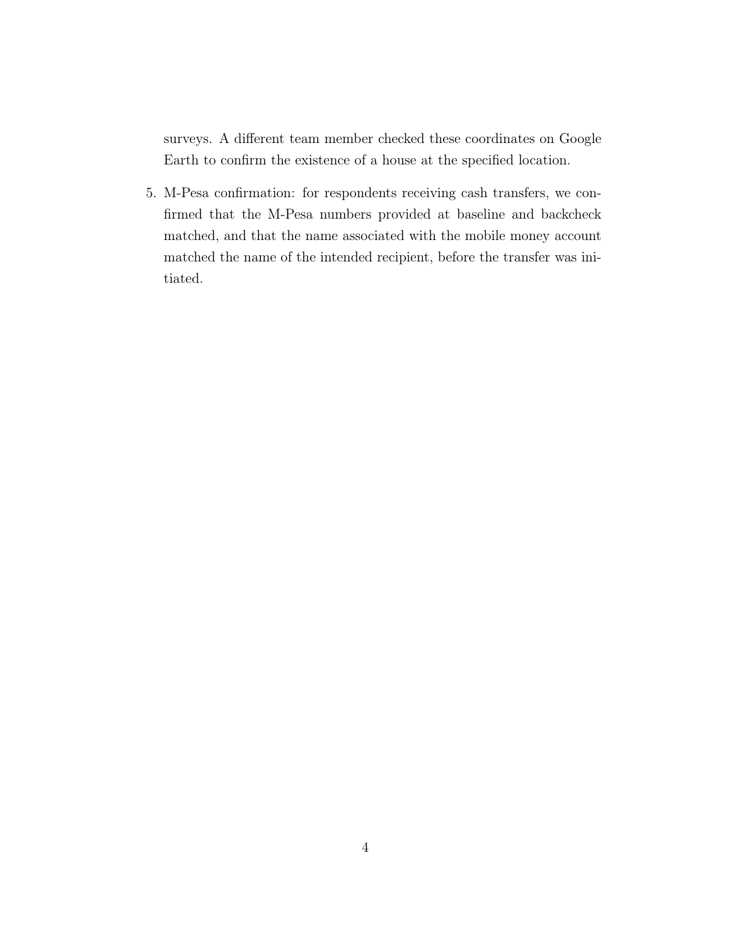surveys. A different team member checked these coordinates on Google Earth to confirm the existence of a house at the specified location.

5. M-Pesa confirmation: for respondents receiving cash transfers, we confirmed that the M-Pesa numbers provided at baseline and backcheck matched, and that the name associated with the mobile money account matched the name of the intended recipient, before the transfer was initiated.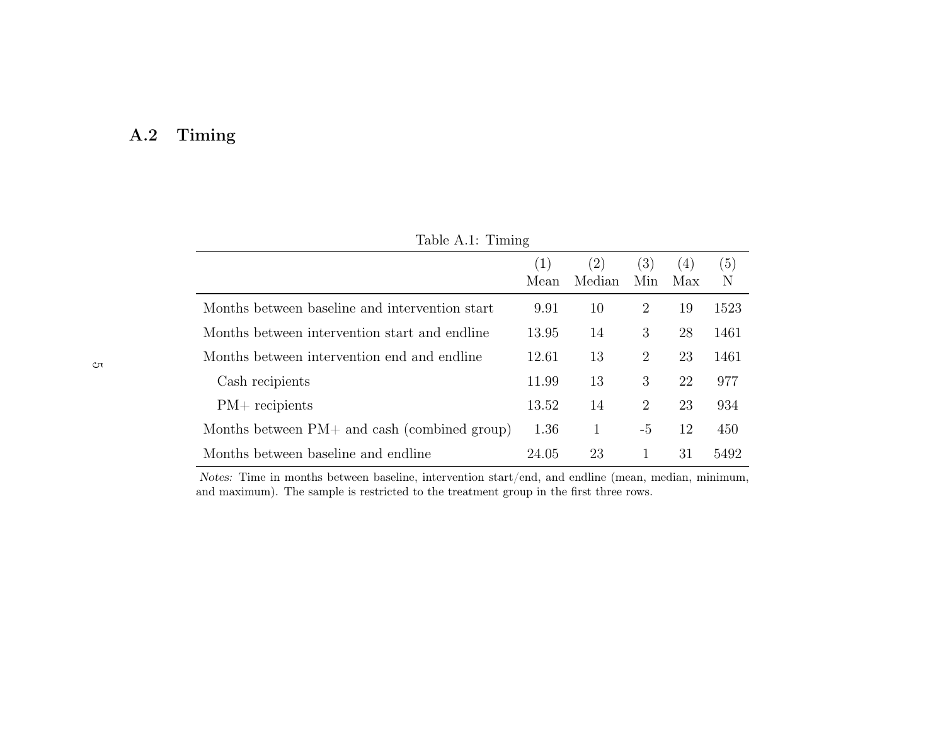## <span id="page-54-0"></span>A.2 Timing

| Table A.1: Timing                              |             |               |                |            |          |  |  |  |  |  |
|------------------------------------------------|-------------|---------------|----------------|------------|----------|--|--|--|--|--|
|                                                | (1)<br>Mean | (2)<br>Median | (3)<br>Min     | (4)<br>Max | (5)<br>Ν |  |  |  |  |  |
| Months between baseline and intervention start | 9.91        | 10            | 2              | 19         | 1523     |  |  |  |  |  |
| Months between intervention start and endline  | 13.95       | 14            | 3              | 28         | 1461     |  |  |  |  |  |
| Months between intervention end and endline    | 12.61       | 13            | $\overline{2}$ | 23         | 1461     |  |  |  |  |  |
| Cash recipients                                | 11.99       | 13            | 3              | 22         | 977      |  |  |  |  |  |
| $PM+$ recipients                               | 13.52       | 14            | $\overline{2}$ | 23         | 934      |  |  |  |  |  |
| Months between $PM+$ and cash (combined group) | 1.36        | 1             | -5             | 12         | 450      |  |  |  |  |  |
| Months between baseline and endline            | 24.05       | 23            | 1              | 31         | 5492     |  |  |  |  |  |

Notes: Time in months between baseline, intervention start/end, and endline (mean, median, minimum, and maximum). The sample is restricted to the treatment group in the first three rows.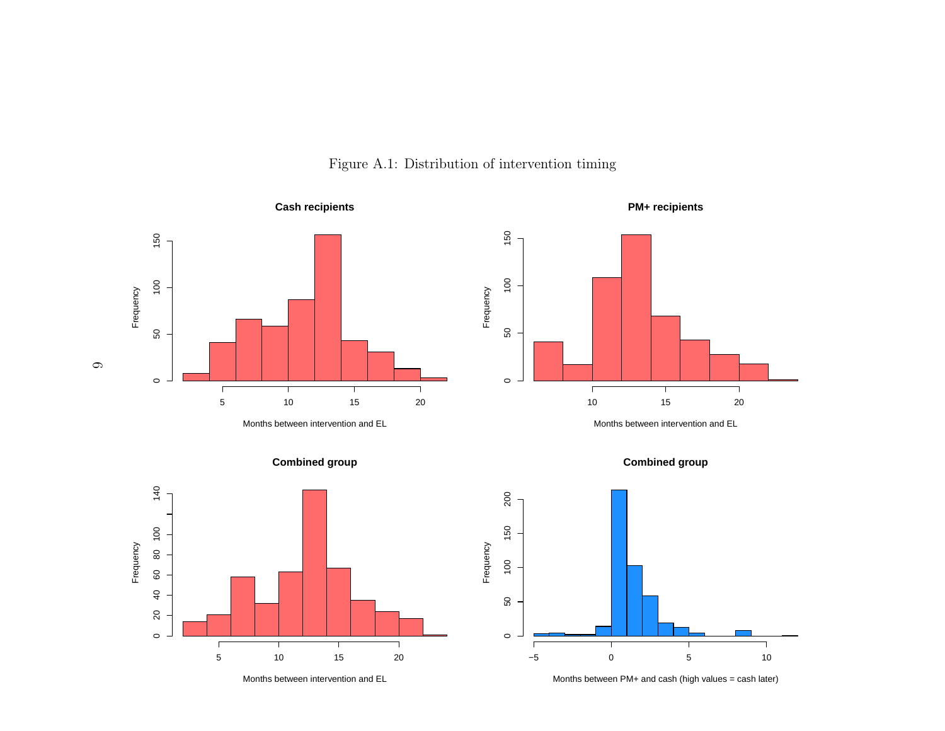





Months between intervention and EL





Months between intervention and EL





Months between PM+ and cash (high values = cash later)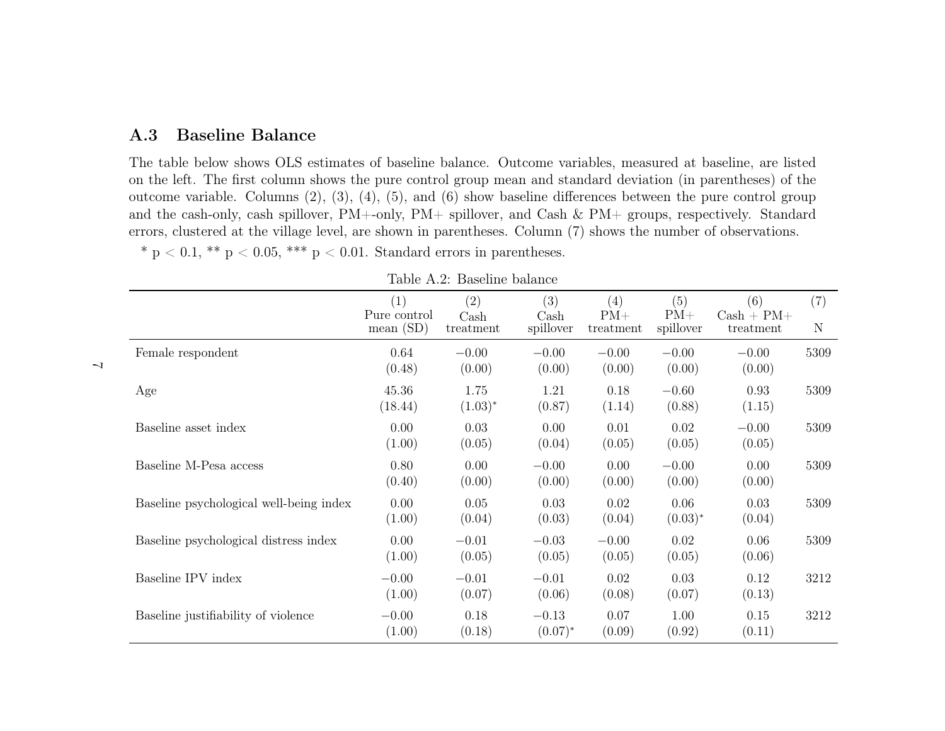#### <span id="page-56-0"></span>A.3Baseline Balance

The table below shows OLS estimates of baseline balance. Outcome variables, measured at baseline, are listed on the left. The first column shows the pure control group mean and standard deviation (in parentheses) of the outcome variable. Columns (2), (3), (4), (5), and (6) show baseline differences between the pure control group and the cash-only, cash spillover, PM+-only, PM+ spillover, and Cash & PM+ groups, respectively. Standarderrors, clustered at the village level, are shown in parentheses. Column (7) shows the number of observations.\*  $p < 0.1$ , \*\*  $p < 0.05$ , \*\*\*  $p < 0.01$ . Standard errors in parentheses.

|                                         | (1)<br>Pure control<br>mean $(SD)$ | $\left( 2\right)$<br>$\operatorname{Cash}$<br>treatment | (3)<br>Cash<br>spillover | (4)<br>$PM+$<br>treatment | (5)<br>$PM+$<br>spillover | (6)<br>$Cash + PM +$<br>treatment | (7)<br>N |
|-----------------------------------------|------------------------------------|---------------------------------------------------------|--------------------------|---------------------------|---------------------------|-----------------------------------|----------|
| Female respondent                       | 0.64<br>(0.48)                     | $-0.00$<br>(0.00)                                       | $-0.00$<br>(0.00)        | $-0.00$<br>(0.00)         | $-0.00$<br>(0.00)         | $-0.00$<br>(0.00)                 | 5309     |
| Age                                     | 45.36<br>(18.44)                   | 1.75<br>$(1.03)^{*}$                                    | 1.21<br>(0.87)           | 0.18<br>(1.14)            | $-0.60$<br>(0.88)         | 0.93<br>(1.15)                    | 5309     |
| Baseline asset index                    | 0.00<br>(1.00)                     | 0.03<br>(0.05)                                          | 0.00<br>(0.04)           | 0.01<br>(0.05)            | 0.02<br>(0.05)            | $-0.00$<br>(0.05)                 | 5309     |
| Baseline M-Pesa access                  | 0.80<br>(0.40)                     | 0.00<br>(0.00)                                          | $-0.00$<br>(0.00)        | 0.00<br>(0.00)            | $-0.00$<br>(0.00)         | 0.00<br>(0.00)                    | 5309     |
| Baseline psychological well-being index | 0.00<br>(1.00)                     | 0.05<br>(0.04)                                          | 0.03<br>(0.03)           | 0.02<br>(0.04)            | 0.06<br>$(0.03)^*$        | 0.03<br>(0.04)                    | 5309     |
| Baseline psychological distress index   | 0.00<br>(1.00)                     | $-0.01$<br>(0.05)                                       | $-0.03$<br>(0.05)        | $-0.00$<br>(0.05)         | 0.02<br>(0.05)            | 0.06<br>(0.06)                    | 5309     |
| Baseline IPV index                      | $-0.00$<br>(1.00)                  | $-0.01$<br>(0.07)                                       | $-0.01$<br>(0.06)        | 0.02<br>(0.08)            | 0.03<br>(0.07)            | 0.12<br>(0.13)                    | 3212     |
| Baseline justifiability of violence     | $-0.00$<br>(1.00)                  | 0.18<br>(0.18)                                          | $-0.13$<br>$(0.07)^{*}$  | 0.07<br>(0.09)            | 1.00<br>(0.92)            | 0.15<br>(0.11)                    | 3212     |

Table A.2: Baseline balance

 $\overline{\phantom{0}}$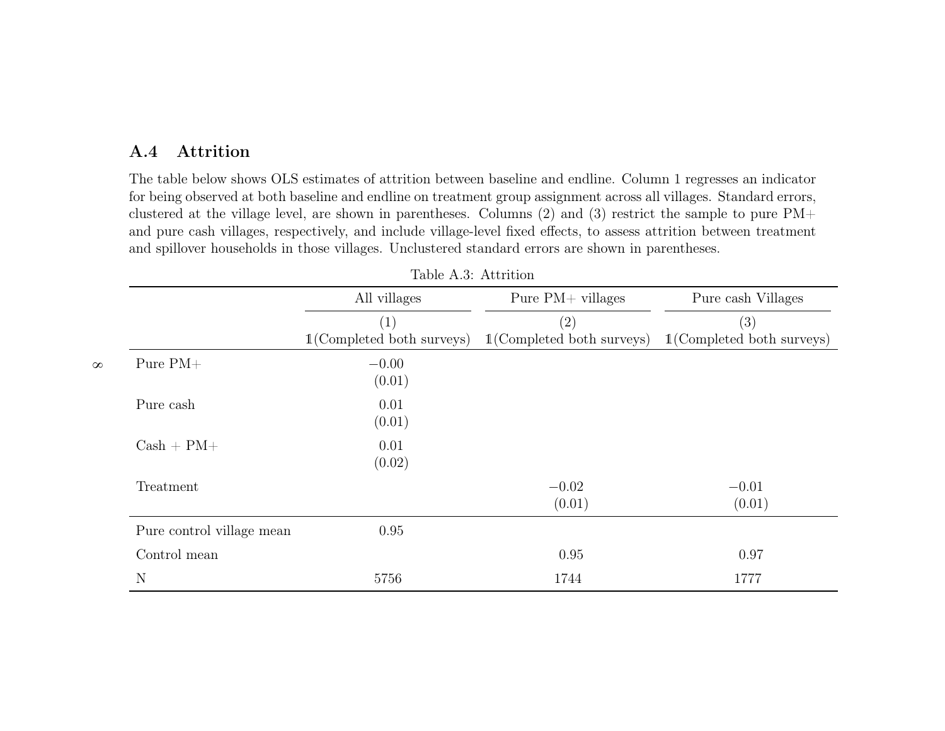### <span id="page-57-0"></span>A.4 Attrition

The table below shows OLS estimates of attrition between baseline and endline. Column 1 regresses an indicator for being observed at both baseline and endline on treatment group assignment across all villages. Standard errors, clustered at the village level, are shown in parentheses. Columns (2) and (3) restrict the sample to pure PM+ and pure cash villages, respectively, and include village-level fixed effects, to assess attrition between treatmentand spillover households in those villages. Unclustered standard errors are shown in parentheses.

|                           | All villages                 | Pure $PM+$ villages          | Pure cash Villages           |
|---------------------------|------------------------------|------------------------------|------------------------------|
|                           | (1)                          | (2)                          | (3)                          |
|                           | $1$ (Completed both surveys) | $1$ (Completed both surveys) | $1$ (Completed both surveys) |
| Pure $PM+$<br>$\infty$    | $-0.00$<br>(0.01)            |                              |                              |
| Pure cash                 | 0.01<br>(0.01)               |                              |                              |
| $Cash + PM +$             | 0.01<br>(0.02)               |                              |                              |
| Treatment                 |                              | $-0.02$<br>(0.01)            | $-0.01$<br>(0.01)            |
| Pure control village mean | 0.95                         |                              |                              |
| Control mean              |                              | 0.95                         | 0.97                         |
| N                         | 5756                         | 1744                         | 1777                         |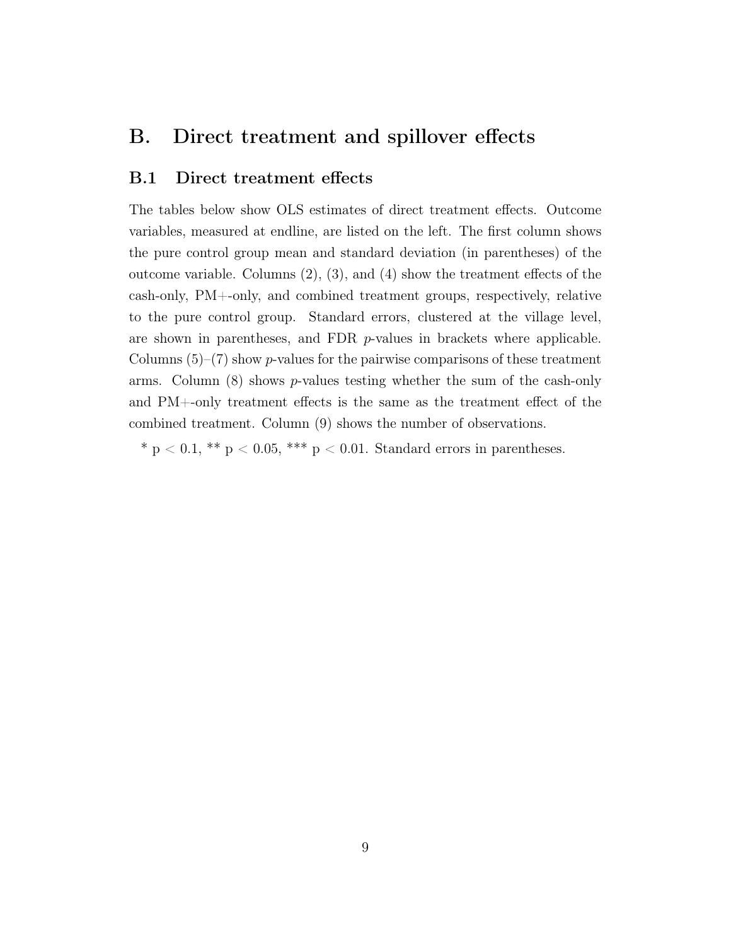#### <span id="page-58-0"></span>B. Direct treatment and spillover effects

#### <span id="page-58-1"></span>B.1 Direct treatment effects

The tables below show OLS estimates of direct treatment effects. Outcome variables, measured at endline, are listed on the left. The first column shows the pure control group mean and standard deviation (in parentheses) of the outcome variable. Columns (2), (3), and (4) show the treatment effects of the cash-only, PM+-only, and combined treatment groups, respectively, relative to the pure control group. Standard errors, clustered at the village level, are shown in parentheses, and FDR  $p$ -values in brackets where applicable. Columns  $(5)-(7)$  show *p*-values for the pairwise comparisons of these treatment arms. Column  $(8)$  shows p-values testing whether the sum of the cash-only and PM+-only treatment effects is the same as the treatment effect of the combined treatment. Column (9) shows the number of observations.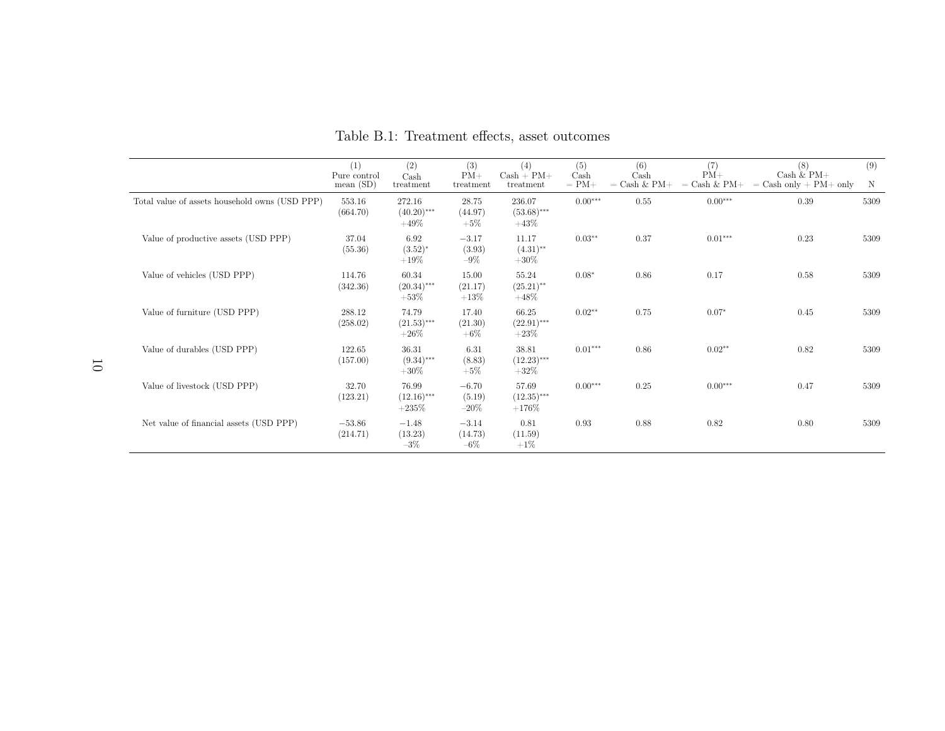|                                                | (1)<br>Pure control<br>mean(SD) | (2)<br>$\operatorname{Cash}$<br>treatment | (3)<br>$PM+$<br>treatment    | (4)<br>$Cash + PM +$<br>treatment | (5)<br>Cash<br>$= PM+$ | (6)<br>$\operatorname{Cash}$<br>$=$ Cash & PM+ | (7)<br>$PM+$<br>$=$ Cash $\&$ PM+ | (8)<br>Cash $\&$ PM+<br>$=$ Cash only $+$ PM $+$ only | (9)<br>N |
|------------------------------------------------|---------------------------------|-------------------------------------------|------------------------------|-----------------------------------|------------------------|------------------------------------------------|-----------------------------------|-------------------------------------------------------|----------|
| Total value of assets household owns (USD PPP) | 553.16<br>(664.70)              | 272.16<br>$(40.20)$ ***<br>$+49\%$        | 28.75<br>(44.97)<br>$+5%$    | 236.07<br>$(53.68)$ ***<br>$+43%$ | $0.00***$              | 0.55                                           | $0.00***$                         | 0.39                                                  | 5309     |
| Value of productive assets (USD PPP)           | 37.04<br>(55.36)                | 6.92<br>$(3.52)^{*}$<br>$+19%$            | $-3.17$<br>(3.93)<br>$-9\%$  | 11.17<br>$(4.31)$ **<br>$+30\%$   | $0.03**$               | 0.37                                           | $0.01***$                         | 0.23                                                  | 5309     |
| Value of vehicles (USD PPP)                    | 114.76<br>(342.36)              | 60.34<br>$(20.34)$ ***<br>$+53\%$         | 15.00<br>(21.17)<br>$+13%$   | 55.24<br>$(25.21)$ **<br>$+48\%$  | $0.08*$                | 0.86                                           | 0.17                              | 0.58                                                  | 5309     |
| Value of furniture (USD PPP)                   | 288.12<br>(258.02)              | 74.79<br>$(21.53)$ ***<br>$+26\%$         | 17.40<br>(21.30)<br>$+6\%$   | 66.25<br>$(22.91)$ ***<br>$+23\%$ | $0.02**$               | 0.75                                           | $0.07*$                           | 0.45                                                  | 5309     |
| Value of durables (USD PPP)                    | 122.65<br>(157.00)              | 36.31<br>$(9.34)$ ***<br>$+30\%$          | 6.31<br>(8.83)<br>$+5\%$     | 38.81<br>$(12.23)$ ***<br>$+32\%$ | $0.01***$              | 0.86                                           | $0.02**$                          | 0.82                                                  | 5309     |
| Value of livestock (USD PPP)                   | 32.70<br>(123.21)               | 76.99<br>$(12.16)$ ***<br>$+235%$         | $-6.70$<br>(5.19)<br>$-20\%$ | 57.69<br>$(12.35)$ ***<br>$+176%$ | $0.00***$              | 0.25                                           | $0.00***$                         | 0.47                                                  | 5309     |
| Net value of financial assets (USD PPP)        | $-53.86$<br>(214.71)            | $-1.48$<br>(13.23)<br>$-3\%$              | $-3.14$<br>(14.73)<br>$-6\%$ | 0.81<br>(11.59)<br>$+1\%$         | 0.93                   | 0.88                                           | 0.82                              | 0.80                                                  | 5309     |

Table B.1: Treatment effects, asset outcomes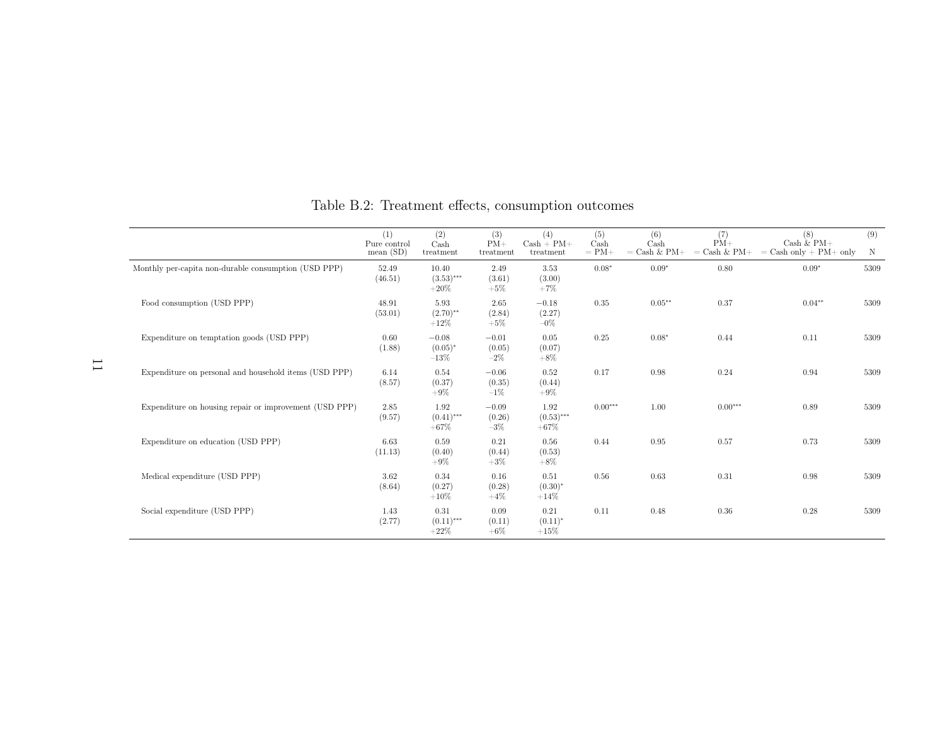|                                                        | (1)<br>Pure control<br>mean(SD) | (2)<br>Cash<br>treatment          | (3)<br>$PM+$<br>treatment   | (4)<br>$Cash + PM +$<br>treatment | (5)<br>Cash<br>$= PM+$ | (6)<br>Cash<br>$=$ Cash & PM+ $\,$ | (7)<br>$PM+$<br>$=$ Cash & PM+ | (8)<br>Cash $\&$ PM+<br>$=$ Cash only + PM+ only | (9)<br>N |
|--------------------------------------------------------|---------------------------------|-----------------------------------|-----------------------------|-----------------------------------|------------------------|------------------------------------|--------------------------------|--------------------------------------------------|----------|
| Monthly per-capita non-durable consumption (USD PPP)   | 52.49<br>(46.51)                | 10.40<br>$(3.53)$ ***<br>$+20%$   | 2.49<br>(3.61)<br>$+5%$     | 3.53<br>(3.00)<br>$+7%$           | $0.08*$                | $0.09*$                            | 0.80                           | $0.09*$                                          | 5309     |
| Food consumption (USD PPP)                             | 48.91<br>(53.01)                | 5.93<br>$(2.70)$ **<br>$+12%$     | 2.65<br>(2.84)<br>$+5\%$    | $-0.18$<br>(2.27)<br>$-0\%$       | 0.35                   | $0.05***$                          | 0.37                           | $0.04**$                                         | 5309     |
| Expenditure on temptation goods (USD PPP)              | 0.60<br>(1.88)                  | $-0.08$<br>$(0.05)^{*}$<br>$-13%$ | $-0.01$<br>(0.05)<br>$-2\%$ | 0.05<br>(0.07)<br>$+8\%$          | 0.25                   | $0.08*$                            | 0.44                           | 0.11                                             | 5309     |
| Expenditure on personal and household items (USD PPP)  | 6.14<br>(8.57)                  | 0.54<br>(0.37)<br>$+9\%$          | $-0.06$<br>(0.35)<br>$-1\%$ | 0.52<br>(0.44)<br>$+9\%$          | 0.17                   | 0.98                               | 0.24                           | 0.94                                             | 5309     |
| Expenditure on housing repair or improvement (USD PPP) | 2.85<br>(9.57)                  | 1.92<br>$(0.41)$ ***<br>$+67%$    | $-0.09$<br>(0.26)<br>$-3\%$ | 1.92<br>$(0.53)$ ***<br>$+67%$    | $0.00***$              | 1.00                               | $0.00***$                      | 0.89                                             | 5309     |
| Expenditure on education (USD PPP)                     | 6.63<br>(11.13)                 | 0.59<br>(0.40)<br>$+9\%$          | 0.21<br>(0.44)<br>$+3%$     | 0.56<br>(0.53)<br>$+8\%$          | 0.44                   | 0.95                               | 0.57                           | 0.73                                             | 5309     |
| Medical expenditure (USD PPP)                          | 3.62<br>(8.64)                  | 0.34<br>(0.27)<br>$+10%$          | 0.16<br>(0.28)<br>$+4\%$    | 0.51<br>$(0.30)^{*}$<br>$+14%$    | 0.56                   | 0.63                               | 0.31                           | 0.98                                             | 5309     |
| Social expenditure (USD PPP)                           | 1.43<br>(2.77)                  | 0.31<br>$(0.11)$ ***<br>$+22%$    | 0.09<br>(0.11)<br>$+6\%$    | 0.21<br>$(0.11)^*$<br>$+15%$      | 0.11                   | 0.48                               | 0.36                           | 0.28                                             | 5309     |

Table B.2: Treatment effects, consumption outcomes

11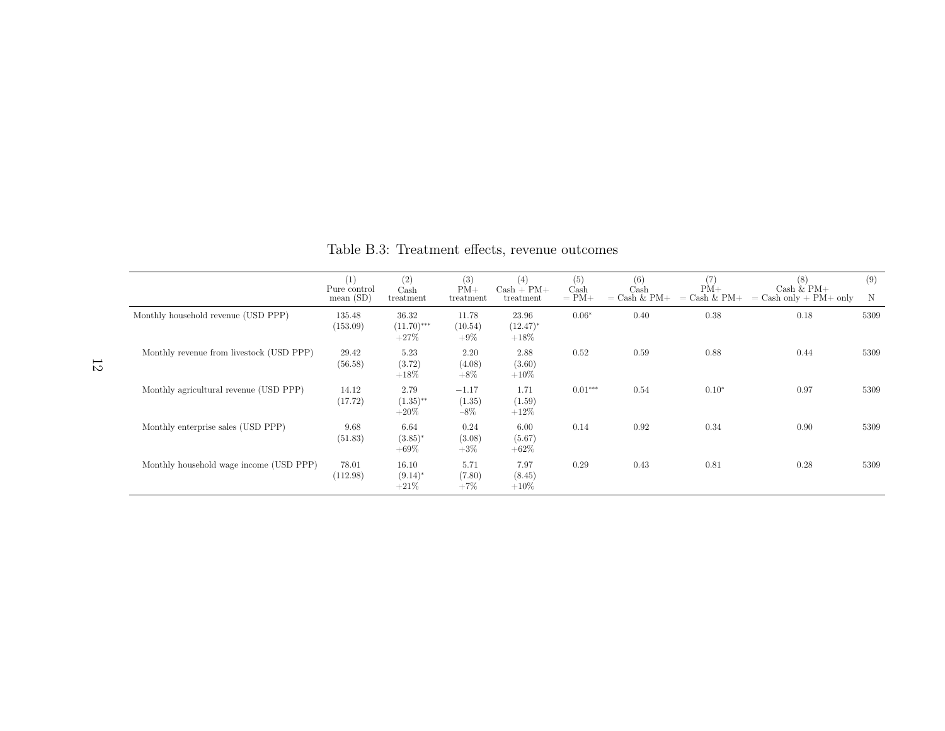|                                          | (1)<br>Pure control<br>mean $(SD)$ | (2)<br>$\operatorname{Cash}$<br>treatment | (3)<br>$PM+$<br>treatment   | (4)<br>$Cash + PM +$<br>treatment | (5)<br>$\operatorname{Cash}$<br>$= PM+$ | (6)<br>Cash<br>$=$ Cash & PM+ | (7)<br>$PM+$<br>$=$ Cash & PM+ | (8)<br>$Cash & PM+$<br>$=$ Cash only $+$ PM $+$ only | (9)<br>N |
|------------------------------------------|------------------------------------|-------------------------------------------|-----------------------------|-----------------------------------|-----------------------------------------|-------------------------------|--------------------------------|------------------------------------------------------|----------|
| Monthly household revenue (USD PPP)      | 135.48<br>(153.09)                 | 36.32<br>$(11.70)$ ***<br>$+27\%$         | 11.78<br>(10.54)<br>$+9\%$  | 23.96<br>$(12.47)^*$<br>$+18\%$   | $0.06*$                                 | 0.40                          | 0.38                           | 0.18                                                 | 5309     |
| Monthly revenue from livestock (USD PPP) | 29.42<br>(56.58)                   | 5.23<br>(3.72)<br>$+18\%$                 | 2.20<br>(4.08)<br>$+8\%$    | 2.88<br>(3.60)<br>$+10\%$         | 0.52                                    | 0.59                          | 0.88                           | 0.44                                                 | 5309     |
| Monthly agricultural revenue (USD PPP)   | 14.12<br>(17.72)                   | 2.79<br>$(1.35)$ **<br>$+20\%$            | $-1.17$<br>(1.35)<br>$-8\%$ | 1.71<br>(1.59)<br>$+12\%$         | $0.01***$                               | 0.54                          | $0.10*$                        | 0.97                                                 | 5309     |
| Monthly enterprise sales (USD PPP)       | 9.68<br>(51.83)                    | 6.64<br>$(3.85)^*$<br>$+69%$              | 0.24<br>(3.08)<br>$+3\%$    | 6.00<br>(5.67)<br>$+62\%$         | 0.14                                    | 0.92                          | 0.34                           | 0.90                                                 | 5309     |
| Monthly household wage income (USD PPP)  | 78.01<br>(112.98)                  | 16.10<br>$(9.14)^*$<br>$+21\%$            | 5.71<br>(7.80)<br>$+7\%$    | 7.97<br>(8.45)<br>$+10\%$         | 0.29                                    | 0.43                          | 0.81                           | 0.28                                                 | 5309     |

Table B.3: Treatment effects, revenue outcomes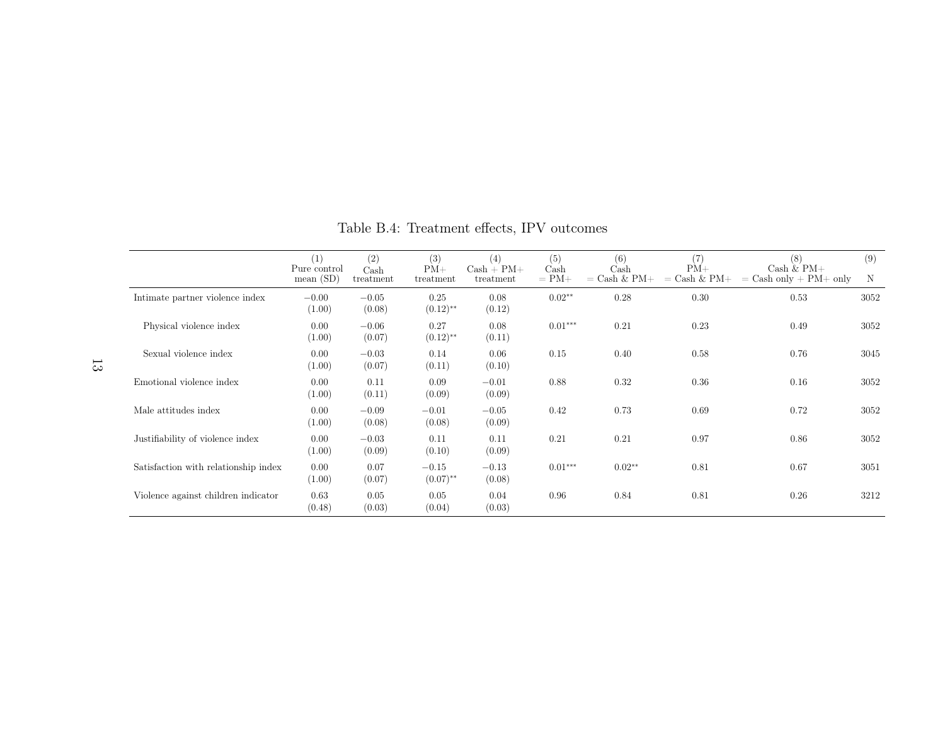|                                      | (1)<br>Pure control<br>mean $(SD)$ | (2)<br>Cash<br>treatment | (3)<br>$PM+$<br>treatment         | (4)<br>$Cash + PM +$<br>treatment | (5)<br>Cash<br>$= PM+$ | (6)<br>Cash<br>$=$ Cash & PM+ | (7)<br>$PM+$<br>$=$ Cash & PM+ | (8)<br>Cash $&$ PM $+$<br>$=$ Cash only $+$ PM $+$ only | (9)<br>N |
|--------------------------------------|------------------------------------|--------------------------|-----------------------------------|-----------------------------------|------------------------|-------------------------------|--------------------------------|---------------------------------------------------------|----------|
| Intimate partner violence index      | $-0.00$<br>(1.00)                  | $-0.05$<br>(0.08)        | 0.25<br>$(0.12)$ <sup>**</sup>    | 0.08<br>(0.12)                    | $0.02**$               | 0.28                          | 0.30                           | 0.53                                                    | 3052     |
| Physical violence index              | 0.00<br>(1.00)                     | $-0.06$<br>(0.07)        | 0.27<br>$(0.12)$ <sup>**</sup>    | 0.08<br>(0.11)                    | $0.01***$              | 0.21                          | 0.23                           | 0.49                                                    | 3052     |
| Sexual violence index                | 0.00<br>(1.00)                     | $-0.03$<br>(0.07)        | 0.14<br>(0.11)                    | 0.06<br>(0.10)                    | 0.15                   | 0.40                          | 0.58                           | 0.76                                                    | 3045     |
| Emotional violence index             | 0.00<br>(1.00)                     | 0.11<br>(0.11)           | 0.09<br>(0.09)                    | $-0.01$<br>(0.09)                 | 0.88                   | 0.32                          | 0.36                           | 0.16                                                    | 3052     |
| Male attitudes index                 | 0.00<br>(1.00)                     | $-0.09$<br>(0.08)        | $-0.01$<br>(0.08)                 | $-0.05$<br>(0.09)                 | 0.42                   | 0.73                          | 0.69                           | 0.72                                                    | 3052     |
| Justifiability of violence index     | 0.00<br>(1.00)                     | $-0.03$<br>(0.09)        | 0.11<br>(0.10)                    | 0.11<br>(0.09)                    | 0.21                   | 0.21                          | 0.97                           | 0.86                                                    | 3052     |
| Satisfaction with relationship index | 0.00<br>(1.00)                     | 0.07<br>(0.07)           | $-0.15$<br>$(0.07)$ <sup>**</sup> | $-0.13$<br>(0.08)                 | $0.01***$              | $0.02**$                      | 0.81                           | 0.67                                                    | 3051     |
| Violence against children indicator  | 0.63<br>(0.48)                     | 0.05<br>(0.03)           | 0.05<br>(0.04)                    | 0.04<br>(0.03)                    | 0.96                   | 0.84                          | 0.81                           | 0.26                                                    | 3212     |

Table B.4: Treatment effects, IPV outcomes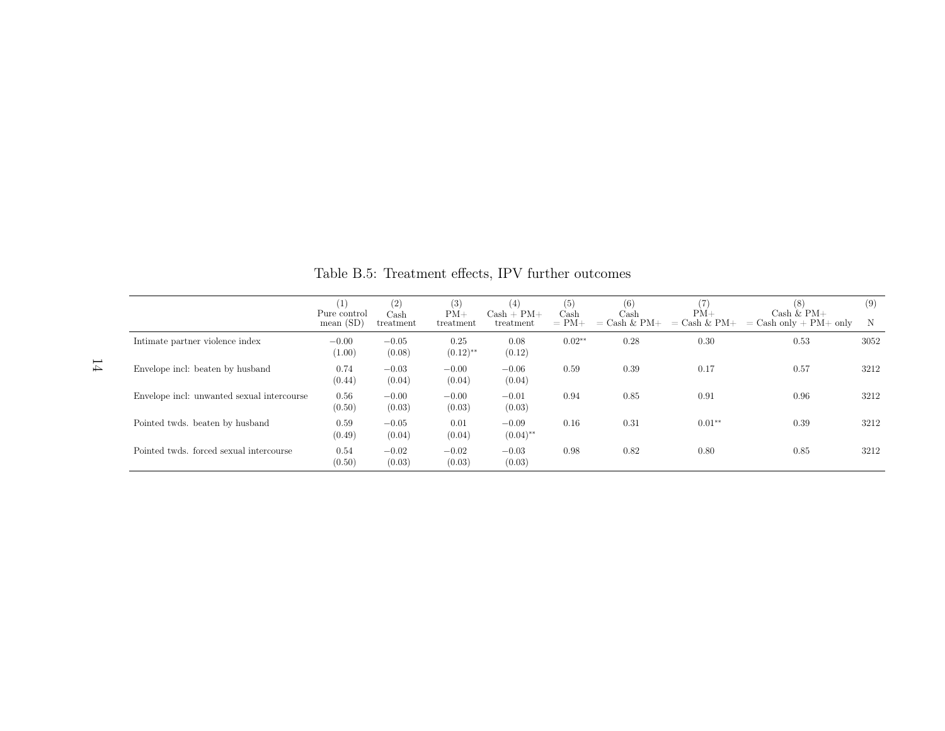|                                            | $\left( 1\right)$<br>Pure control | (2)<br>$\operatorname{Cash}$ | (3)<br>$PM+$                   | (4)<br>$Cash + PM +$              | (5)<br>$\operatorname{Cash}$ | (6)<br>Cash    | $PM+$          | (8)<br>Cash $&$ PM+      | (9)  |
|--------------------------------------------|-----------------------------------|------------------------------|--------------------------------|-----------------------------------|------------------------------|----------------|----------------|--------------------------|------|
|                                            | mean(SD)                          | treatment                    | treatment                      | treatment                         | $= PM+$                      | $=$ Cash & PM+ | $=$ Cash & PM+ | $=$ Cash only + PM+ only | N    |
| Intimate partner violence index            | $-0.00$<br>(1.00)                 | $-0.05$<br>(0.08)            | 0.25<br>$(0.12)$ <sup>**</sup> | 0.08<br>(0.12)                    | $0.02**$                     | 0.28           | 0.30           | 0.53                     | 3052 |
| Envelope incl: beaten by husband           | 0.74<br>(0.44)                    | $-0.03$<br>(0.04)            | $-0.00$<br>(0.04)              | $-0.06$<br>(0.04)                 | 0.59                         | 0.39           | 0.17           | 0.57                     | 3212 |
| Envelope incl: unwanted sexual intercourse | 0.56<br>(0.50)                    | $-0.00$<br>(0.03)            | $-0.00$<br>(0.03)              | $-0.01$<br>(0.03)                 | 0.94                         | 0.85           | 0.91           | 0.96                     | 3212 |
| Pointed twds. beaten by husband            | 0.59<br>(0.49)                    | $-0.05$<br>(0.04)            | 0.01<br>(0.04)                 | $-0.09$<br>$(0.04)$ <sup>**</sup> | 0.16                         | 0.31           | $0.01**$       | 0.39                     | 3212 |
| Pointed twds. forced sexual intercourse    | 0.54<br>(0.50)                    | $-0.02$<br>(0.03)            | $-0.02$<br>(0.03)              | $-0.03$<br>(0.03)                 | 0.98                         | 0.82           | 0.80           | 0.85                     | 3212 |

Table B.5: Treatment effects, IPV further outcomes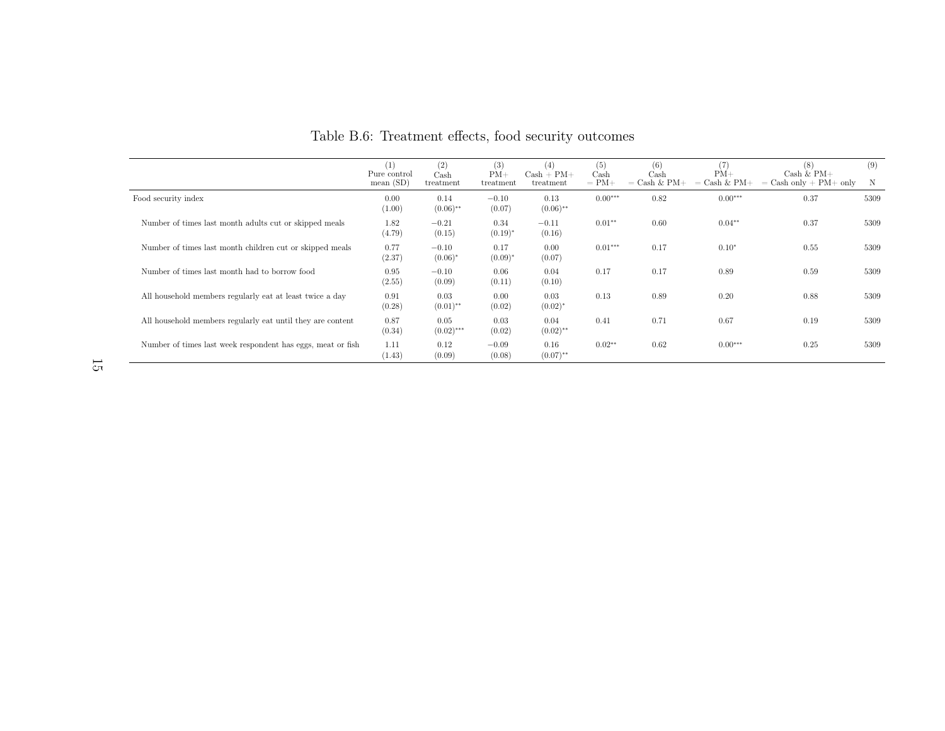|                                                             | (1)<br>Pure control<br>mean(SD) | (2)<br>$\operatorname{Cash}$<br>treatment | (3)<br>$PM+$<br>treatment | (4)<br>$Cash + PM +$<br>treatment | (5)<br>$\operatorname{Cash}$<br>$= PM+$ | (6)<br>Cash<br>$=$ Cash & PM+ | $PM+$<br>$=$ Cash & PM+ | (8)<br>Cash $&$ PM+<br>$=$ Cash only $+$ PM $+$ only | (9)  |
|-------------------------------------------------------------|---------------------------------|-------------------------------------------|---------------------------|-----------------------------------|-----------------------------------------|-------------------------------|-------------------------|------------------------------------------------------|------|
| Food security index                                         | 0.00<br>(1.00)                  | 0.14<br>$(0.06)$ **                       | $-0.10$<br>(0.07)         | 0.13<br>$(0.06)$ **               | $0.00***$                               | 0.82                          | $0.00***$               | 0.37                                                 | 5309 |
| Number of times last month adults cut or skipped meals      | 1.82<br>(4.79)                  | $-0.21$<br>(0.15)                         | 0.34<br>$(0.19)^*$        | $-0.11$<br>(0.16)                 | $0.01**$                                | 0.60                          | $0.04**$                | 0.37                                                 | 5309 |
| Number of times last month children cut or skipped meals    | 0.77<br>(2.37)                  | $-0.10$<br>$(0.06)^*$                     | 0.17<br>$(0.09)^*$        | 0.00<br>(0.07)                    | $0.01***$                               | 0.17                          | $0.10*$                 | 0.55                                                 | 5309 |
| Number of times last month had to borrow food               | 0.95<br>(2.55)                  | $-0.10$<br>(0.09)                         | 0.06<br>(0.11)            | 0.04<br>(0.10)                    | 0.17                                    | 0.17                          | 0.89                    | 0.59                                                 | 5309 |
| All household members regularly eat at least twice a day    | 0.91<br>(0.28)                  | 0.03<br>$(0.01)$ **                       | 0.00<br>(0.02)            | 0.03<br>$(0.02)^{*}$              | 0.13                                    | 0.89                          | 0.20                    | 0.88                                                 | 5309 |
| All household members regularly eat until they are content  | 0.87<br>(0.34)                  | 0.05<br>$(0.02)$ ***                      | 0.03<br>(0.02)            | 0.04<br>$(0.02)$ **               | 0.41                                    | 0.71                          | 0.67                    | 0.19                                                 | 5309 |
| Number of times last week respondent has eggs, meat or fish | 1.11<br>(1.43)                  | 0.12<br>(0.09)                            | $-0.09$<br>(0.08)         | 0.16<br>$(0.07)$ **               | $0.02**$                                | 0.62                          | $0.00***$               | 0.25                                                 | 5309 |

Table B.6: Treatment effects, food security outcomes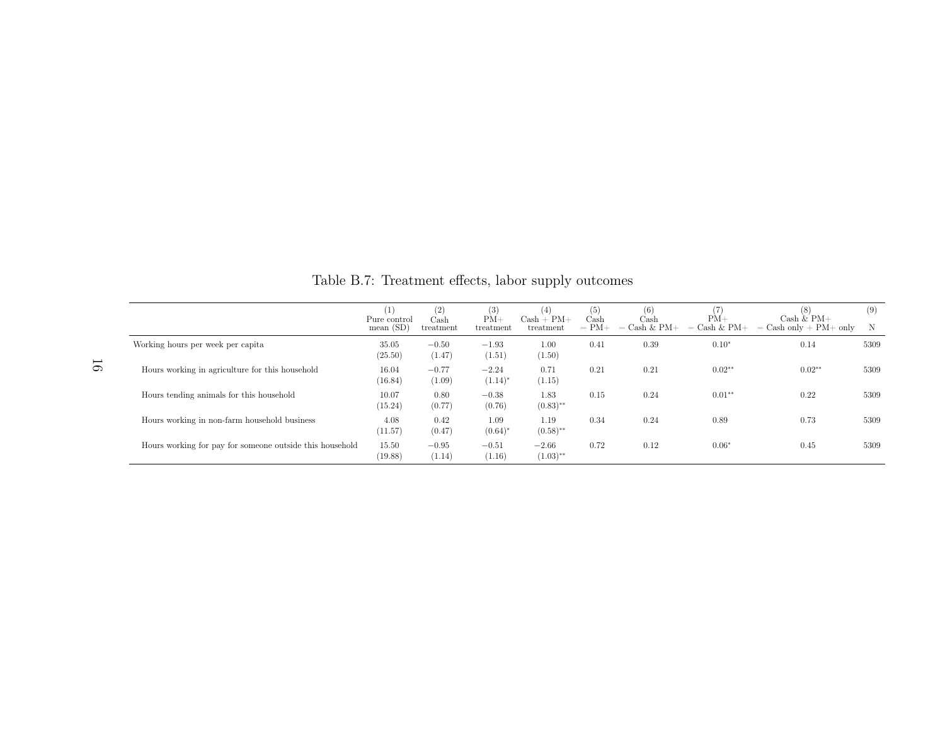|                                                          | $\left(1\right)$<br>Pure control<br>mean $(SD)$ | (2)<br>Cash<br>treatment | (3)<br>$PM+$<br>treatment | 4)<br>$Cash + PM +$<br>treatment | (5)<br>Cash<br>$= PM+$ | (6)<br>Cash<br>$=$ Cash & PM $+$ | $PM+$<br>$=$ Cash & PM+ | [8]<br>Cash $\&$ PM+<br>$=$ Cash only + PM + only | (9)<br>N |
|----------------------------------------------------------|-------------------------------------------------|--------------------------|---------------------------|----------------------------------|------------------------|----------------------------------|-------------------------|---------------------------------------------------|----------|
| Working hours per week per capita                        | 35.05<br>(25.50)                                | $-0.50$<br>(1.47)        | $-1.93$<br>(1.51)         | 1.00<br>(1.50)                   | 0.41                   | 0.39                             | $0.10*$                 | 0.14                                              | 5309     |
| Hours working in agriculture for this household          | 16.04<br>(16.84)                                | $-0.77$<br>(1.09)        | $-2.24$<br>$(1.14)^*$     | 0.71<br>(1.15)                   | 0.21                   | 0.21                             | $0.02**$                | $0.02**$                                          | 5309     |
| Hours tending animals for this household                 | 10.07<br>(15.24)                                | 0.80<br>(0.77)           | $-0.38$<br>(0.76)         | 1.83<br>$(0.83)$ **              | 0.15                   | 0.24                             | $0.01**$                | 0.22                                              | 5309     |
| Hours working in non-farm household business             | 4.08<br>(11.57)                                 | 0.42<br>(0.47)           | 1.09<br>$(0.64)^{*}$      | 1.19<br>$(0.58)$ **              | 0.34                   | 0.24                             | 0.89                    | 0.73                                              | 5309     |
| Hours working for pay for someone outside this household | 15.50<br>(19.88)                                | $-0.95$<br>(1.14)        | $-0.51$<br>(1.16)         | $-2.66$<br>$(1.03)$ **           | 0.72                   | 0.12                             | $0.06*$                 | 0.45                                              | 5309     |

Table B.7: Treatment effects, labor supply outcomes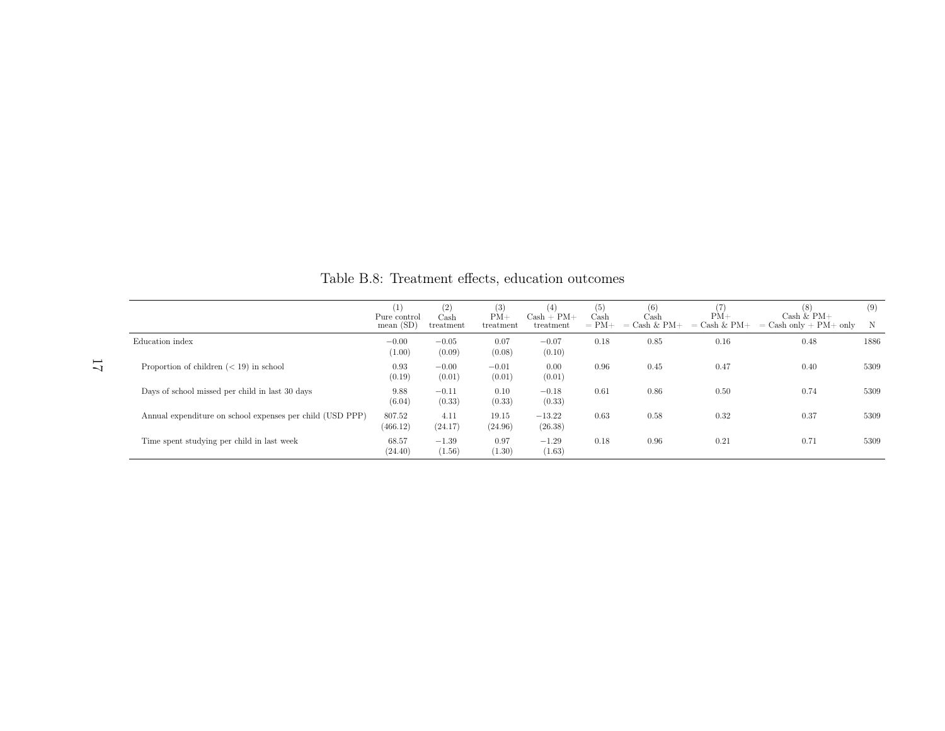|                                                           | (1)<br>Pure control<br>mean $(SD)$ | (2)<br>Cash<br>treatment | (3)<br>$PM+$<br>treatment | (4)<br>$Cash + PM +$<br>treatment | (5)<br>Cash<br>$= PM+$ | (6)<br>Cash<br>$=$ Cash & PM+ | $PM+$<br>$=$ Cash & PM $+$ | (8)<br>Cash $\&$ PM+<br>$=$ Cash only $+$ PM $+$ only | (9)<br>N |
|-----------------------------------------------------------|------------------------------------|--------------------------|---------------------------|-----------------------------------|------------------------|-------------------------------|----------------------------|-------------------------------------------------------|----------|
| Education index                                           | $-0.00$<br>(1.00)                  | $-0.05$<br>(0.09)        | 0.07<br>(0.08)            | $-0.07$<br>(0.10)                 | 0.18                   | 0.85                          | 0.16                       | 0.48                                                  | 1886     |
| Proportion of children $(< 19)$ in school                 | 0.93<br>(0.19)                     | $-0.00$<br>(0.01)        | $-0.01$<br>(0.01)         | 0.00<br>(0.01)                    | 0.96                   | 0.45                          | 0.47                       | 0.40                                                  | 5309     |
| Days of school missed per child in last 30 days           | 9.88<br>(6.04)                     | $-0.11$<br>(0.33)        | 0.10<br>(0.33)            | $-0.18$<br>(0.33)                 | 0.61                   | 0.86                          | 0.50                       | 0.74                                                  | 5309     |
| Annual expenditure on school expenses per child (USD PPP) | 807.52<br>(466.12)                 | 4.11<br>(24.17)          | 19.15<br>(24.96)          | $-13.22$<br>(26.38)               | 0.63                   | 0.58                          | 0.32                       | 0.37                                                  | 5309     |
| Time spent studying per child in last week                | 68.57<br>(24.40)                   | $-1.39$<br>(1.56)        | 0.97<br>(1.30)            | $-1.29$<br>(1.63)                 | 0.18                   | 0.96                          | 0.21                       | 0.71                                                  | 5309     |

Table B.8: Treatment effects, education outcomes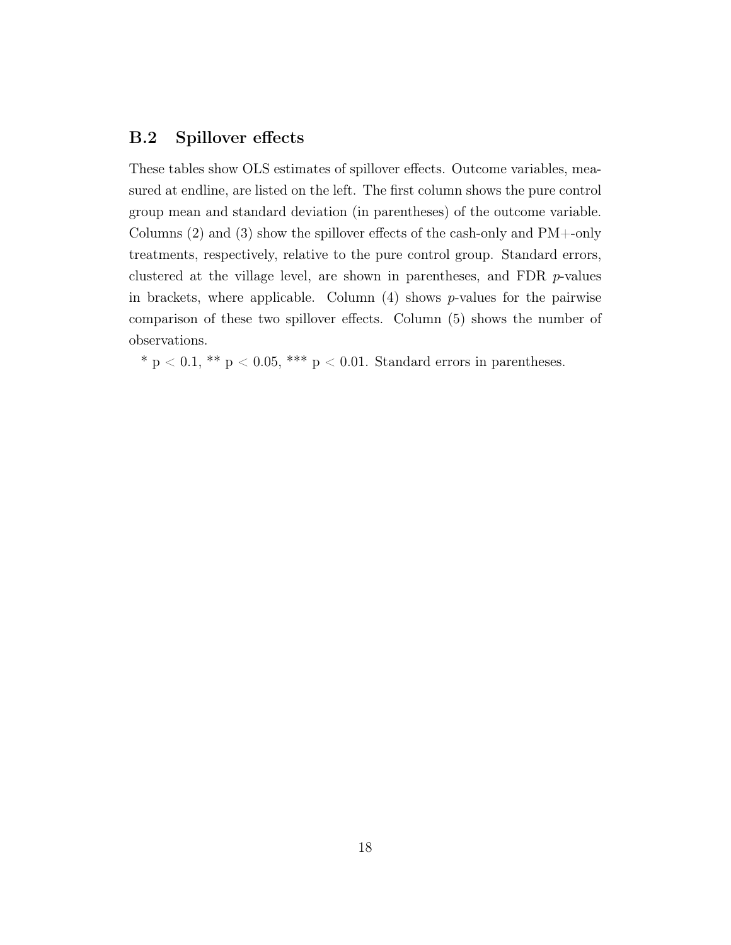#### <span id="page-67-0"></span>B.2 Spillover effects

These tables show OLS estimates of spillover effects. Outcome variables, measured at endline, are listed on the left. The first column shows the pure control group mean and standard deviation (in parentheses) of the outcome variable. Columns (2) and (3) show the spillover effects of the cash-only and PM+-only treatments, respectively, relative to the pure control group. Standard errors, clustered at the village level, are shown in parentheses, and FDR p-values in brackets, where applicable. Column  $(4)$  shows p-values for the pairwise comparison of these two spillover effects. Column (5) shows the number of observations.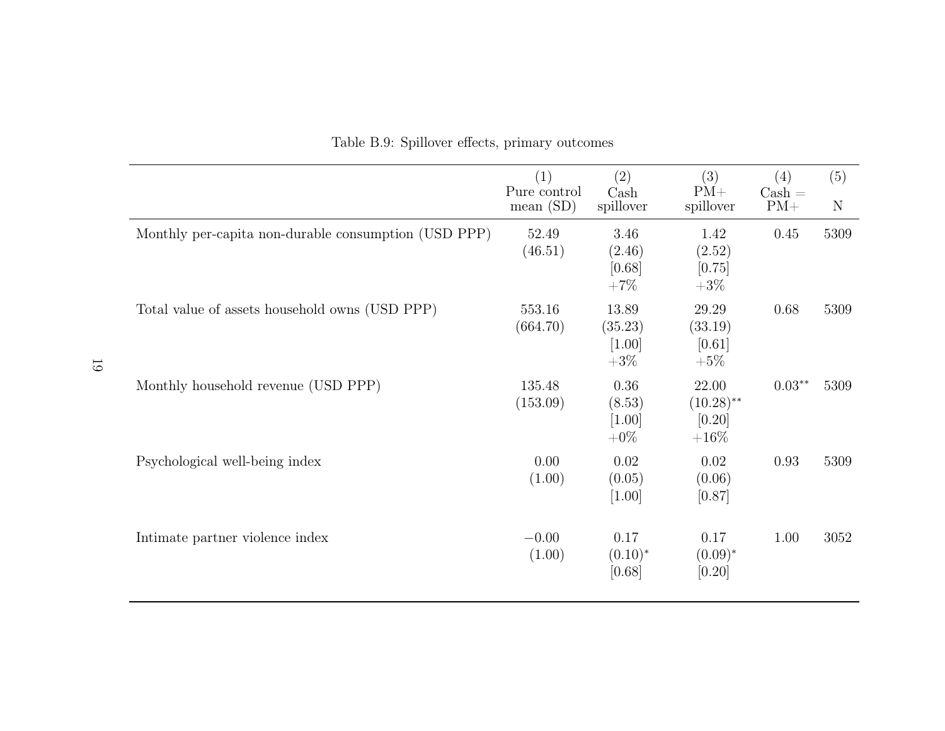<span id="page-68-0"></span>

|                                                      | (1)<br>Pure control<br>mean(SD) | (2)<br>$\operatorname{Cash}$<br>spillover | (3)<br>$PM+$<br>spillover                   | (4)<br>$\operatorname{Cash} =$<br>$PM+$ | (5)<br>$\mathbf N$ |
|------------------------------------------------------|---------------------------------|-------------------------------------------|---------------------------------------------|-----------------------------------------|--------------------|
| Monthly per-capita non-durable consumption (USD PPP) | 52.49<br>(46.51)                | 3.46<br>(2.46)<br>[0.68]<br>$+7%$         | 1.42<br>(2.52)<br>[0.75]<br>$+3\%$          | 0.45                                    | 5309               |
| Total value of assets household owns (USD PPP)       | 553.16<br>(664.70)              | 13.89<br>(35.23)<br>$[1.00]$<br>$+3\%$    | 29.29<br>(33.19)<br>[0.61]<br>$+5\%$        | 0.68                                    | 5309               |
| Monthly household revenue (USD PPP)                  | 135.48<br>(153.09)              | 0.36<br>(8.53)<br>$[1.00]$<br>$+0\%$      | 22.00<br>$(10.28)$ **<br>$[0.20]$<br>$+16%$ | $0.03**$                                | 5309               |
| Psychological well-being index                       | 0.00<br>(1.00)                  | 0.02<br>(0.05)<br>$[1.00]$                | 0.02<br>(0.06)<br>[0.87]                    | 0.93                                    | 5309               |
| Intimate partner violence index                      | $-0.00$<br>(1.00)               | 0.17<br>$(0.10)^*$<br>[0.68]              | 0.17<br>$(0.09)^*$<br>[0.20]                | 1.00                                    | 3052               |

Table B.9: Spillover effects, primary outcomes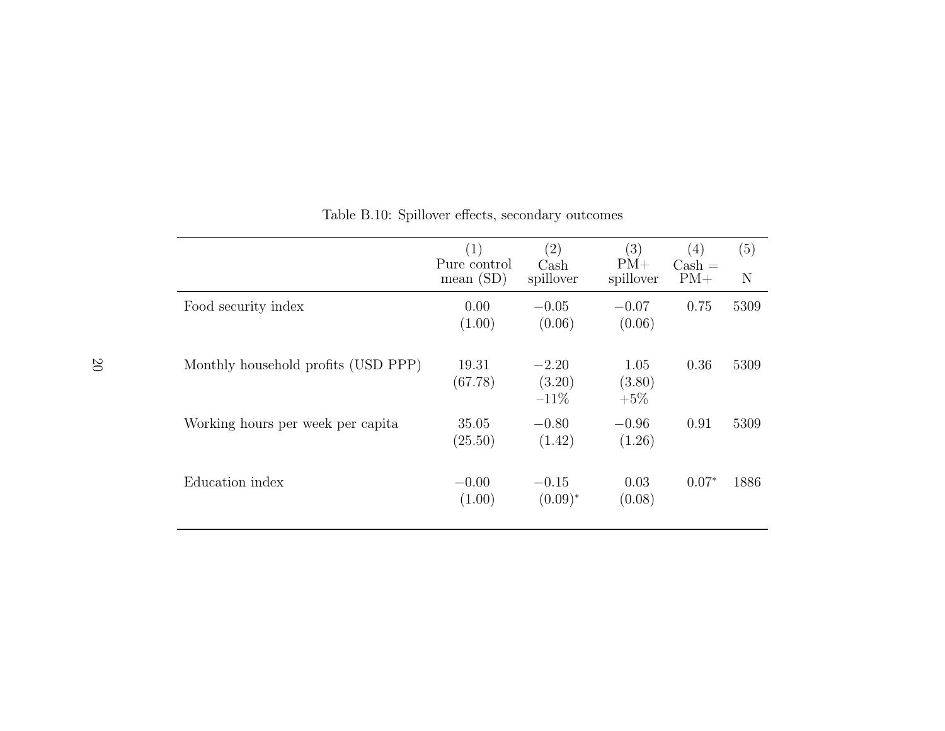<span id="page-69-0"></span>

|                                     | (1)<br>Pure control<br>mean $(SD)$ | $\left( 2\right)$<br>Cash<br>spillover | $\left( 3\right)$<br>$PM+$<br>spillover | $\left( 4\right)$<br>$\text{Cash} =$<br>$PM+$ | (5)<br>N |
|-------------------------------------|------------------------------------|----------------------------------------|-----------------------------------------|-----------------------------------------------|----------|
| Food security index                 | 0.00<br>(1.00)                     | $-0.05$<br>(0.06)                      | $-0.07$<br>(0.06)                       | 0.75                                          | 5309     |
| Monthly household profits (USD PPP) | 19.31<br>(67.78)                   | $-2.20$<br>(3.20)<br>$-11\%$           | 1.05<br>(3.80)<br>$+5\%$                | 0.36                                          | 5309     |
| Working hours per week per capita   | 35.05<br>(25.50)                   | $-0.80$<br>(1.42)                      | $-0.96$<br>(1.26)                       | 0.91                                          | 5309     |
| Education index                     | $-0.00$<br>(1.00)                  | $-0.15$<br>$(0.09)^*$                  | 0.03<br>(0.08)                          | $0.07*$                                       | 1886     |

Table B.10: Spillover effects, secondary outcomes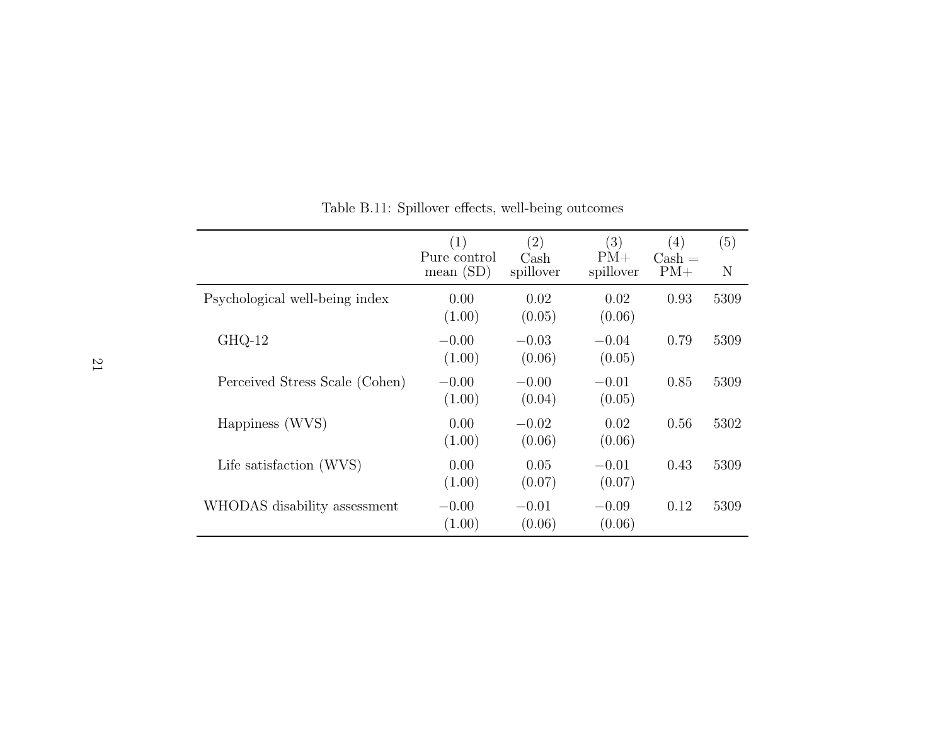<span id="page-70-0"></span>

|                                | (1)<br>Pure control | $\left( 2\right)$<br>Cash | (3)<br>$PM+$      | (4)<br>$\operatorname{Cash} =$ | (5)<br>N |
|--------------------------------|---------------------|---------------------------|-------------------|--------------------------------|----------|
|                                | mean(SD)            | spillover                 | spillover         | $PM+$                          |          |
| Psychological well-being index | 0.00<br>(1.00)      | 0.02<br>(0.05)            | 0.02<br>(0.06)    | 0.93                           | 5309     |
| $GHQ-12$                       | $-0.00$<br>(1.00)   | $-0.03$<br>(0.06)         | $-0.04$<br>(0.05) | 0.79                           | 5309     |
| Perceived Stress Scale (Cohen) | $-0.00$<br>(1.00)   | $-0.00$<br>(0.04)         | $-0.01$<br>(0.05) | 0.85                           | 5309     |
| Happiness (WVS)                | 0.00<br>(1.00)      | $-0.02$<br>(0.06)         | 0.02<br>(0.06)    | 0.56                           | 5302     |
| Life satisfaction (WVS)        | 0.00<br>(1.00)      | 0.05<br>(0.07)            | $-0.01$<br>(0.07) | 0.43                           | 5309     |
| WHODAS disability assessment   | $-0.00$<br>(1.00)   | $-0.01$<br>(0.06)         | $-0.09$<br>(0.06) | 0.12                           | 5309     |

Table B.11: Spillover effects, well-being outcomes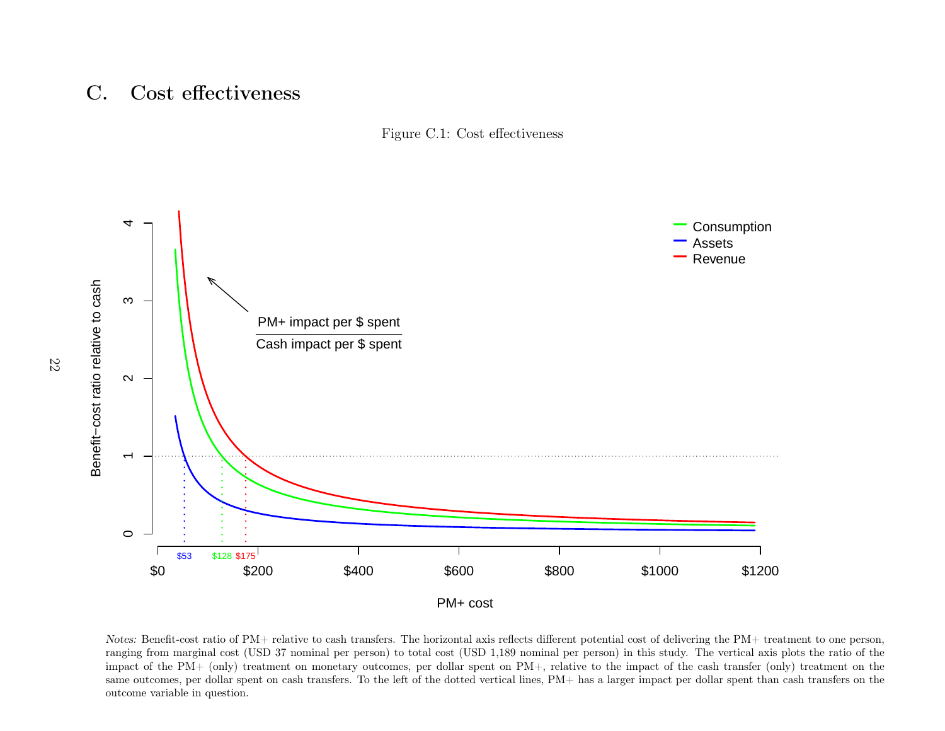#### <span id="page-71-0"></span>C.Cost effectiveness





Notes: Benefit-cost ratio of PM+ relative to cash transfers. The horizontal axis reflects different potential cost of delivering the PM+ treatment to one person, ranging from marginal cost (USD <sup>37</sup> nominal per person) to total cost (USD 1,189 nominal per person) in this study. The vertical axis <sup>p</sup>lots the ratio of the impact of the PM+ (only) treatment on monetary outcomes, per dollar spent on PM+, relative to the impact of the cash transfer (only) treatment on the same outcomes, per dollar spent on cash transfers. To the left of the dotted vertical lines, PM+ has <sup>a</sup> larger impact per dollar spent than cash transfers on theoutcome variable in question.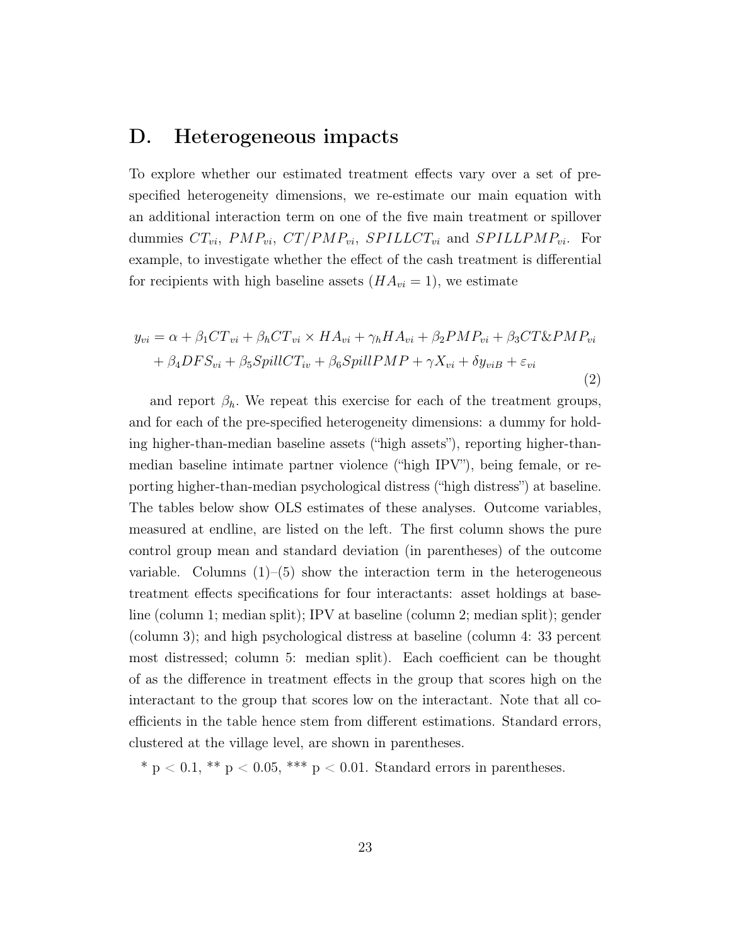## D. Heterogeneous impacts

To explore whether our estimated treatment effects vary over a set of prespecified heterogeneity dimensions, we re-estimate our main equation with an additional interaction term on one of the five main treatment or spillover dummies  $CT_{vi}$ ,  $PMP_{vi}$ ,  $CT/PMP_{vi}$ ,  $SPILLCT_{vi}$  and  $SPILLPMP_{vi}$ . For example, to investigate whether the effect of the cash treatment is differential for recipients with high baseline assets  $(HA_{vi} = 1)$ , we estimate

$$
y_{vi} = \alpha + \beta_1 CT_{vi} + \beta_h CT_{vi} \times HA_{vi} + \gamma_h HA_{vi} + \beta_2 PMP_{vi} + \beta_3 C T \& PMP_{vi} + \beta_4 DFS_{vi} + \beta_5 SpillCT_{iv} + \beta_6 SpillPMP + \gamma X_{vi} + \delta y_{viB} + \varepsilon_{vi}
$$
(2)

and report  $\beta_h$ . We repeat this exercise for each of the treatment groups, and for each of the pre-specified heterogeneity dimensions: a dummy for holding higher-than-median baseline assets ("high assets"), reporting higher-thanmedian baseline intimate partner violence ("high IPV"), being female, or reporting higher-than-median psychological distress ("high distress") at baseline. The tables below show OLS estimates of these analyses. Outcome variables, measured at endline, are listed on the left. The first column shows the pure control group mean and standard deviation (in parentheses) of the outcome variable. Columns  $(1)$ – $(5)$  show the interaction term in the heterogeneous treatment effects specifications for four interactants: asset holdings at baseline (column 1; median split); IPV at baseline (column 2; median split); gender (column 3); and high psychological distress at baseline (column 4: 33 percent most distressed; column 5: median split). Each coefficient can be thought of as the difference in treatment effects in the group that scores high on the interactant to the group that scores low on the interactant. Note that all coefficients in the table hence stem from different estimations. Standard errors, clustered at the village level, are shown in parentheses.

\* p < 0.1, \*\* p < 0.05, \*\*\* p < 0.01. Standard errors in parentheses.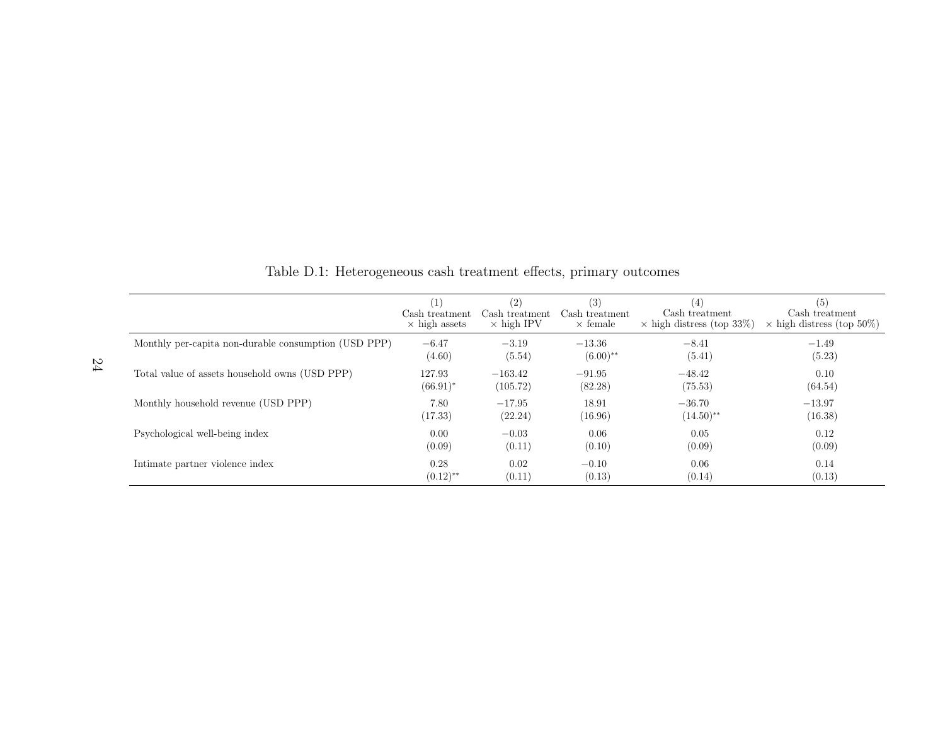|                                                      | (1)                  | (2)               | (3)             | (4)                              | (5)                              |
|------------------------------------------------------|----------------------|-------------------|-----------------|----------------------------------|----------------------------------|
|                                                      | Cash treatment       | Cash treatment    | Cash treatment  | Cash treatment                   | Cash treatment                   |
|                                                      | $\times$ high assets | $\times$ high IPV | $\times$ female | $\times$ high distress (top 33%) | $\times$ high distress (top 50%) |
| Monthly per-capita non-durable consumption (USD PPP) | $-6.47$              | $-3.19$           | $-13.36$        | $-8.41$                          | $-1.49$                          |
|                                                      | (4.60)               | (5.54)            | $(6.00)$ **     | (5.41)                           | (5.23)                           |
| Total value of assets household owns (USD PPP)       | 127.93               | $-163.42$         | $-91.95$        | $-48.42$                         | 0.10                             |
|                                                      | $(66.91)^*$          | (105.72)          | (82.28)         | (75.53)                          | (64.54)                          |
| Monthly household revenue (USD PPP)                  | 7.80                 | $-17.95$          | 18.91           | $-36.70$                         | $-13.97$                         |
|                                                      | (17.33)              | (22.24)           | (16.96)         | $(14.50)$ <sup>**</sup>          | (16.38)                          |
| Psychological well-being index                       | 0.00                 | $-0.03$           | 0.06            | 0.05                             | 0.12                             |
|                                                      | (0.09)               | (0.11)            | (0.10)          | (0.09)                           | (0.09)                           |
| Intimate partner violence index                      | 0.28                 | 0.02              | $-0.10$         | 0.06                             | 0.14                             |
|                                                      | $(0.12)$ **          | (0.11)            | (0.13)          | (0.14)                           | (0.13)                           |

Table D.1: Heterogeneous cash treatment effects, primary outcomes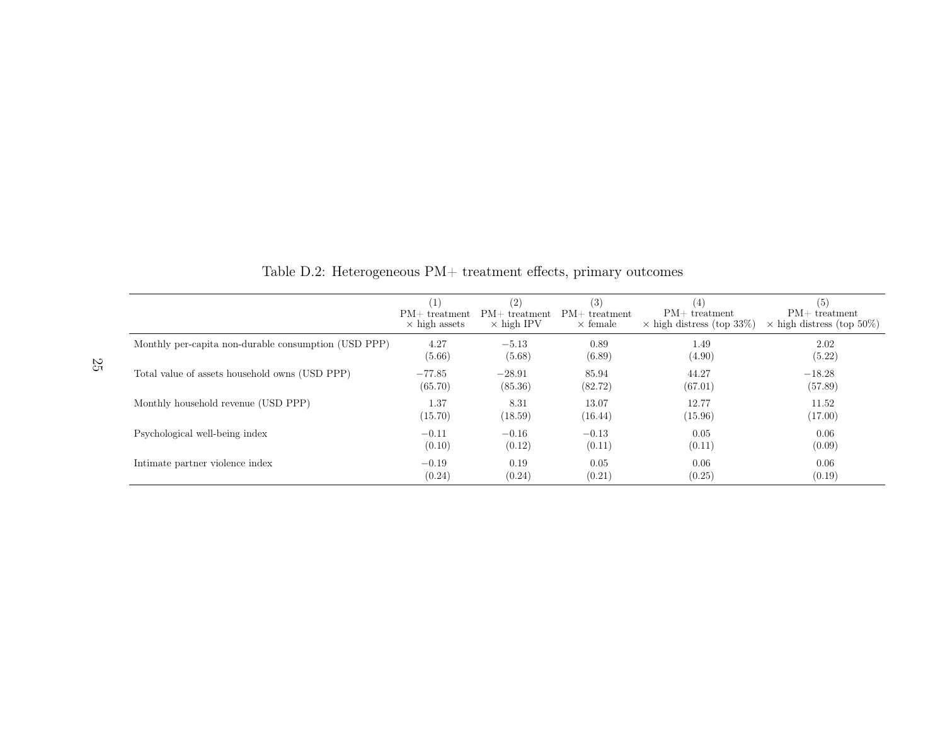|                                                      | (1)                  | (2)               | (3)             | $\left( 4\right)$                | (5)                              |
|------------------------------------------------------|----------------------|-------------------|-----------------|----------------------------------|----------------------------------|
|                                                      | $PM+$ treatment      | $PM+$ treatment   | $PM+$ treatment | $PM+$ treatment                  | $PM+$ treatment                  |
|                                                      | $\times$ high assets | $\times$ high IPV | $\times$ female | $\times$ high distress (top 33%) | $\times$ high distress (top 50%) |
| Monthly per-capita non-durable consumption (USD PPP) | 4.27                 | $-5.13$           | 0.89            | 1.49                             | 2.02                             |
|                                                      | (5.66)               | (5.68)            | (6.89)          | (4.90)                           | (5.22)                           |
| Total value of assets household owns (USD PPP)       | $-77.85$             | $-28.91$          | 85.94           | 44.27                            | $-18.28$                         |
|                                                      | (65.70)              | (85.36)           | (82.72)         | (67.01)                          | (57.89)                          |
| Monthly household revenue (USD PPP)                  | 1.37                 | 8.31              | 13.07           | 12.77                            | 11.52                            |
|                                                      | (15.70)              | (18.59)           | (16.44)         | (15.96)                          | (17.00)                          |
| Psychological well-being index                       | $-0.11$              | $-0.16$           | $-0.13$         | 0.05                             | 0.06                             |
|                                                      | (0.10)               | (0.12)            | (0.11)          | (0.11)                           | (0.09)                           |
| Intimate partner violence index                      | $-0.19$              | 0.19              | 0.05            | 0.06                             | 0.06                             |
|                                                      | (0.24)               | (0.24)            | (0.21)          | (0.25)                           | (0.19)                           |

Table D.2: Heterogeneous PM+ treatment effects, primary outcomes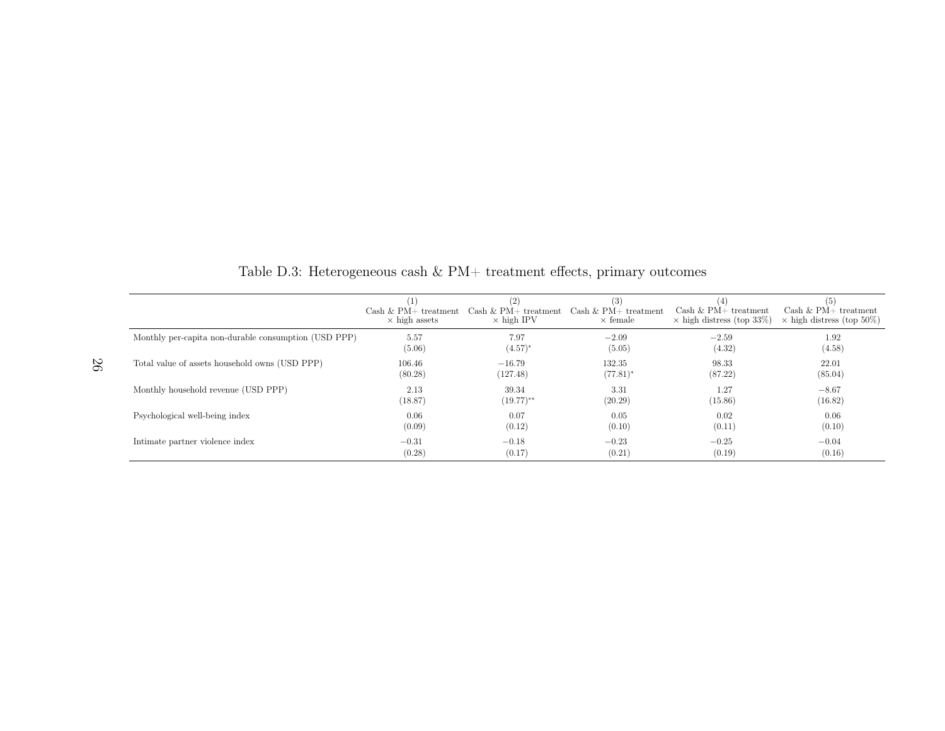|                                                      | $Cash & PM + treatment$<br>$\times$ high assets | (2)<br>Cash $\&$ PM+ treatment<br>$\times$ high IPV | (3)<br>Cash & $PM+$ treatment<br>$\times$ female | Cash & $PM+$ treatment<br>$\times$ high distress (top 33%) | (5)<br>$Cash & PM+ treatment$<br>$\times$ high distress (top 50%) |
|------------------------------------------------------|-------------------------------------------------|-----------------------------------------------------|--------------------------------------------------|------------------------------------------------------------|-------------------------------------------------------------------|
| Monthly per-capita non-durable consumption (USD PPP) | 5.57                                            | 7.97                                                | $-2.09$                                          | $-2.59$                                                    | 1.92                                                              |
|                                                      | (5.06)                                          | $(4.57)^*$                                          | (5.05)                                           | (4.32)                                                     | (4.58)                                                            |
| Total value of assets household owns (USD PPP)       | 106.46                                          | $-16.79$                                            | 132.35                                           | 98.33                                                      | 22.01                                                             |
|                                                      | (80.28)                                         | (127.48)                                            | $(77.81)^*$                                      | (87.22)                                                    | (85.04)                                                           |
| Monthly household revenue (USD PPP)                  | 2.13                                            | 39.34                                               | 3.31                                             | 1.27                                                       | $-8.67$                                                           |
|                                                      | (18.87)                                         | $(19.77)$ **                                        | (20.29)                                          | (15.86)                                                    | (16.82)                                                           |
| Psychological well-being index                       | 0.06                                            | 0.07                                                | 0.05                                             | 0.02                                                       | 0.06                                                              |
|                                                      | (0.09)                                          | (0.12)                                              | (0.10)                                           | (0.11)                                                     | (0.10)                                                            |
| Intimate partner violence index                      | $-0.31$                                         | $-0.18$                                             | $-0.23$                                          | $-0.25$                                                    | $-0.04$                                                           |
|                                                      | (0.28)                                          | (0.17)                                              | (0.21)                                           | (0.19)                                                     | (0.16)                                                            |

Table D.3: Heterogeneous cash  $\&$  PM+ treatment effects, primary outcomes

26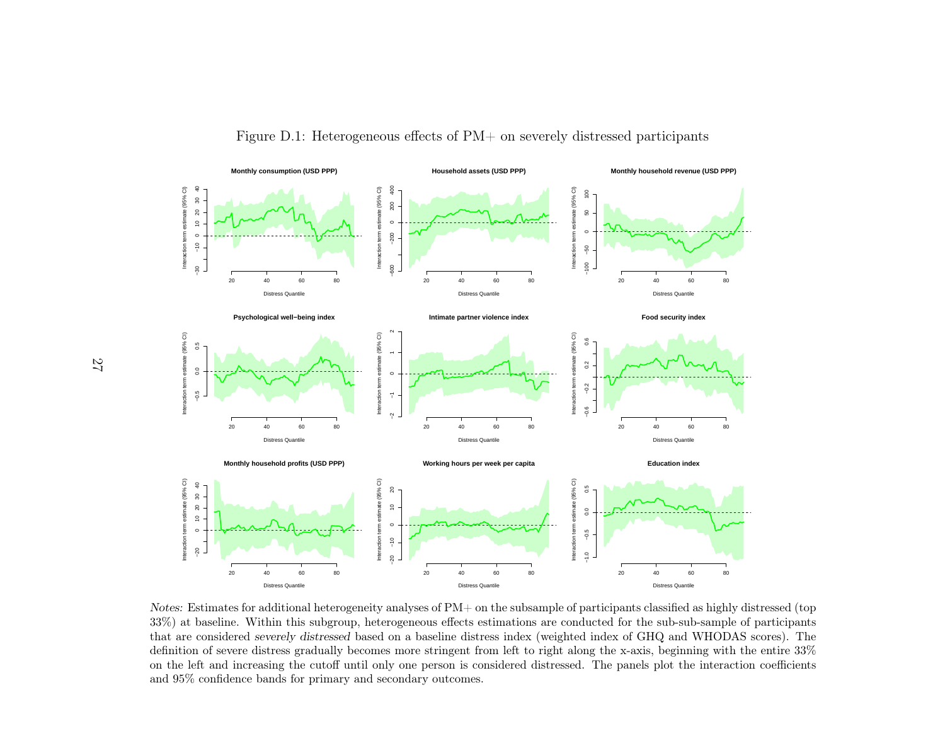



Notes: Estimates for additional heterogeneity analyses of PM+ on the subsample of participants classified as highly distressed (top 33%) at baseline. Within this subgroup, heterogeneous effects estimations are conducted for the sub-sub-sample of participants that are considered severely distressed based on <sup>a</sup> baseline distress index (weighted index of GHQ and WHODAS scores). The definition of severe distress gradually becomes more stringent from left to right along the x-axis, beginning with the entire 33% on the left and increasing the cutoff until only one person is considered distressed. The panels <sup>p</sup>lot the interaction coefficientsand 95% confidence bands for primary and secondary outcomes.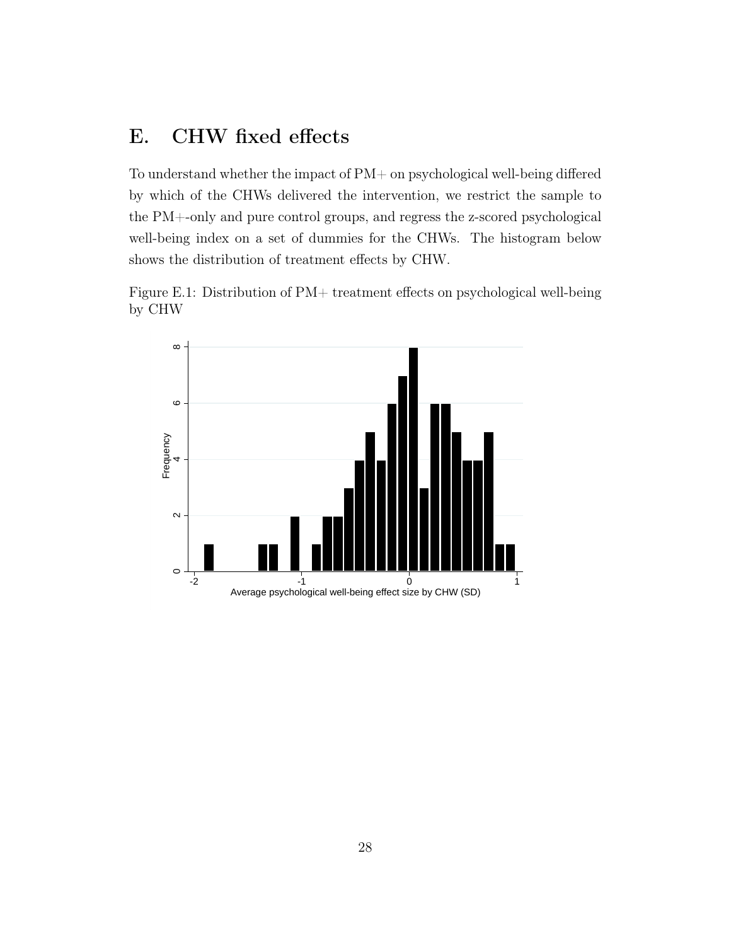# E. CHW fixed effects

To understand whether the impact of PM+ on psychological well-being differed by which of the CHWs delivered the intervention, we restrict the sample to the PM+-only and pure control groups, and regress the z-scored psychological well-being index on a set of dummies for the CHWs. The histogram below shows the distribution of treatment effects by CHW.

Figure E.1: Distribution of PM+ treatment effects on psychological well-being by CHW

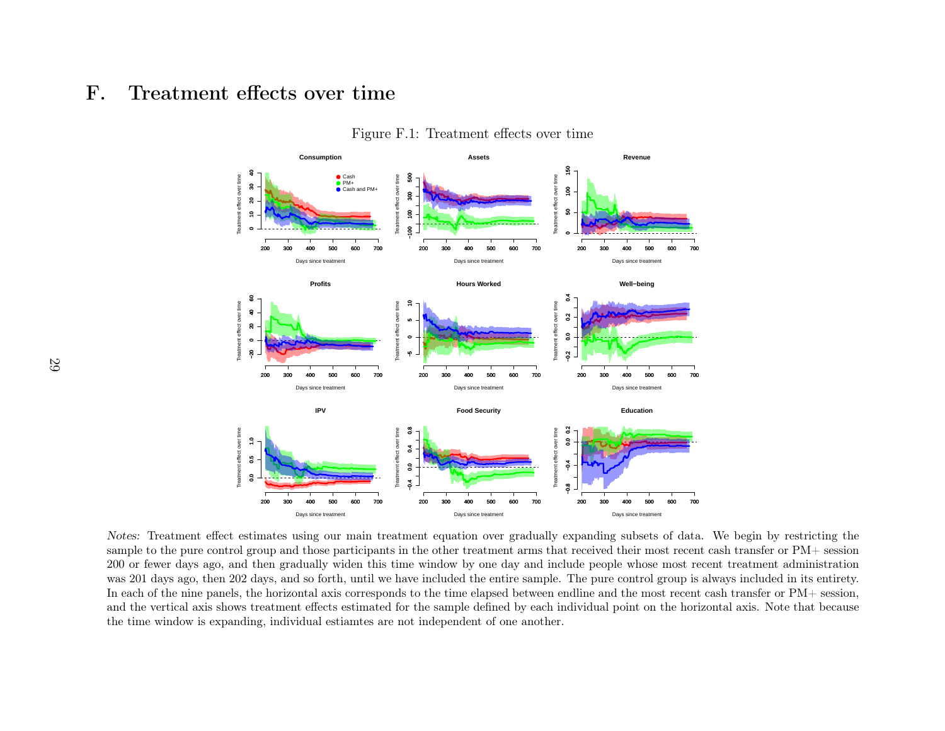#### F.Treatment effects over time



Figure F.1: Treatment effects over time

Notes: Treatment effect estimates using our main treatment equation over gradually expanding subsets of data. We begin by restricting the sample to the pure control group and those participants in the other treatment arms that received their most recent cash transfer or PM+ session 200 or fewer days ago, and then gradually widen this time window by one day and include people whose most recent treatment administration was 201 days ago, then 202 days, and so forth, until we have included the entire sample. The pure control group is always included in its entirety.In each of the nine panels, the horizontal axis corresponds to the time elapsed between endline and the most recent cash transfer or PM+ session,and the vertical axis shows treatment effects estimated for the sample defined by each individual point on the horizontal axis. Note that becausethe time window is expanding, individual estiamtes are not independent of one another.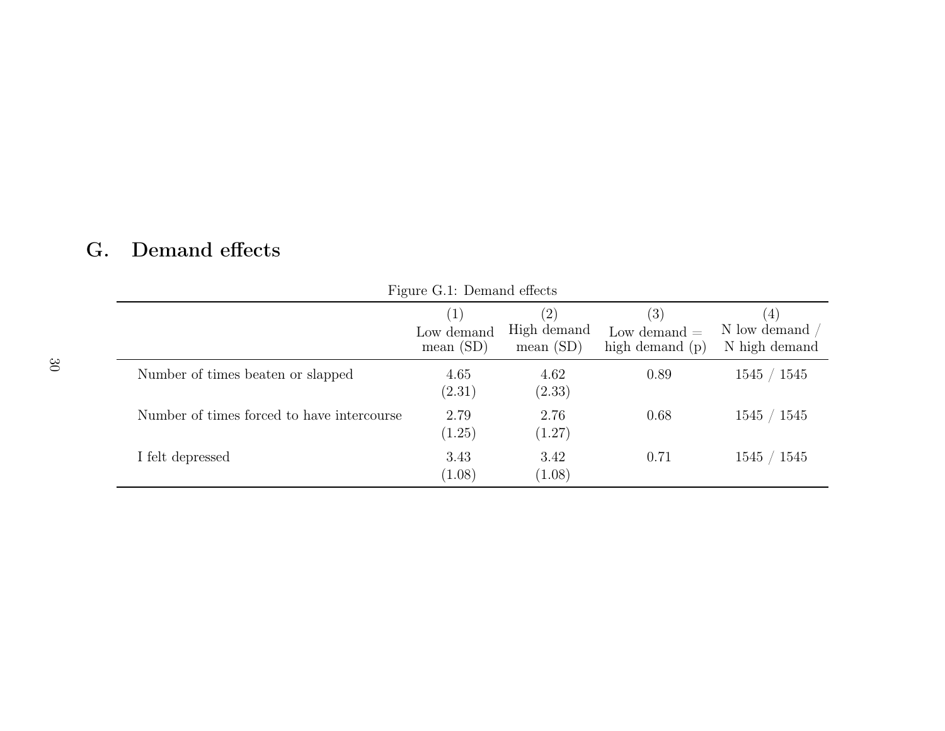| r igure G.I. Demand enects                 |                                             |                                                 |                                            |                                      |  |  |
|--------------------------------------------|---------------------------------------------|-------------------------------------------------|--------------------------------------------|--------------------------------------|--|--|
|                                            | $\left( 1\right)$<br>Low demand<br>mean(SD) | $\left( 2\right)$<br>High demand<br>mean $(SD)$ | (3)<br>Low demand $=$<br>high demand $(p)$ | (4)<br>N low demand<br>N high demand |  |  |
| Number of times beaten or slapped          | 4.65<br>(2.31)                              | 4.62<br>(2.33)                                  | 0.89                                       | 1545 / 1545                          |  |  |
| Number of times forced to have intercourse | 2.79<br>(1.25)                              | 2.76<br>(1.27)                                  | 0.68                                       | 1545 / 1545                          |  |  |
| I felt depressed                           | 3.43<br>(1.08)                              | 3.42<br>(1.08)                                  | 0.71                                       | 1545 / 1545                          |  |  |

Figure G.1: Demand effects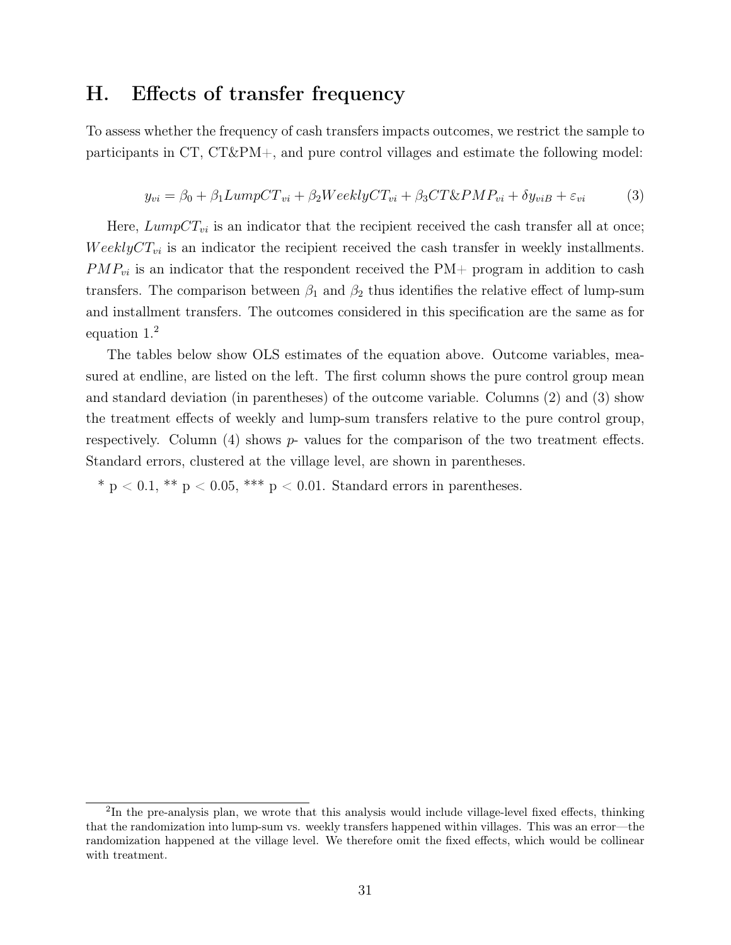### H. Effects of transfer frequency

To assess whether the frequency of cash transfers impacts outcomes, we restrict the sample to participants in CT, CT&PM+, and pure control villages and estimate the following model:

$$
y_{vi} = \beta_0 + \beta_1 LumpCT_{vi} + \beta_2 WeeklyCT_{vi} + \beta_3 CT\&PMP_{vi} + \delta y_{viB} + \varepsilon_{vi}
$$
 (3)

Here,  $LumpCT_{vi}$  is an indicator that the recipient received the cash transfer all at once;  $WeeklyCT_{vi}$  is an indicator the recipient received the cash transfer in weekly installments.  $PMP_{vi}$  is an indicator that the respondent received the PM+ program in addition to cash transfers. The comparison between  $\beta_1$  and  $\beta_2$  thus identifies the relative effect of lump-sum and installment transfers. The outcomes considered in this specification are the same as for equation [1.](#page-22-0)[2](#page--1-0)

The tables below show OLS estimates of the equation above. Outcome variables, measured at endline, are listed on the left. The first column shows the pure control group mean and standard deviation (in parentheses) of the outcome variable. Columns (2) and (3) show the treatment effects of weekly and lump-sum transfers relative to the pure control group, respectively. Column  $(4)$  shows  $p$ - values for the comparison of the two treatment effects. Standard errors, clustered at the village level, are shown in parentheses.

\* p  $< 0.1$ , \*\* p  $< 0.05$ , \*\*\* p  $< 0.01$ . Standard errors in parentheses.

<sup>&</sup>lt;sup>2</sup>In the pre-analysis plan, we wrote that this analysis would include village-level fixed effects, thinking that the randomization into lump-sum vs. weekly transfers happened within villages. This was an error—the randomization happened at the village level. We therefore omit the fixed effects, which would be collinear with treatment.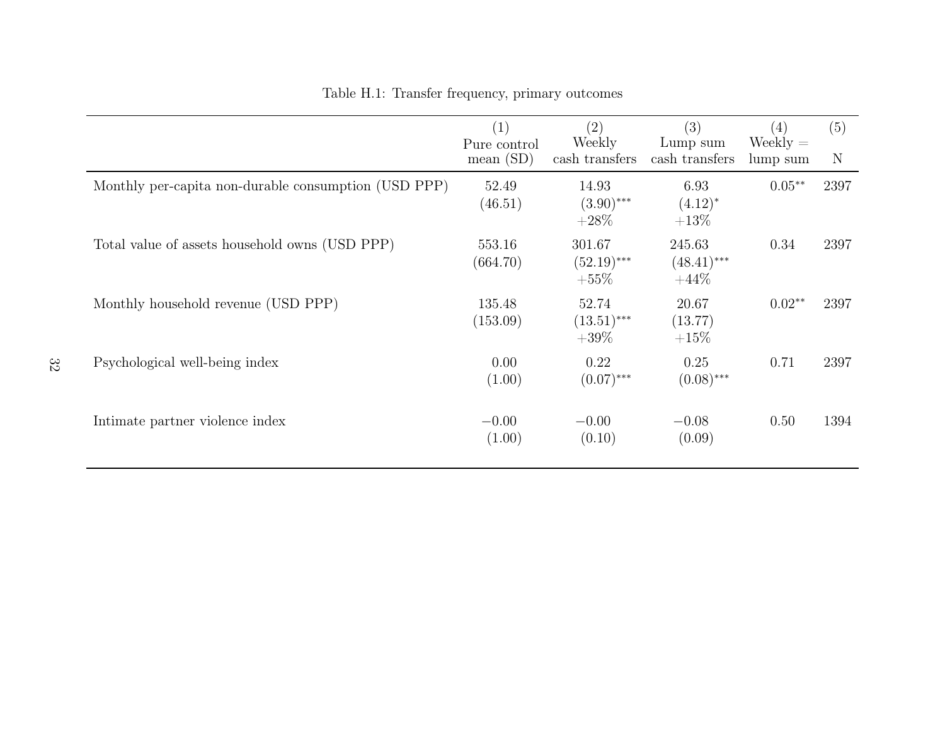|                                                      | $\left( 1\right)$<br>Pure control<br>mean $(SD)$ | $\left( 2\right)$<br>Weekly<br>cash transfers | (3)<br>Lump sum<br>cash transfers  | (4)<br>$Weekly =$<br>lump sum | (5)<br>N |
|------------------------------------------------------|--------------------------------------------------|-----------------------------------------------|------------------------------------|-------------------------------|----------|
| Monthly per-capita non-durable consumption (USD PPP) | 52.49<br>(46.51)                                 | 14.93<br>$(3.90)$ ***<br>$+28\%$              | 6.93<br>$(4.12)^*$<br>$+13\%$      | $0.05**$                      | 2397     |
| Total value of assets household owns (USD PPP)       | 553.16<br>(664.70)                               | 301.67<br>$(52.19)$ ***<br>$+55%$             | 245.63<br>$(48.41)$ ***<br>$+44\%$ | 0.34                          | 2397     |
| Monthly household revenue (USD PPP)                  | 135.48<br>(153.09)                               | 52.74<br>$(13.51)$ ***<br>$+39\%$             | 20.67<br>(13.77)<br>$+15\%$        | $0.02**$                      | 2397     |
| Psychological well-being index                       | 0.00<br>(1.00)                                   | 0.22<br>$(0.07)$ ***                          | 0.25<br>$(0.08)$ ***               | 0.71                          | 2397     |
| Intimate partner violence index                      | $-0.00$<br>(1.00)                                | $-0.00$<br>(0.10)                             | $-0.08$<br>(0.09)                  | 0.50                          | 1394     |

Table H.1: Transfer frequency, primary outcomes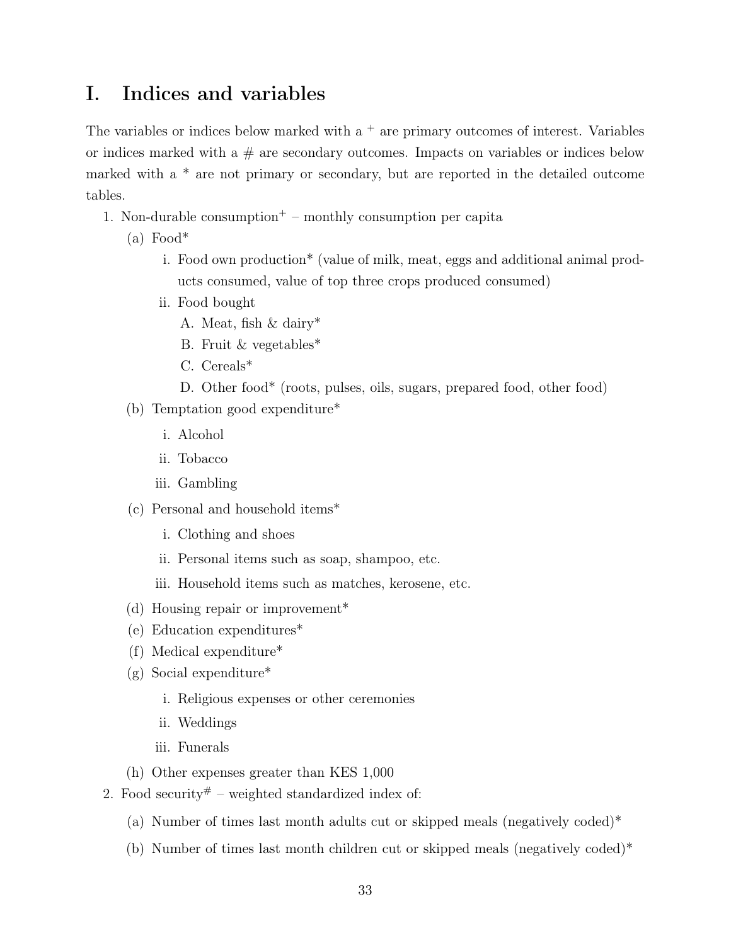# I. Indices and variables

The variables or indices below marked with  $a<sup>+</sup>$  are primary outcomes of interest. Variables or indices marked with a  $#$  are secondary outcomes. Impacts on variables or indices below marked with a \* are not primary or secondary, but are reported in the detailed outcome tables.

- 1. Non-durable consumption<sup>+</sup> monthly consumption per capita
	- $(a)$  Food\*
		- i. Food own production\* (value of milk, meat, eggs and additional animal products consumed, value of top three crops produced consumed)
		- ii. Food bought
			- A. Meat, fish & dairy\*
			- B. Fruit & vegetables\*
			- C. Cereals\*
			- D. Other food\* (roots, pulses, oils, sugars, prepared food, other food)
	- (b) Temptation good expenditure\*
		- i. Alcohol
		- ii. Tobacco
		- iii. Gambling
	- (c) Personal and household items\*
		- i. Clothing and shoes
		- ii. Personal items such as soap, shampoo, etc.
		- iii. Household items such as matches, kerosene, etc.
	- (d) Housing repair or improvement\*
	- (e) Education expenditures\*
	- (f) Medical expenditure\*
	- (g) Social expenditure\*
		- i. Religious expenses or other ceremonies
		- ii. Weddings
		- iii. Funerals
	- (h) Other expenses greater than KES 1,000
- 2. Food security  $\#$  weighted standardized index of:
	- (a) Number of times last month adults cut or skipped meals (negatively coded)\*
	- (b) Number of times last month children cut or skipped meals (negatively coded)\*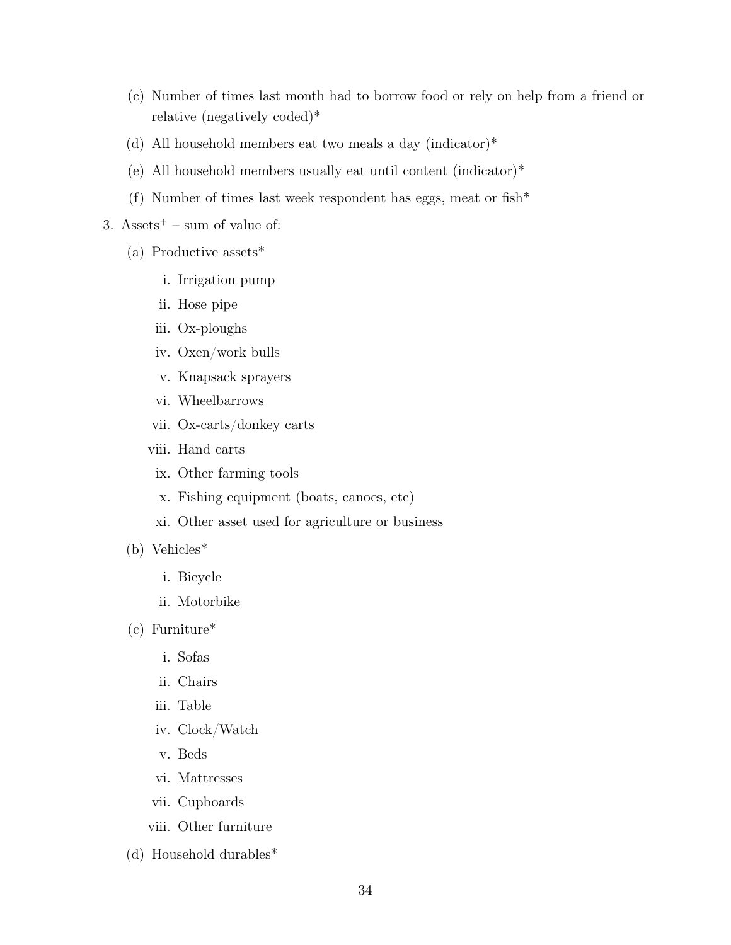- (c) Number of times last month had to borrow food or rely on help from a friend or relative (negatively coded)\*
- (d) All household members eat two meals a day (indicator)\*
- (e) All household members usually eat until content (indicator)\*
- (f) Number of times last week respondent has eggs, meat or fish\*
- 3. Assets<sup> $+$ </sup> sum of value of:
	- (a) Productive assets\*
		- i. Irrigation pump
		- ii. Hose pipe
		- iii. Ox-ploughs
		- iv. Oxen/work bulls
		- v. Knapsack sprayers
		- vi. Wheelbarrows
		- vii. Ox-carts/donkey carts
		- viii. Hand carts
			- ix. Other farming tools
			- x. Fishing equipment (boats, canoes, etc)
			- xi. Other asset used for agriculture or business
	- (b) Vehicles\*
		- i. Bicycle
		- ii. Motorbike
	- (c) Furniture\*
		- i. Sofas
		- ii. Chairs
		- iii. Table
		- iv. Clock/Watch
		- v. Beds
		- vi. Mattresses
		- vii. Cupboards
		- viii. Other furniture
	- (d) Household durables\*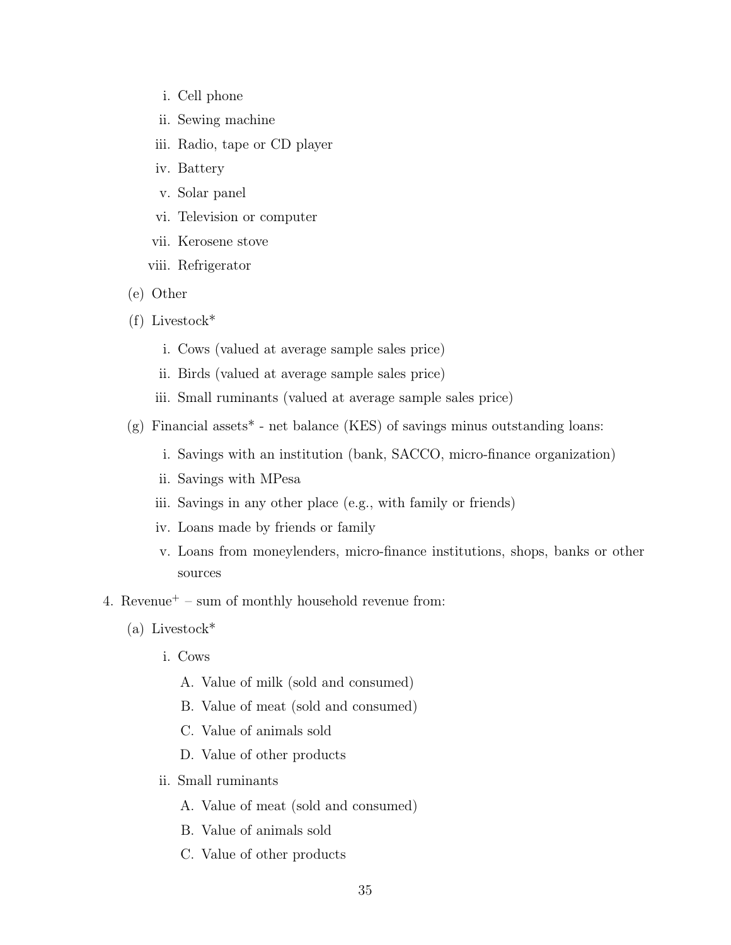- i. Cell phone
- ii. Sewing machine
- iii. Radio, tape or CD player
- iv. Battery
- v. Solar panel
- vi. Television or computer
- vii. Kerosene stove
- viii. Refrigerator
- (e) Other
- (f) Livestock\*
	- i. Cows (valued at average sample sales price)
	- ii. Birds (valued at average sample sales price)
	- iii. Small ruminants (valued at average sample sales price)
- $(g)$  Financial assets<sup>\*</sup> net balance (KES) of savings minus outstanding loans:
	- i. Savings with an institution (bank, SACCO, micro-finance organization)
	- ii. Savings with MPesa
	- iii. Savings in any other place (e.g., with family or friends)
	- iv. Loans made by friends or family
	- v. Loans from moneylenders, micro-finance institutions, shops, banks or other sources
- 4. Revenue<sup> $+$ </sup> sum of monthly household revenue from:
	- (a) Livestock\*
		- i. Cows
			- A. Value of milk (sold and consumed)
			- B. Value of meat (sold and consumed)
			- C. Value of animals sold
			- D. Value of other products
		- ii. Small ruminants
			- A. Value of meat (sold and consumed)
			- B. Value of animals sold
			- C. Value of other products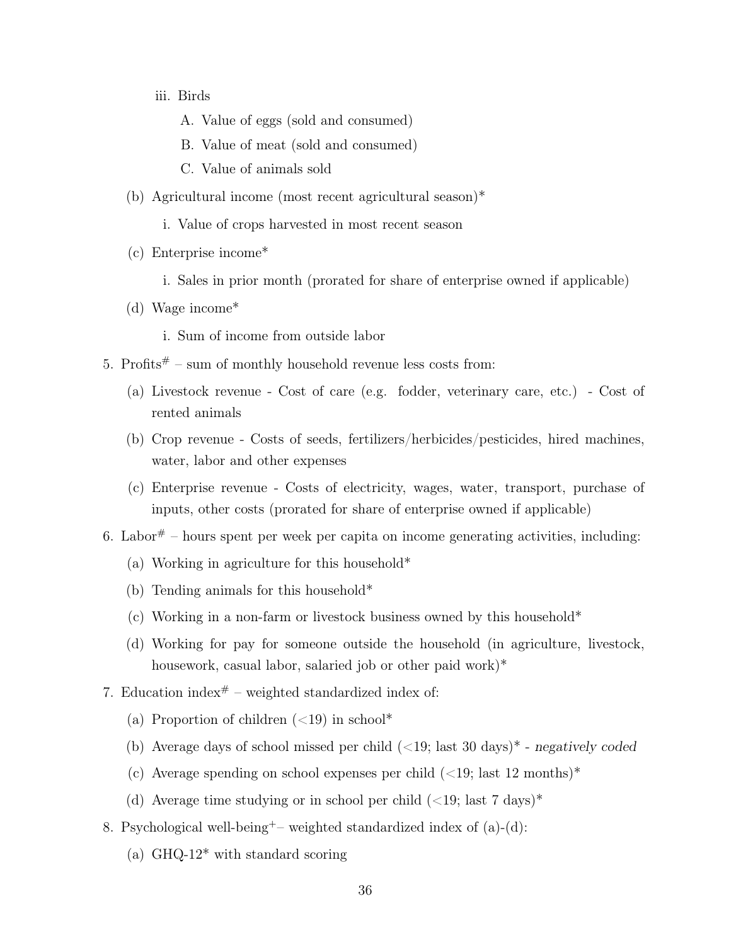- iii. Birds
	- A. Value of eggs (sold and consumed)
	- B. Value of meat (sold and consumed)
	- C. Value of animals sold
- (b) Agricultural income (most recent agricultural season)\*
	- i. Value of crops harvested in most recent season
- (c) Enterprise income\*
	- i. Sales in prior month (prorated for share of enterprise owned if applicable)
- (d) Wage income\*
	- i. Sum of income from outside labor
- 5. Profits $*$  sum of monthly household revenue less costs from:
	- (a) Livestock revenue Cost of care (e.g. fodder, veterinary care, etc.) Cost of rented animals
	- (b) Crop revenue Costs of seeds, fertilizers/herbicides/pesticides, hired machines, water, labor and other expenses
	- (c) Enterprise revenue Costs of electricity, wages, water, transport, purchase of inputs, other costs (prorated for share of enterprise owned if applicable)
- 6. Labor<sup> $#$ </sup> hours spent per week per capita on income generating activities, including:
	- (a) Working in agriculture for this household\*
	- (b) Tending animals for this household\*
	- (c) Working in a non-farm or livestock business owned by this household\*
	- (d) Working for pay for someone outside the household (in agriculture, livestock, housework, casual labor, salaried job or other paid work)<sup>\*</sup>
- 7. Education index<sup>#</sup> weighted standardized index of:
	- (a) Proportion of children  $\langle 19 \rangle$  in school\*
	- (b) Average days of school missed per child  $(<19$ ; last 30 days)<sup>\*</sup> negatively coded
	- (c) Average spending on school expenses per child  $\langle$  <19; last 12 months)<sup>\*</sup>
	- (d) Average time studying or in school per child  $\langle$  <19; last 7 days)<sup>\*</sup>
- 8. Psychological well-being<sup>+</sup> weighted standardized index of (a)-(d):
	- (a) GHQ-12\* with standard scoring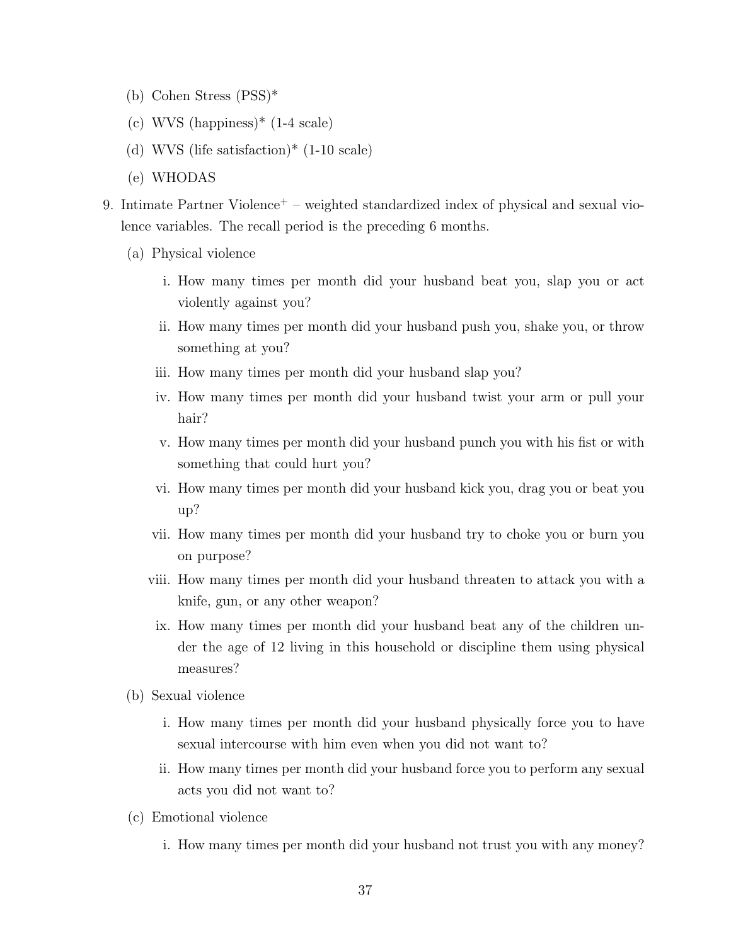- (b) Cohen Stress (PSS)\*
- (c) WVS (happiness)\* (1-4 scale)
- (d) WVS (life satisfaction)\* (1-10 scale)
- (e) WHODAS
- 9. Intimate Partner Violence<sup>+</sup> weighted standardized index of physical and sexual violence variables. The recall period is the preceding 6 months.
	- (a) Physical violence
		- i. How many times per month did your husband beat you, slap you or act violently against you?
		- ii. How many times per month did your husband push you, shake you, or throw something at you?
		- iii. How many times per month did your husband slap you?
		- iv. How many times per month did your husband twist your arm or pull your hair?
		- v. How many times per month did your husband punch you with his fist or with something that could hurt you?
		- vi. How many times per month did your husband kick you, drag you or beat you up?
		- vii. How many times per month did your husband try to choke you or burn you on purpose?
		- viii. How many times per month did your husband threaten to attack you with a knife, gun, or any other weapon?
			- ix. How many times per month did your husband beat any of the children under the age of 12 living in this household or discipline them using physical measures?
	- (b) Sexual violence
		- i. How many times per month did your husband physically force you to have sexual intercourse with him even when you did not want to?
		- ii. How many times per month did your husband force you to perform any sexual acts you did not want to?
	- (c) Emotional violence
		- i. How many times per month did your husband not trust you with any money?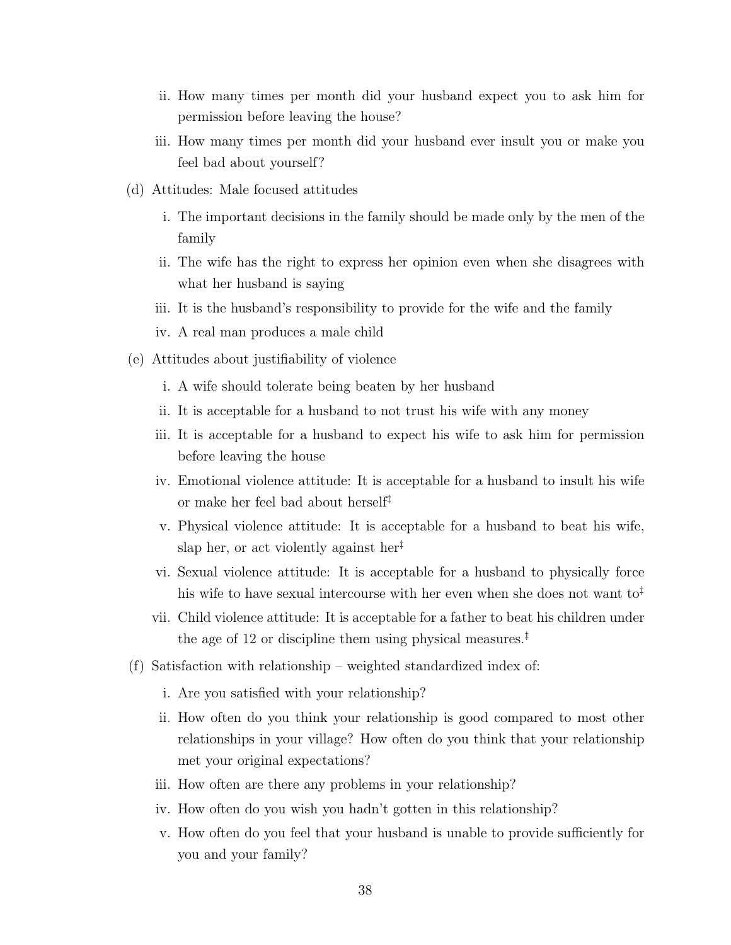- ii. How many times per month did your husband expect you to ask him for permission before leaving the house?
- iii. How many times per month did your husband ever insult you or make you feel bad about yourself?
- (d) Attitudes: Male focused attitudes
	- i. The important decisions in the family should be made only by the men of the family
	- ii. The wife has the right to express her opinion even when she disagrees with what her husband is saying
	- iii. It is the husband's responsibility to provide for the wife and the family
	- iv. A real man produces a male child
- (e) Attitudes about justifiability of violence
	- i. A wife should tolerate being beaten by her husband
	- ii. It is acceptable for a husband to not trust his wife with any money
	- iii. It is acceptable for a husband to expect his wife to ask him for permission before leaving the house
	- iv. Emotional violence attitude: It is acceptable for a husband to insult his wife or make her feel bad about herself‡
	- v. Physical violence attitude: It is acceptable for a husband to beat his wife, slap her, or act violently against her<sup> $\ddagger$ </sup>
	- vi. Sexual violence attitude: It is acceptable for a husband to physically force his wife to have sexual intercourse with her even when she does not want  $\text{to}^{\ddagger}$
	- vii. Child violence attitude: It is acceptable for a father to beat his children under the age of 12 or discipline them using physical measures.<sup>‡</sup>
- (f) Satisfaction with relationship weighted standardized index of:
	- i. Are you satisfied with your relationship?
	- ii. How often do you think your relationship is good compared to most other relationships in your village? How often do you think that your relationship met your original expectations?
	- iii. How often are there any problems in your relationship?
	- iv. How often do you wish you hadn't gotten in this relationship?
	- v. How often do you feel that your husband is unable to provide sufficiently for you and your family?